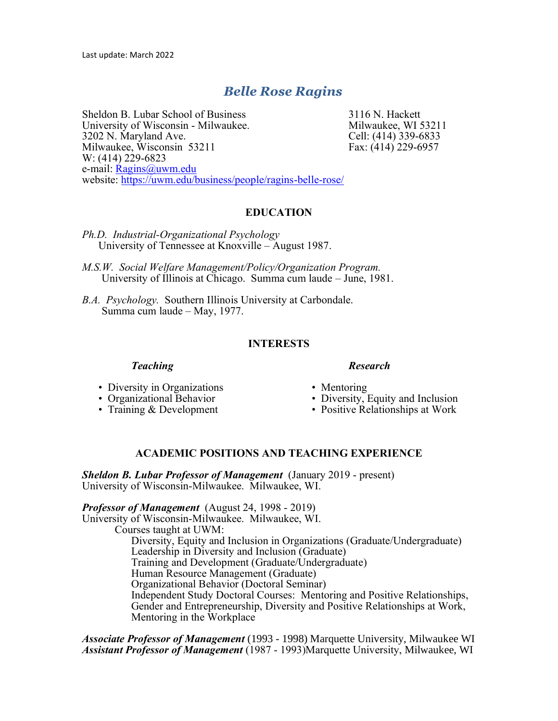# *Belle Rose Ragins*

Sheldon B. Lubar School of Business 3116 N. Hackett University of Wisconsin - Milwaukee. Milwaukee, WI 53211 3202 N. Maryland Ave. Cell: (414) 339-6833 Milwaukee, Wisconsin 53211 Fax: (414) 229-6957 W: (414) 229-6823 e-mail: [Ragins@uwm.edu](mailto:Ragins@uwm.edu) website:<https://uwm.edu/business/people/ragins-belle-rose/>

# **EDUCATION**

- *Ph.D. Industrial-Organizational Psychology*  University of Tennessee at Knoxville – August 1987.
- *M.S.W. Social Welfare Management/Policy/Organization Program.*  University of Illinois at Chicago. Summa cum laude – June, 1981.
- *B.A. Psychology.* Southern Illinois University at Carbondale. Summa cum laude – May, 1977.

#### **INTERESTS**

#### *Teaching Research*

- Diversity in Organizations Mentoring
- 
- 
- 
- 
- Organizational Behavior Diversity, Equity and Inclusion
- Training & Development Positive Relationships at Work

## **ACADEMIC POSITIONS AND TEACHING EXPERIENCE**

*Sheldon B. Lubar Professor of Management* (January 2019 - present) University of Wisconsin-Milwaukee. Milwaukee, WI.

#### *Professor of Management* (August 24, 1998 - 2019)

University of Wisconsin-Milwaukee. Milwaukee, WI.

Courses taught at UWM:

Diversity, Equity and Inclusion in Organizations (Graduate/Undergraduate) Leadership in Diversity and Inclusion (Graduate) Training and Development (Graduate/Undergraduate) Human Resource Management (Graduate) Organizational Behavior (Doctoral Seminar) Independent Study Doctoral Courses: Mentoring and Positive Relationships, Gender and Entrepreneurship, Diversity and Positive Relationships at Work, Mentoring in the Workplace

*Associate Professor of Management* (1993 - 1998) Marquette University, Milwaukee WI *Assistant Professor of Management* (1987 - 1993)Marquette University, Milwaukee, WI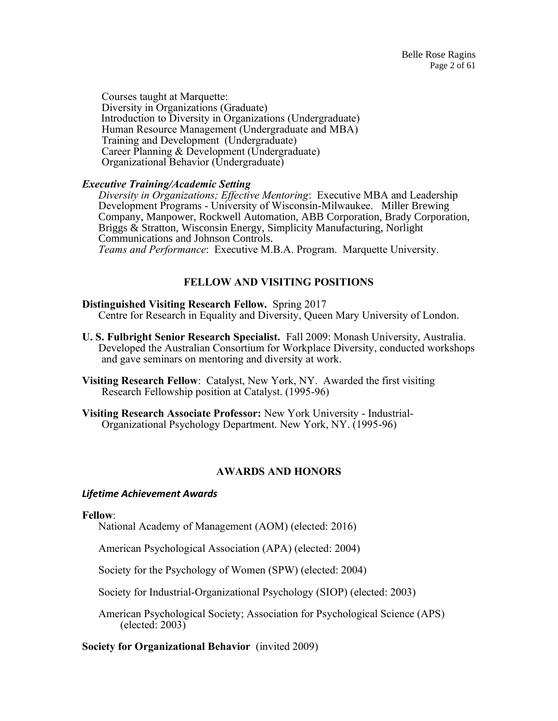Courses taught at Marquette: Diversity in Organizations (Graduate) Introduction to Diversity in Organizations (Undergraduate) Human Resource Management (Undergraduate and MBA) Training and Development (Undergraduate) Career Planning & Development (Undergraduate) Organizational Behavior (Undergraduate)

# *Executive Training/Academic Setting*

*Diversity in Organizations; Effective Mentoring*: Executive MBA and Leadership Development Programs - University of Wisconsin-Milwaukee. Miller Brewing Company, Manpower, Rockwell Automation, ABB Corporation, Brady Corporation, Briggs & Stratton, Wisconsin Energy, Simplicity Manufacturing, Norlight Communications and Johnson Controls. *Teams and Performance*: Executive M.B.A. Program. Marquette University.

# **FELLOW AND VISITING POSITIONS**

## **Distinguished Visiting Research Fellow.** Spring 2017

Centre for Research in Equality and Diversity, Queen Mary University of London.

- **U. S. Fulbright Senior Research Specialist.** Fall 2009: Monash University, Australia. Developed the Australian Consortium for Workplace Diversity, conducted workshops and gave seminars on mentoring and diversity at work.
- **Visiting Research Fellow**: Catalyst, New York, NY. Awarded the first visiting Research Fellowship position at Catalyst. (1995-96)
- **Visiting Research Associate Professor:** New York University Industrial-Organizational Psychology Department. New York, NY. (1995-96)

# **AWARDS AND HONORS**

## *Lifetime Achievement Awards*

## **Fellow**:

National Academy of Management (AOM) (elected: 2016)

American Psychological Association (APA) (elected: 2004)

Society for the Psychology of Women (SPW) (elected: 2004)

Society for Industrial-Organizational Psychology (SIOP) (elected: 2003)

American Psychological Society; Association for Psychological Science (APS) (elected: 2003)

**Society for Organizational Behavior** (invited 2009)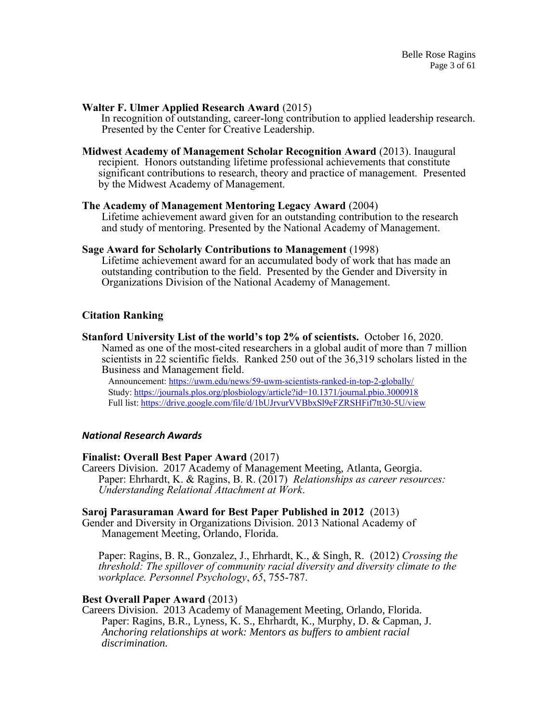#### **Walter F. Ulmer Applied Research Award** (2015)

In recognition of outstanding, career-long contribution to applied leadership research. Presented by the Center for Creative Leadership.

**Midwest Academy of Management Scholar Recognition Award** (2013). Inaugural recipient. Honors outstanding lifetime professional achievements that constitute significant contributions to research, theory and practice of management. Presented by the Midwest Academy of Management.

#### **The Academy of Management Mentoring Legacy Award** (2004)

Lifetime achievement award given for an outstanding contribution to the research and study of mentoring. Presented by the National Academy of Management.

#### **Sage Award for Scholarly Contributions to Management** (1998)

Lifetime achievement award for an accumulated body of work that has made an outstanding contribution to the field. Presented by the Gender and Diversity in Organizations Division of the National Academy of Management.

#### **Citation Ranking**

**Stanford University List of the world's top 2% of scientists.** October 16, 2020. Named as one of the most-cited researchers in a global audit of more than 7 million scientists in 22 scientific fields. Ranked 250 out of the 36,319 scholars listed in the Business and Management field.

Announcement:<https://uwm.edu/news/59-uwm-scientists-ranked-in-top-2-globally/> Study:<https://journals.plos.org/plosbiology/article?id=10.1371/journal.pbio.3000918> Full list:<https://drive.google.com/file/d/1bUJrvurVVBbxSl9eFZRSHFif7tt30-5U/view>

#### *National Research Awards*

#### **Finalist: Overall Best Paper Award** (2017)

Careers Division. 2017 Academy of Management Meeting, Atlanta, Georgia. Paper: Ehrhardt, K. & Ragins, B. R. (2017) *Relationships as career resources: Understanding Relational Attachment at Work*.

#### **Saroj Parasuraman Award for Best Paper Published in 2012** (2013)

Gender and Diversity in Organizations Division. 2013 National Academy of Management Meeting, Orlando, Florida.

Paper: Ragins, B. R., Gonzalez, J., Ehrhardt, K., & Singh, R. (2012) *Crossing the threshold: The spillover of community racial diversity and diversity climate to the workplace. Personnel Psychology*, *65*, 755-787.

#### **Best Overall Paper Award** (2013)

Careers Division. 2013 Academy of Management Meeting, Orlando, Florida. Paper: Ragins, B.R., Lyness, K. S., Ehrhardt, K., Murphy, D. & Capman, J. *Anchoring relationships at work: Mentors as buffers to ambient racial discrimination.*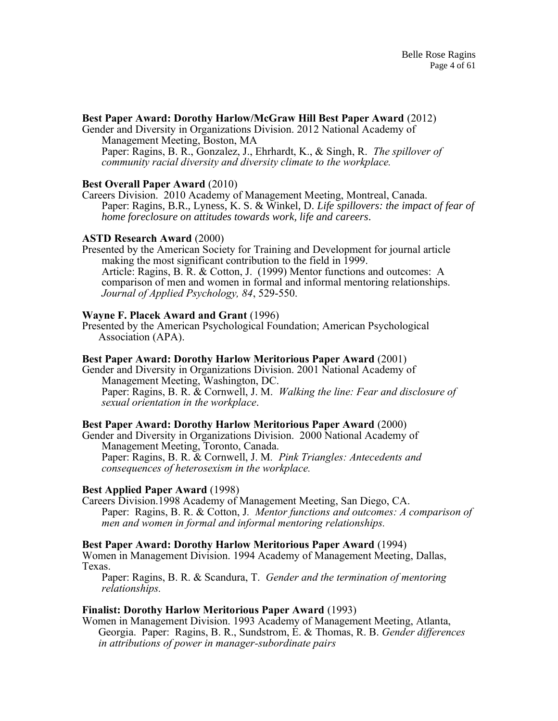## **Best Paper Award: Dorothy Harlow/McGraw Hill Best Paper Award** (2012)

Gender and Diversity in Organizations Division. 2012 National Academy of Management Meeting, Boston, MA Paper: Ragins, B. R., Gonzalez, J., Ehrhardt, K., & Singh, R. *The spillover of community racial diversity and diversity climate to the workplace.*

## **Best Overall Paper Award** (2010)

Careers Division. 2010 Academy of Management Meeting, Montreal, Canada. Paper: Ragins, B.R., Lyness, K. S. & Winkel, D. *Life spillovers: the impact of fear of home foreclosure on attitudes towards work, life and careers.*

#### **ASTD Research Award** (2000)

Presented by the American Society for Training and Development for journal article making the most significant contribution to the field in 1999. Article: Ragins, B. R. & Cotton, J. (1999) Mentor functions and outcomes: A comparison of men and women in formal and informal mentoring relationships. *Journal of Applied Psychology, 84*, 529-550.

#### **Wayne F. Placek Award and Grant** (1996)

Presented by the American Psychological Foundation; American Psychological Association (APA).

#### **Best Paper Award: Dorothy Harlow Meritorious Paper Award** (2001)

Gender and Diversity in Organizations Division. 2001 National Academy of Management Meeting, Washington, DC. Paper: Ragins, B. R. & Cornwell, J. M. *Walking the line: Fear and disclosure of sexual orientation in the workplace*.

## **Best Paper Award: Dorothy Harlow Meritorious Paper Award** (2000)

Gender and Diversity in Organizations Division. 2000 National Academy of Management Meeting, Toronto, Canada. Paper: Ragins, B. R. & Cornwell, J. M*. Pink Triangles: Antecedents and* 

*consequences of heterosexism in the workplace.*

## **Best Applied Paper Award** (1998)

Careers Division.1998 Academy of Management Meeting, San Diego, CA. Paper: Ragins, B. R. & Cotton, J*. Mentor functions and outcomes: A comparison of men and women in formal and informal mentoring relationships.* 

## **Best Paper Award: Dorothy Harlow Meritorious Paper Award** (1994)

Women in Management Division. 1994 Academy of Management Meeting, Dallas, Texas.

Paper: Ragins, B. R. & Scandura, T. *Gender and the termination of mentoring relationships.*

#### **Finalist: Dorothy Harlow Meritorious Paper Award** (1993)

Women in Management Division. 1993 Academy of Management Meeting, Atlanta, Georgia. Paper: Ragins, B. R., Sundstrom, E. & Thomas, R. B. *Gender differences in attributions of power in manager-subordinate pairs*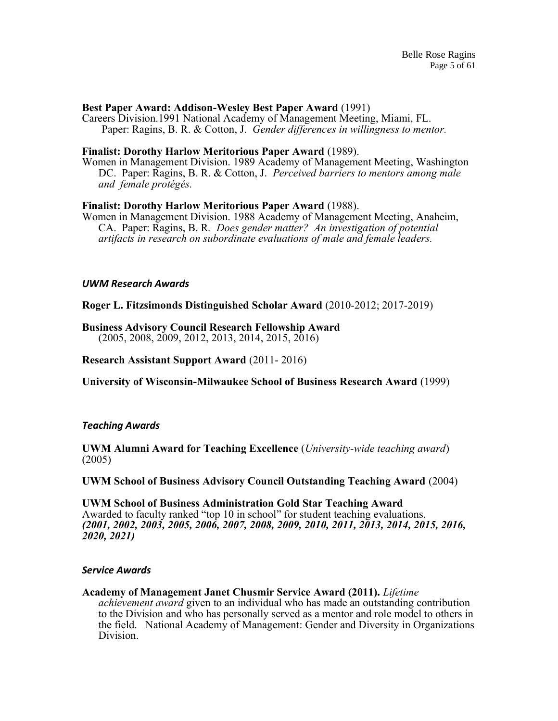#### **Best Paper Award: Addison-Wesley Best Paper Award** (1991)

Careers Division.1991 National Academy of Management Meeting, Miami, FL. Paper: Ragins, B. R. & Cotton, J. *Gender differences in willingness to mentor.*

#### **Finalist: Dorothy Harlow Meritorious Paper Award** (1989).

Women in Management Division. 1989 Academy of Management Meeting, Washington DC. Paper: Ragins, B. R. & Cotton, J. *Perceived barriers to mentors among male and female protégés.*

#### **Finalist: Dorothy Harlow Meritorious Paper Award** (1988).

Women in Management Division. 1988 Academy of Management Meeting, Anaheim, CA. Paper: Ragins, B. R*. Does gender matter? An investigation of potential artifacts in research on subordinate evaluations of male and female leaders.*

#### *UWM Research Awards*

**Roger L. Fitzsimonds Distinguished Scholar Award** (2010-2012; 2017-2019)

# **Business Advisory Council Research Fellowship Award**

(2005, 2008, 2009, 2012, 2013, 2014, 2015, 2016)

#### **Research Assistant Support Award** (2011- 2016)

**University of Wisconsin-Milwaukee School of Business Research Award** (1999)

#### *Teaching Awards*

**UWM Alumni Award for Teaching Excellence** (*University-wide teaching award*) (2005)

## **UWM School of Business Advisory Council Outstanding Teaching Award** (2004)

**UWM School of Business Administration Gold Star Teaching Award** Awarded to faculty ranked "top 10 in school" for student teaching evaluations. *(2001, 2002, 2003, 2005, 2006, 2007, 2008, 2009, 2010, 2011, 2013, 2014, 2015, 2016, 2020, 2021)*

#### *Service Awards*

#### **Academy of Management Janet Chusmir Service Award (2011).** *Lifetime*

*achievement award* given to an individual who has made an outstanding contribution to the Division and who has personally served as a mentor and role model to others in the field. National Academy of Management: Gender and Diversity in Organizations Division.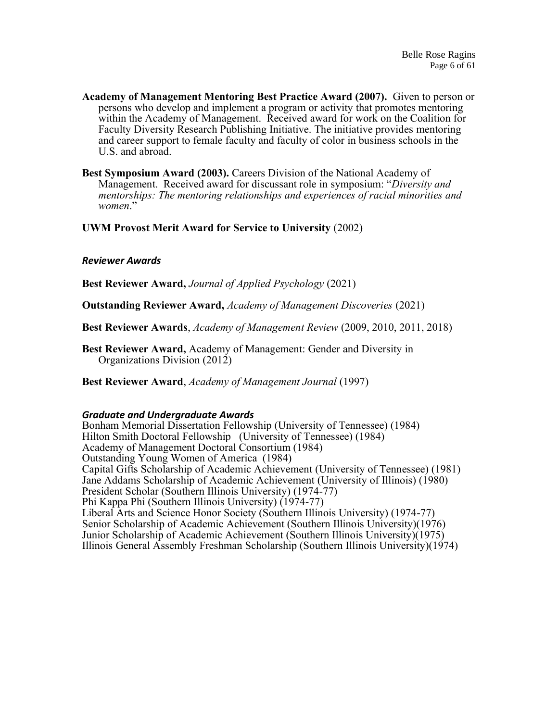- **Academy of Management Mentoring Best Practice Award (2007).** Given to person or persons who develop and implement a program or activity that promotes mentoring within the Academy of Management. Received award for work on the Coalition for Faculty Diversity Research Publishing Initiative. The initiative provides mentoring and career support to female faculty and faculty of color in business schools in the U.S. and abroad.
- **Best Symposium Award (2003).** Careers Division of the National Academy of Management. Received award for discussant role in symposium: "*Diversity and mentorships: The mentoring relationships and experiences of racial minorities and women*."

**UWM Provost Merit Award for Service to University** (2002)

## *Reviewer Awards*

**Best Reviewer Award,** *Journal of Applied Psychology* (2021)

**Outstanding Reviewer Award,** *Academy of Management Discoveries* (2021)

**Best Reviewer Awards**, *Academy of Management Review* (2009, 2010, 2011, 2018)

**Best Reviewer Award,** Academy of Management: Gender and Diversity in Organizations Division (2012)

**Best Reviewer Award**, *Academy of Management Journal* (1997)

#### *Graduate and Undergraduate Awards*

Bonham Memorial Dissertation Fellowship (University of Tennessee) (1984) Hilton Smith Doctoral Fellowship (University of Tennessee) (1984) Academy of Management Doctoral Consortium (1984) Outstanding Young Women of America (1984) Capital Gifts Scholarship of Academic Achievement (University of Tennessee) (1981) Jane Addams Scholarship of Academic Achievement (University of Illinois) (1980) President Scholar (Southern Illinois University) (1974-77) Phi Kappa Phi (Southern Illinois University) (1974-77) Liberal Arts and Science Honor Society (Southern Illinois University) (1974-77) Senior Scholarship of Academic Achievement (Southern Illinois University)(1976) Junior Scholarship of Academic Achievement (Southern Illinois University)(1975) Illinois General Assembly Freshman Scholarship (Southern Illinois University)(1974)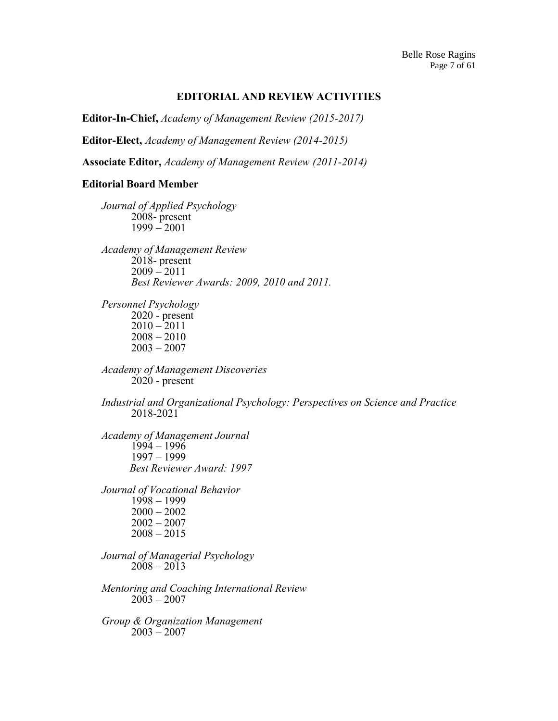## **EDITORIAL AND REVIEW ACTIVITIES**

**Editor-In-Chief,** *Academy of Management Review (2015-2017)*

**Editor-Elect,** *Academy of Management Review (2014-2015)*

**Associate Editor,** *Academy of Management Review (2011-2014)*

## **Editorial Board Member**

*Journal of Applied Psychology*  2008- present  $1999 - 2001$ 

*Academy of Management Review* 2018- present  $2009 - 2011$ *Best Reviewer Awards: 2009, 2010 and 2011.*

*Personnel Psychology* 2020 - present  $2010 - 2011$ 2008 – 2010  $2003 - 2007$ 

*Academy of Management Discoveries* 2020 - present

*Industrial and Organizational Psychology: Perspectives on Science and Practice* 2018-2021

*Academy of Management Journal*   $1994 - 1996$ 1997 – 1999  *Best Reviewer Award: 1997*

*Journal of Vocational Behavior*  1998 – 1999  $2000 - 2002$ 2002 – 2007 2008 – 2015

*Journal of Managerial Psychology*  $2008 - 2013$ 

*Mentoring and Coaching International Review*  $2003 - 2007$ 

*Group & Organization Management*  $2003 - 2007$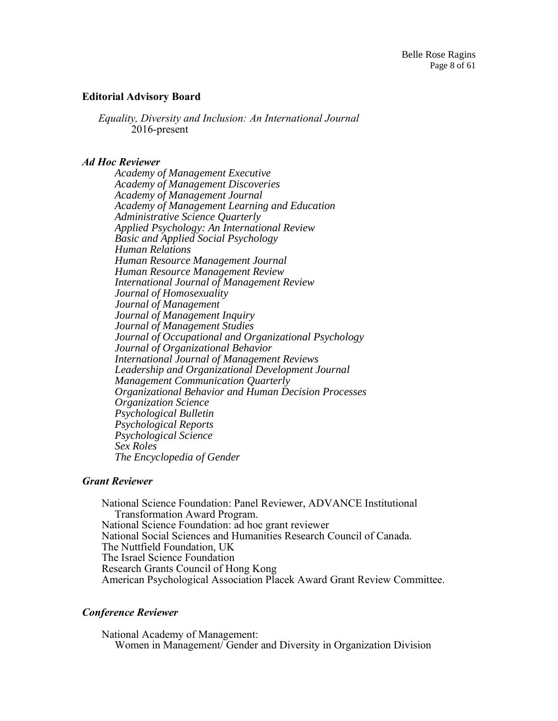## **Editorial Advisory Board**

*Equality, Diversity and Inclusion: An International Journal* 2016-present

#### *Ad Hoc Reviewer*

*Academy of Management Executive Academy of Management Discoveries Academy of Management Journal Academy of Management Learning and Education Administrative Science Quarterly Applied Psychology: An International Review Basic and Applied Social Psychology Human Relations Human Resource Management Journal Human Resource Management Review International Journal of Management Review Journal of Homosexuality Journal of Management Journal of Management Inquiry Journal of Management Studies Journal of Occupational and Organizational Psychology Journal of Organizational Behavior International Journal of Management Reviews Leadership and Organizational Development Journal Management Communication Quarterly Organizational Behavior and Human Decision Processes Organization Science Psychological Bulletin Psychological Reports Psychological Science Sex Roles The Encyclopedia of Gender*

#### *Grant Reviewer*

National Science Foundation: Panel Reviewer, ADVANCE Institutional Transformation Award Program. National Science Foundation: ad hoc grant reviewer National Social Sciences and Humanities Research Council of Canada. The Nuttfield Foundation, UK The Israel Science Foundation Research Grants Council of Hong Kong American Psychological Association Placek Award Grant Review Committee.

## *Conference Reviewer*

National Academy of Management: Women in Management/ Gender and Diversity in Organization Division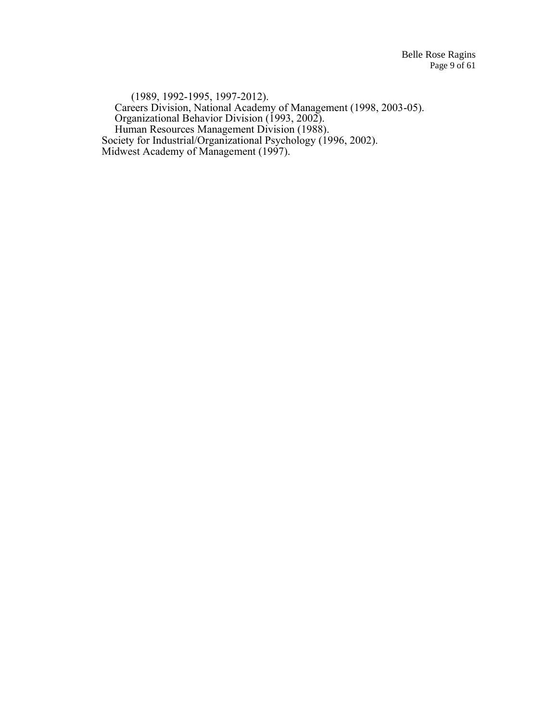(1989, 1992-1995, 1997-2012). Careers Division, National Academy of Management (1998, 2003-05). Organizational Behavior Division (1993, 2002). Human Resources Management Division (1988). Society for Industrial/Organizational Psychology (1996, 2002). Midwest Academy of Management (1997).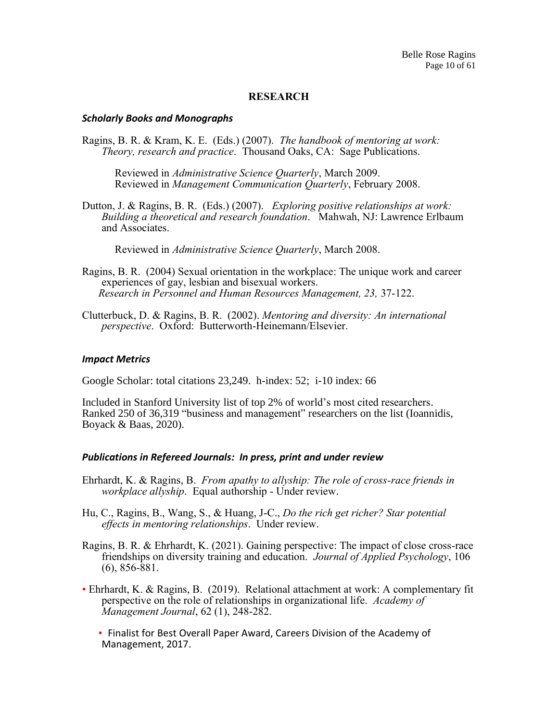## **RESEARCH**

#### *Scholarly Books and Monographs*

Ragins, B. R. & Kram, K. E. (Eds.) (2007). *The handbook of mentoring at work: Theory, research and practice*. Thousand Oaks, CA: Sage Publications.

Reviewed in *Administrative Science Quarterly*, March 2009. Reviewed in *Management Communication Quarterly*, February 2008.

Dutton, J. & Ragins, B. R. (Eds.) (2007). *Exploring positive relationships at work: Building a theoretical and research foundation*. Mahwah, NJ: Lawrence Erlbaum and Associates.

Reviewed in *Administrative Science Quarterly*, March 2008.

- Ragins, B. R. (2004) Sexual orientation in the workplace: The unique work and career experiences of gay, lesbian and bisexual workers. *Research in Personnel and Human Resources Management, 23,* 37-122.
- Clutterbuck, D. & Ragins, B. R. (2002). *Mentoring and diversity: An international perspective*. Oxford: Butterworth-Heinemann/Elsevier.

#### *Impact Metrics*

Google Scholar: total citations 23,249. h-index: 52; i-10 index: 66

Included in Stanford University list of top 2% of world's most cited researchers. Ranked 250 of 36,319 "business and management" researchers on the list (Ioannidis, Boyack & Baas, 2020).

#### *Publications in Refereed Journals: In press, print and under review*

- Ehrhardt, K. & Ragins, B. *From apathy to allyship: The role of cross-race friends in workplace allyship*. Equal authorship - Under review.
- Hu, C., Ragins, B., Wang, S., & Huang, J-C., *Do the rich get richer? Star potential effects in mentoring relationships*. Under review.
- Ragins, B. R. & Ehrhardt, K. (2021). Gaining perspective: The impact of close cross-race friendships on diversity training and education. *Journal of Applied Psychology*, 106 (6), 856-881.
- Ehrhardt, K. & Ragins, B. (2019). Relational attachment at work: A complementary fit perspective on the role of relationships in organizational life. *Academy of Management Journal*, 62 (1), 248-282.
	- Finalist for Best Overall Paper Award, Careers Division of the Academy of Management, 2017.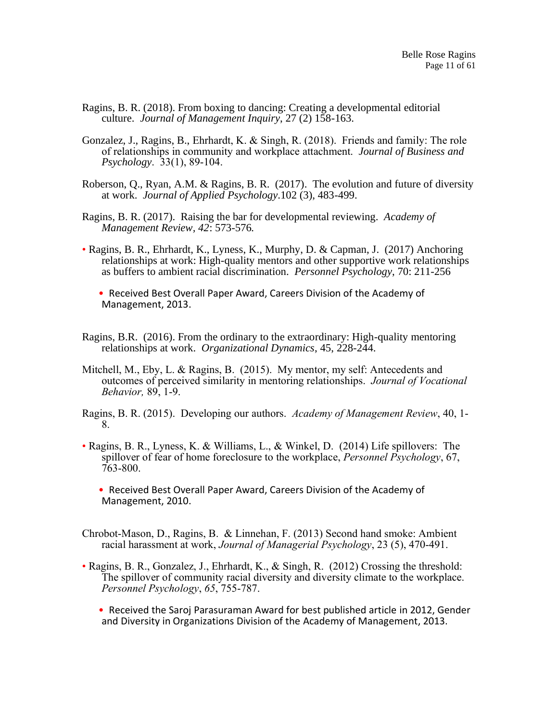- Ragins, B. R. (2018). From boxing to dancing: Creating a developmental editorial culture. *Journal of Management Inquiry*, 27 (2) 158-163.
- Gonzalez, J., Ragins, B., Ehrhardt, K. & Singh, R. (2018). Friends and family: The role of relationships in community and workplace attachment. *Journal of Business and Psychology*. 33(1), 89-104.
- Roberson, Q., Ryan, A.M. & Ragins, B. R. (2017). The evolution and future of diversity at work. *Journal of Applied Psychology*.102 (3), 483-499.
- Ragins, B. R. (2017). Raising the bar for developmental reviewing. *Academy of Management Review, 42*: 573-576*.*
- Ragins, B. R., Ehrhardt, K., Lyness, K., Murphy, D. & Capman, J. (2017) Anchoring relationships at work: High-quality mentors and other supportive work relationships as buffers to ambient racial discrimination. *Personnel Psychology*, 70: 211-256
	- Received Best Overall Paper Award, Careers Division of the Academy of Management, 2013.
- Ragins, B.R. (2016). From the ordinary to the extraordinary: High-quality mentoring relationships at work. *Organizational Dynamics*, 45, 228-244.
- Mitchell, M., Eby, L. & Ragins, B. (2015). My mentor, my self: Antecedents and outcomes of perceived similarity in mentoring relationships. *Journal of Vocational Behavior,* 89, 1-9.
- Ragins, B. R. (2015). Developing our authors. *Academy of Management Review*, 40, 1- 8.
- Ragins, B. R., Lyness, K. & Williams, L., & Winkel, D. (2014) Life spillovers: The spillover of fear of home foreclosure to the workplace, *Personnel Psychology*, 67, 763-800.
	- Received Best Overall Paper Award, Careers Division of the Academy of Management, 2010.
- Chrobot-Mason, D., Ragins, B. & Linnehan, F. (2013) Second hand smoke: Ambient racial harassment at work, *Journal of Managerial Psychology*, 23 (5), 470-491.
- Ragins, B. R., Gonzalez, J., Ehrhardt, K., & Singh, R. (2012) Crossing the threshold: The spillover of community racial diversity and diversity climate to the workplace. *Personnel Psychology*, *65*, 755-787.
	- Received the Saroj Parasuraman Award for best published article in 2012, Gender and Diversity in Organizations Division of the Academy of Management, 2013.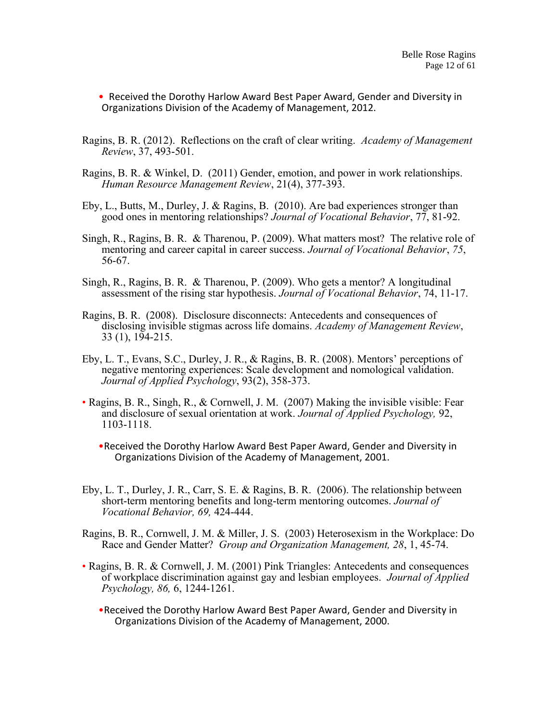• Received the Dorothy Harlow Award Best Paper Award, Gender and Diversity in Organizations Division of the Academy of Management, 2012.

- Ragins, B. R. (2012). Reflections on the craft of clear writing. *Academy of Management Review*, 37, 493-501.
- Ragins, B. R. & Winkel, D. (2011) Gender, emotion, and power in work relationships. *Human Resource Management Review*, 21(4), 377-393.
- Eby, L., Butts, M., Durley, J. & Ragins, B. (2010). Are bad experiences stronger than good ones in mentoring relationships? *Journal of Vocational Behavior*, 77, 81-92.
- Singh, R., Ragins, B. R. & Tharenou, P. (2009). What matters most? The relative role of mentoring and career capital in career success. *Journal of Vocational Behavior*, *75*, 56-67.
- Singh, R., Ragins, B. R. & Tharenou, P. (2009). Who gets a mentor? A longitudinal assessment of the rising star hypothesis. *Journal of Vocational Behavior*, 74, 11-17.
- Ragins, B. R. (2008). Disclosure disconnects: Antecedents and consequences of disclosing invisible stigmas across life domains. *Academy of Management Review*, 33 (1), 194-215.
- Eby, L. T., Evans, S.C., Durley, J. R., & Ragins, B. R. (2008). Mentors' perceptions of negative mentoring experiences: Scale development and nomological validation. *Journal of Applied Psychology*, 93(2), 358-373.
- Ragins, B. R., Singh, R., & Cornwell, J. M. (2007) Making the invisible visible: Fear and disclosure of sexual orientation at work. *Journal of Applied Psychology,* 92, 1103-1118.
	- •Received the Dorothy Harlow Award Best Paper Award, Gender and Diversity in Organizations Division of the Academy of Management, 2001.
- Eby, L. T., Durley, J. R., Carr, S. E. & Ragins, B. R. (2006). The relationship between short-term mentoring benefits and long-term mentoring outcomes. *Journal of Vocational Behavior, 69,* 424-444.
- Ragins, B. R., Cornwell, J. M. & Miller, J. S. (2003) Heterosexism in the Workplace: Do Race and Gender Matter? *Group and Organization Management, 28*, 1, 45-74.
- Ragins, B. R. & Cornwell, J. M. (2001) Pink Triangles: Antecedents and consequences of workplace discrimination against gay and lesbian employees. *Journal of Applied Psychology, 86,* 6, 1244-1261.
	- •Received the Dorothy Harlow Award Best Paper Award, Gender and Diversity in Organizations Division of the Academy of Management, 2000.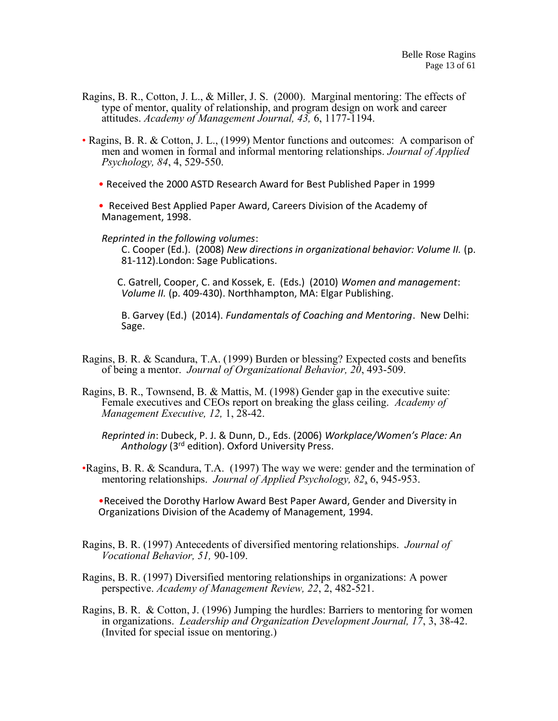- Ragins, B. R., Cotton, J. L., & Miller, J. S. (2000). Marginal mentoring: The effects of type of mentor, quality of relationship, and program design on work and career attitudes. *Academy of Management Journal, 43,* 6, 1177-1194.
- Ragins, B. R. & Cotton, J. L., (1999) Mentor functions and outcomes: A comparison of men and women in formal and informal mentoring relationships. *Journal of Applied Psychology, 84*, 4, 529-550.
	- Received the 2000 ASTD Research Award for Best Published Paper in 1999
	- Received Best Applied Paper Award, Careers Division of the Academy of Management, 1998.

*Reprinted in the following volumes*:

C. Cooper (Ed.). (2008) *New directions in organizational behavior: Volume II.* (p. 81-112).London: Sage Publications.

C. Gatrell, Cooper, C. and Kossek, E. (Eds.) (2010) *Women and management*: *Volume II.* (p. 409-430). Northhampton, MA: Elgar Publishing.

B. Garvey (Ed.) (2014). *Fundamentals of Coaching and Mentoring*. New Delhi: Sage.

- Ragins, B. R. & Scandura, T.A. (1999) Burden or blessing? Expected costs and benefits of being a mentor. *Journal of Organizational Behavior, 20*, 493-509.
- Ragins, B. R., Townsend, B. & Mattis, M. (1998) Gender gap in the executive suite: Female executives and CEOs report on breaking the glass ceiling. *Academy of Management Executive, 12,* 1, 28-42.

*Reprinted in*: Dubeck, P. J. & Dunn, D., Eds. (2006) *Workplace/Women's Place: An Anthology* (3rd edition). Oxford University Press.

•Ragins, B. R. & Scandura, T.A. (1997) The way we were: gender and the termination of mentoring relationships. *Journal of Applied Psychology, 82*, 6, 945-953.

•Received the Dorothy Harlow Award Best Paper Award, Gender and Diversity in Organizations Division of the Academy of Management, 1994.

- Ragins, B. R. (1997) Antecedents of diversified mentoring relationships. *Journal of Vocational Behavior, 51,* 90-109.
- Ragins, B. R. (1997) Diversified mentoring relationships in organizations: A power perspective. *Academy of Management Review, 22*, 2, 482-521.
- Ragins, B. R. & Cotton, J. (1996) Jumping the hurdles: Barriers to mentoring for women in organizations. *Leadership and Organization Development Journal, 17*, 3, 38-42. (Invited for special issue on mentoring.)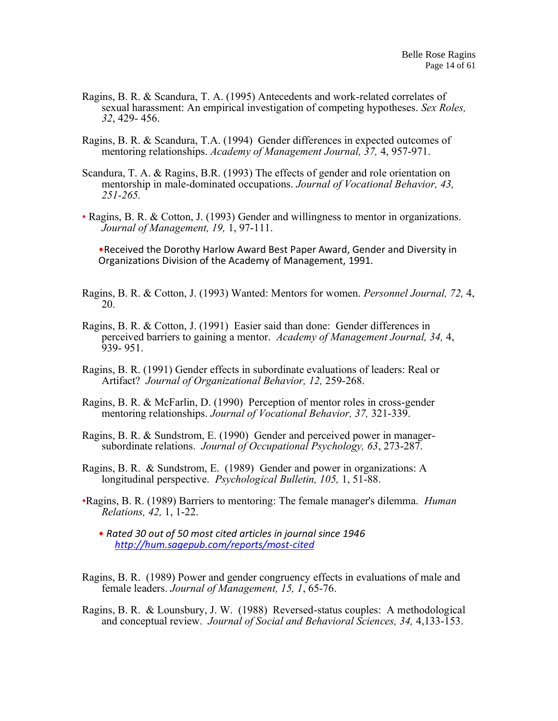- Ragins, B. R. & Scandura, T. A. (1995) Antecedents and work-related correlates of sexual harassment: An empirical investigation of competing hypotheses. *Sex Roles, 32*, 429- 456.
- Ragins, B. R. & Scandura, T.A. (1994) Gender differences in expected outcomes of mentoring relationships. *Academy of Management Journal, 37,* 4, 957-971.
- Scandura, T. A. & Ragins, B.R. (1993) The effects of gender and role orientation on mentorship in male-dominated occupations. *Journal of Vocational Behavior, 43, 251-265.*
- Ragins, B. R. & Cotton, J. (1993) Gender and willingness to mentor in organizations. *Journal of Management, 19,* 1, 97-111.

•Received the Dorothy Harlow Award Best Paper Award, Gender and Diversity in Organizations Division of the Academy of Management, 1991.

- Ragins, B. R. & Cotton, J. (1993) Wanted: Mentors for women. *Personnel Journal, 72,* 4, 20.
- Ragins, B. R. & Cotton, J. (1991) Easier said than done: Gender differences in perceived barriers to gaining a mentor. *Academy of Management Journal, 34,* 4, 939- 951.
- Ragins, B. R. (1991) Gender effects in subordinate evaluations of leaders: Real or Artifact? *Journal of Organizational Behavior, 12,* 259-268.
- Ragins, B. R. & McFarlin, D. (1990) Perception of mentor roles in cross-gender mentoring relationships. *Journal of Vocational Behavior, 37,* 321-339.
- Ragins, B. R. & Sundstrom, E. (1990) Gender and perceived power in managersubordinate relations. *Journal of Occupational Psychology, 63*, 273-287.
- Ragins, B. R. & Sundstrom, E. (1989) Gender and power in organizations: A longitudinal perspective. *Psychological Bulletin, 105,* 1, 51-88.
- •Ragins, B. R. (1989) Barriers to mentoring: The female manager's dilemma. *Human Relations, 42,* 1, 1-22.
	- *Rated 30 out of 50 most cited articles in journal since 1946 <http://hum.sagepub.com/reports/most-cited>*
- Ragins, B. R. (1989) Power and gender congruency effects in evaluations of male and female leaders. *Journal of Management, 15, 1*, 65-76.
- Ragins, B. R. & Lounsbury, J. W. (1988) Reversed-status couples: A methodological and conceptual review. *Journal of Social and Behavioral Sciences, 34,* 4,133-153.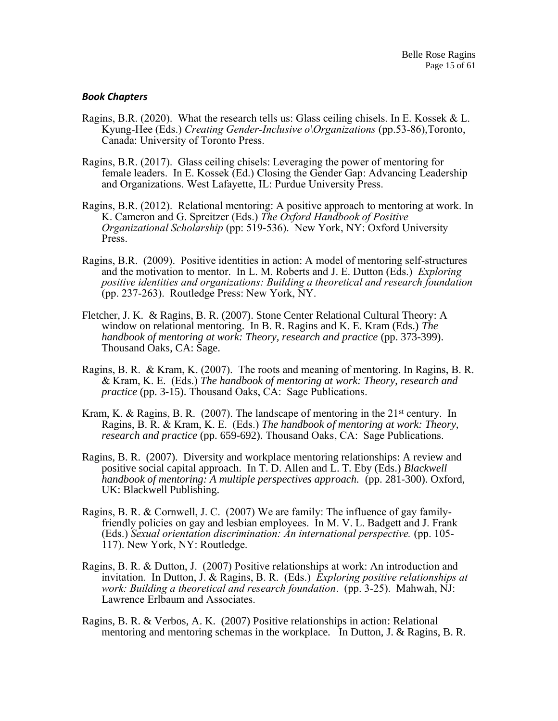#### *Book Chapters*

- Ragins, B.R. (2020). What the research tells us: Glass ceiling chisels. In E. Kossek & L. Kyung-Hee (Eds.) *Creating Gender-Inclusive o\Organizations* (pp.53-86),Toronto, Canada: University of Toronto Press.
- Ragins, B.R. (2017). Glass ceiling chisels: Leveraging the power of mentoring for female leaders. In E. Kossek (Ed.) Closing the Gender Gap: Advancing Leadership and Organizations. West Lafayette, IL: Purdue University Press.
- Ragins, B.R. (2012). Relational mentoring: A positive approach to mentoring at work. In K. Cameron and G. Spreitzer (Eds.) *The Oxford Handbook of Positive Organizational Scholarship* (pp: 519-536). New York, NY: Oxford University Press.
- Ragins, B.R. (2009). Positive identities in action: A model of mentoring self-structures and the motivation to mentor. In L. M. Roberts and J. E. Dutton (Eds.) *Exploring positive identities and organizations: Building a theoretical and research foundation* (pp. 237-263). Routledge Press: New York, NY.
- Fletcher, J. K. & Ragins, B. R. (2007). Stone Center Relational Cultural Theory: A window on relational mentoring. In B. R. Ragins and K. E. Kram (Eds.) *The handbook of mentoring at work: Theory, research and practice* (pp. 373-399). Thousand Oaks, CA: Sage.
- Ragins, B. R. & Kram, K. (2007). The roots and meaning of mentoring. In Ragins, B. R. & Kram, K. E. (Eds.) *The handbook of mentoring at work: Theory, research and practice* (pp. 3-15). Thousand Oaks, CA: Sage Publications.
- Kram, K. & Ragins, B. R. (2007). The landscape of mentoring in the  $21<sup>st</sup>$  century. In Ragins, B. R. & Kram, K. E. (Eds.) *The handbook of mentoring at work: Theory, research and practice* (pp. 659-692). Thousand Oaks, CA: Sage Publications.
- Ragins, B. R. (2007). Diversity and workplace mentoring relationships: A review and positive social capital approach. In T. D. Allen and L. T. Eby (Eds.) *Blackwell handbook of mentoring: A multiple perspectives approach.* (pp. 281-300). Oxford, UK: Blackwell Publishing.
- Ragins, B. R. & Cornwell, J. C. (2007) We are family: The influence of gay familyfriendly policies on gay and lesbian employees. In M. V. L. Badgett and J. Frank (Eds.) *Sexual orientation discrimination: An international perspective.* (pp. 105- 117). New York, NY: Routledge.
- Ragins, B. R. & Dutton, J. (2007) Positive relationships at work: An introduction and invitation. In Dutton, J. & Ragins, B. R. (Eds.) *Exploring positive relationships at work: Building a theoretical and research foundation*. (pp. 3-25). Mahwah, NJ: Lawrence Erlbaum and Associates.
- Ragins, B. R. & Verbos, A. K. (2007) Positive relationships in action: Relational mentoring and mentoring schemas in the workplace. In Dutton, J. & Ragins, B. R.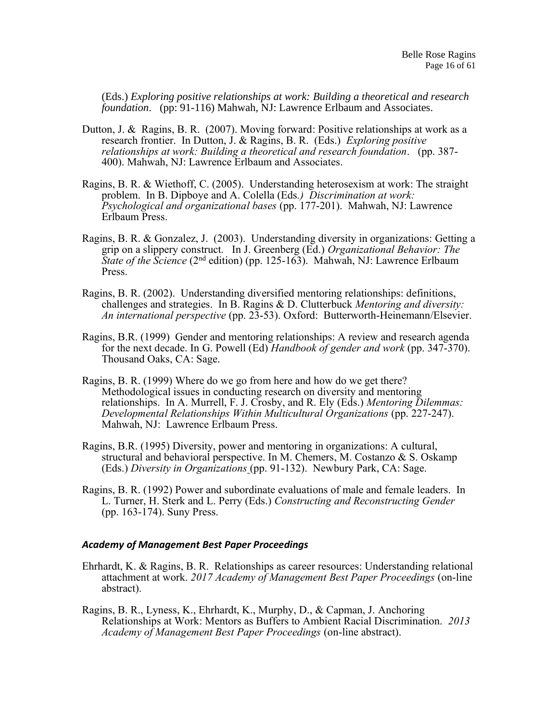(Eds.) *Exploring positive relationships at work: Building a theoretical and research foundation*. (pp: 91-116) Mahwah, NJ: Lawrence Erlbaum and Associates.

- Dutton, J. & Ragins, B. R. (2007). Moving forward: Positive relationships at work as a research frontier. In Dutton, J. & Ragins, B. R. (Eds.) *Exploring positive relationships at work: Building a theoretical and research foundation*. (pp. 387- 400). Mahwah, NJ: Lawrence Erlbaum and Associates.
- Ragins, B. R. & Wiethoff, C. (2005). Understanding heterosexism at work: The straight problem. In B. Dipboye and A. Colella (Eds*.) Discrimination at work: Psychological and organizational bases* (pp. 177-201). Mahwah, NJ: Lawrence Erlbaum Press.
- Ragins, B. R. & Gonzalez, J. (2003). Understanding diversity in organizations: Getting a grip on a slippery construct. In J. Greenberg (Ed.) *Organizational Behavior: The State of the Science* (2<sup>nd</sup> edition) (pp. 125-163). Mahwah, NJ: Lawrence Erlbaum Press.
- Ragins, B. R. (2002). Understanding diversified mentoring relationships: definitions, challenges and strategies. In B. Ragins & D. Clutterbuck *Mentoring and diversity: An international perspective* (pp. 23-53). Oxford: Butterworth-Heinemann/Elsevier.
- Ragins, B.R. (1999) Gender and mentoring relationships: A review and research agenda for the next decade. In G. Powell (Ed) *Handbook of gender and work* (pp. 347-370). Thousand Oaks, CA: Sage.
- Ragins, B. R. (1999) Where do we go from here and how do we get there? Methodological issues in conducting research on diversity and mentoring relationships. In A. Murrell, F. J. Crosby, and R. Ely (Eds.) *Mentoring Dilemmas: Developmental Relationships Within Multicultural Organizations* (pp. 227-247). Mahwah, NJ: Lawrence Erlbaum Press.
- Ragins, B.R. (1995) Diversity, power and mentoring in organizations: A cultural, structural and behavioral perspective. In M. Chemers, M. Costanzo & S. Oskamp (Eds.) *Diversity in Organizations* (pp. 91-132). Newbury Park, CA: Sage.
- Ragins, B. R. (1992) Power and subordinate evaluations of male and female leaders. In L. Turner, H. Sterk and L. Perry (Eds.) *Constructing and Reconstructing Gender*  (pp. 163-174). Suny Press.

#### *Academy of Management Best Paper Proceedings*

- Ehrhardt, K. & Ragins, B. R. Relationships as career resources: Understanding relational attachment at work. *2017 Academy of Management Best Paper Proceedings* (on-line abstract).
- Ragins, B. R., Lyness, K., Ehrhardt, K., Murphy, D., & Capman, J. Anchoring Relationships at Work: Mentors as Buffers to Ambient Racial Discrimination. *2013 Academy of Management Best Paper Proceedings* (on-line abstract).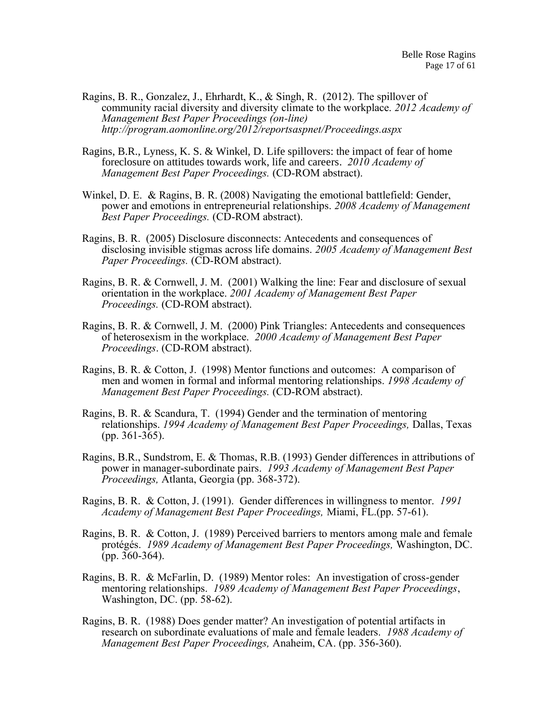- Ragins, B. R., Gonzalez, J., Ehrhardt, K., & Singh, R. (2012). The spillover of community racial diversity and diversity climate to the workplace. *2012 Academy of Management Best Paper Proceedings (on-line) http://program.aomonline.org/2012/reportsaspnet/Proceedings.aspx*
- Ragins, B.R., Lyness, K. S. & Winkel, D. Life spillovers: the impact of fear of home foreclosure on attitudes towards work, life and careers. *2010 Academy of Management Best Paper Proceedings.* (CD-ROM abstract).
- Winkel, D. E. & Ragins, B. R. (2008) Navigating the emotional battlefield: Gender, power and emotions in entrepreneurial relationships. *2008 Academy of Management Best Paper Proceedings.* (CD-ROM abstract).
- Ragins, B. R. (2005) Disclosure disconnects: Antecedents and consequences of disclosing invisible stigmas across life domains. *2005 Academy of Management Best Paper Proceedings.* (CD-ROM abstract).
- Ragins, B. R. & Cornwell, J. M. (2001) Walking the line: Fear and disclosure of sexual orientation in the workplace. *2001 Academy of Management Best Paper Proceedings.* (CD-ROM abstract).
- Ragins, B. R. & Cornwell, J. M. (2000) Pink Triangles: Antecedents and consequences of heterosexism in the workplace. *2000 Academy of Management Best Paper Proceedings*. (CD-ROM abstract).
- Ragins, B. R. & Cotton, J. (1998) Mentor functions and outcomes: A comparison of men and women in formal and informal mentoring relationships. *1998 Academy of Management Best Paper Proceedings.* (CD-ROM abstract).
- Ragins, B. R. & Scandura, T. (1994) Gender and the termination of mentoring relationships. *1994 Academy of Management Best Paper Proceedings,* Dallas, Texas (pp. 361-365).
- Ragins, B.R., Sundstrom, E. & Thomas, R.B. (1993) Gender differences in attributions of power in manager-subordinate pairs. *1993 Academy of Management Best Paper Proceedings,* Atlanta, Georgia (pp. 368-372).
- Ragins, B. R. & Cotton, J. (1991). Gender differences in willingness to mentor. *1991 Academy of Management Best Paper Proceedings,* Miami, FL.(pp. 57-61).
- Ragins, B. R. & Cotton, J. (1989) Perceived barriers to mentors among male and female protégés. *1989 Academy of Management Best Paper Proceedings,* Washington, DC.  $(pp. 360-364)$ .
- Ragins, B. R. & McFarlin, D. (1989) Mentor roles: An investigation of cross-gender mentoring relationships. *1989 Academy of Management Best Paper Proceedings*, Washington, DC. (pp. 58-62).
- Ragins, B. R. (1988) Does gender matter? An investigation of potential artifacts in research on subordinate evaluations of male and female leaders. *1988 Academy of Management Best Paper Proceedings,* Anaheim, CA. (pp. 356-360).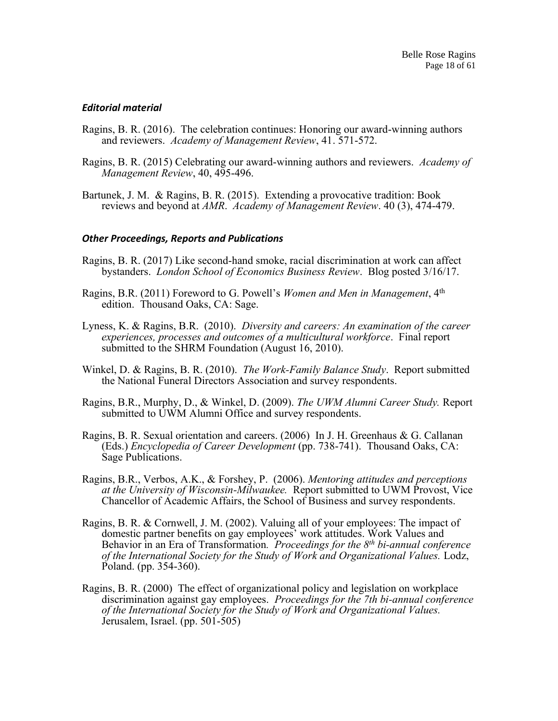## *Editorial material*

- Ragins, B. R. (2016). The celebration continues: Honoring our award-winning authors and reviewers. *Academy of Management Review*, 41. 571-572.
- Ragins, B. R. (2015) Celebrating our award-winning authors and reviewers. *Academy of Management Review*, 40, 495-496.
- Bartunek, J. M. & Ragins, B. R. (2015). Extending a provocative tradition: Book reviews and beyond at *AMR*. *Academy of Management Review*. 40 (3), 474-479.

#### *Other Proceedings, Reports and Publications*

- Ragins, B. R. (2017) Like second-hand smoke, racial discrimination at work can affect bystanders. *London School of Economics Business Review*. Blog posted 3/16/17.
- Ragins, B.R. (2011) Foreword to G. Powell's *Women and Men in Management*, 4th edition. Thousand Oaks, CA: Sage.
- Lyness, K. & Ragins, B.R. (2010). *Diversity and careers: An examination of the career experiences, processes and outcomes of a multicultural workforce*. Final report submitted to the SHRM Foundation (August 16, 2010).
- Winkel, D. & Ragins, B. R. (2010). *The Work-Family Balance Study*. Report submitted the National Funeral Directors Association and survey respondents.
- Ragins, B.R., Murphy, D., & Winkel, D. (2009). *The UWM Alumni Career Study.* Report submitted to UWM Alumni Office and survey respondents.
- Ragins, B. R. Sexual orientation and careers. (2006) In J. H. Greenhaus & G. Callanan (Eds.) *Encyclopedia of Career Development* (pp. 738-741). Thousand Oaks, CA: Sage Publications.
- Ragins, B.R., Verbos, A.K., & Forshey, P. (2006). *Mentoring attitudes and perceptions at the University of Wisconsin-Milwaukee.* Report submitted to UWM Provost, Vice Chancellor of Academic Affairs, the School of Business and survey respondents.
- Ragins, B. R. & Cornwell, J. M. (2002). Valuing all of your employees: The impact of domestic partner benefits on gay employees' work attitudes. Work Values and Behavior in an Era of Transformation*. Proceedings for the 8th bi-annual conference of the International Society for the Study of Work and Organizational Values.* Lodz, Poland. (pp. 354-360).
- Ragins, B. R. (2000) The effect of organizational policy and legislation on workplace discrimination against gay employees. *Proceedings for the 7th bi-annual conference of the International Society for the Study of Work and Organizational Values.* Jerusalem, Israel. (pp. 501-505)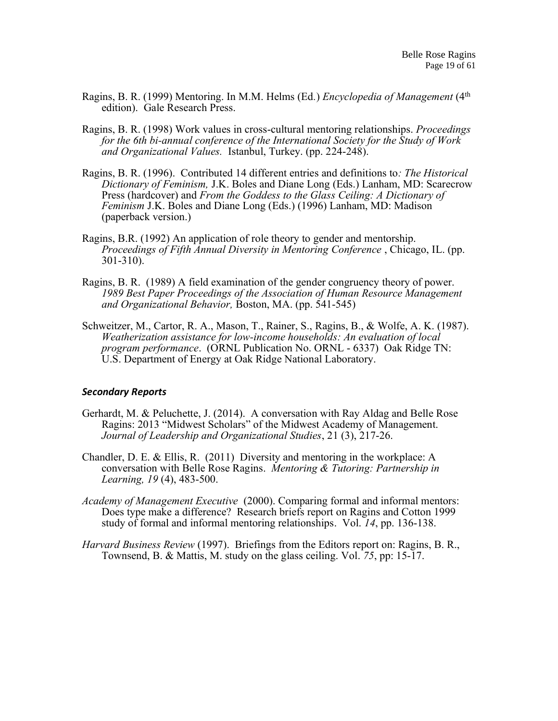- Ragins, B. R. (1999) Mentoring. In M.M. Helms (Ed*.*) *Encyclopedia of Management* (4th edition). Gale Research Press.
- Ragins, B. R. (1998) Work values in cross-cultural mentoring relationships. *Proceedings for the 6th bi-annual conference of the International Society for the Study of Work and Organizational Values.* Istanbul, Turkey. (pp. 224-248).
- Ragins, B. R. (1996). Contributed 14 different entries and definitions to*: The Historical Dictionary of Feminism,* J.K. Boles and Diane Long (Eds.) Lanham, MD: Scarecrow Press (hardcover) and *From the Goddess to the Glass Ceiling: A Dictionary of Feminism* J.K. Boles and Diane Long (Eds.) (1996) Lanham, MD: Madison (paperback version.)
- Ragins, B.R. (1992) An application of role theory to gender and mentorship. *Proceedings of Fifth Annual Diversity in Mentoring Conference* , Chicago, IL. (pp. 301-310).
- Ragins, B. R. (1989) A field examination of the gender congruency theory of power. *1989 Best Paper Proceedings of the Association of Human Resource Management and Organizational Behavior,* Boston, MA. (pp. 541-545)
- Schweitzer, M., Cartor, R. A., Mason, T., Rainer, S., Ragins, B., & Wolfe, A. K. (1987). *Weatherization assistance for low-income households: An evaluation of local program performance*. (ORNL Publication No. ORNL - 6337) Oak Ridge TN: U.S. Department of Energy at Oak Ridge National Laboratory.

#### *Secondary Reports*

- Gerhardt, M. & Peluchette, J. (2014). A conversation with Ray Aldag and Belle Rose Ragins: 2013 "Midwest Scholars" of the Midwest Academy of Management. *Journal of Leadership and Organizational Studies*, 21 (3), 217-26.
- Chandler, D. E. & Ellis, R. (2011) Diversity and mentoring in the workplace: A conversation with Belle Rose Ragins. *Mentoring & Tutoring: Partnership in Learning, 19* (4), 483-500.
- *Academy of Management Executive* (2000). Comparing formal and informal mentors: Does type make a difference? Research briefs report on Ragins and Cotton 1999 study of formal and informal mentoring relationships. Vol. *14*, pp. 136-138.
- *Harvard Business Review* (1997). Briefings from the Editors report on: Ragins, B. R., Townsend, B. & Mattis, M. study on the glass ceiling. Vol. *75*, pp: 15-17.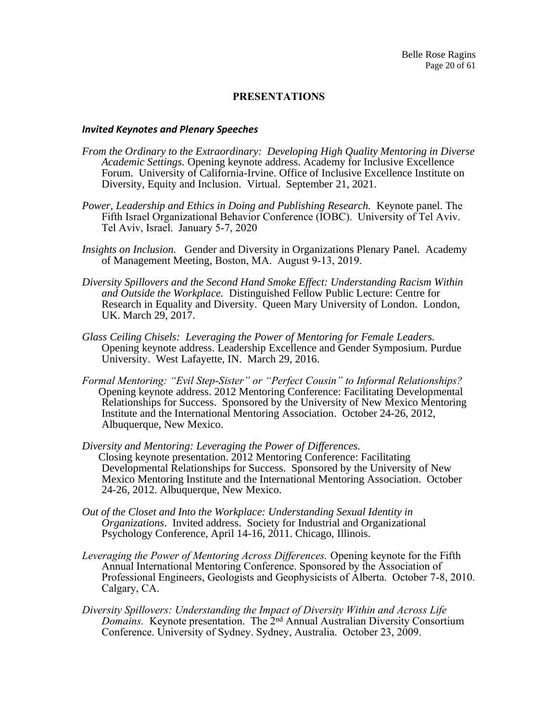## **PRESENTATIONS**

#### *Invited Keynotes and Plenary Speeches*

- *From the Ordinary to the Extraordinary: Developing High Quality Mentoring in Diverse Academic Settings.* Opening keynote address. Academy for Inclusive Excellence Forum. University of California-Irvine. Office of Inclusive Excellence Institute on Diversity, Equity and Inclusion. Virtual. September 21, 2021.
- *Power, Leadership and Ethics in Doing and Publishing Research.* Keynote panel. The Fifth Israel Organizational Behavior Conference (IOBC). University of Tel Aviv. Tel Aviv, Israel. January 5-7, 2020
- *Insights on Inclusion.* Gender and Diversity in Organizations Plenary Panel.Academy of Management Meeting, Boston, MA. August 9-13, 2019.
- *Diversity Spillovers and the Second Hand Smoke Effect: Understanding Racism Within and Outside the Workplace.* Distinguished Fellow Public Lecture: Centre for Research in Equality and Diversity. Queen Mary University of London. London, UK. March 29, 2017.
- *Glass Ceiling Chisels: Leveraging the Power of Mentoring for Female Leaders.*  Opening keynote address. Leadership Excellence and Gender Symposium. Purdue University. West Lafayette, IN. March 29, 2016.
- *Formal Mentoring: "Evil Step-Sister" or "Perfect Cousin" to Informal Relationships?* Opening keynote address. 2012 Mentoring Conference: Facilitating Developmental Relationships for Success. Sponsored by the University of New Mexico Mentoring Institute and the International Mentoring Association. October 24-26, 2012, Albuquerque, New Mexico.
- *Diversity and Mentoring: Leveraging the Power of Differences.* Closing keynote presentation. 2012 Mentoring Conference: Facilitating Developmental Relationships for Success. Sponsored by the University of New Mexico Mentoring Institute and the International Mentoring Association. October 24-26, 2012. Albuquerque, New Mexico.
- *Out of the Closet and Into the Workplace: Understanding Sexual Identity in Organizations*. Invited address. Society for Industrial and Organizational Psychology Conference, April 14-16, 2011. Chicago, Illinois.
- *Leveraging the Power of Mentoring Across Differences.* Opening keynote for the Fifth Annual International Mentoring Conference. Sponsored by the Association of Professional Engineers, Geologists and Geophysicists of Alberta. October 7-8, 2010. Calgary, CA.
- *Diversity Spillovers: Understanding the Impact of Diversity Within and Across Life Domains.* Keynote presentation. The 2nd Annual Australian Diversity Consortium Conference. University of Sydney. Sydney, Australia. October 23, 2009.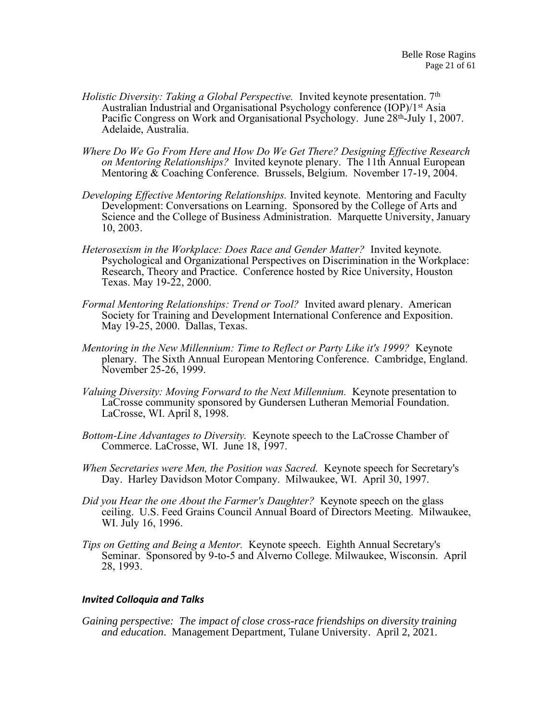- *Holistic Diversity: Taking a Global Perspective.* Invited keynote presentation. 7<sup>th</sup> Australian Industrial and Organisational Psychology conference (IOP)/1<sup>st</sup> Asia Pacific Congress on Work and Organisational Psychology. June 28<sup>th</sup>-July 1, 2007. Adelaide, Australia.
- *Where Do We Go From Here and How Do We Get There? Designing Effective Research on Mentoring Relationships?* Invited keynote plenary. The 11th Annual European Mentoring & Coaching Conference. Brussels, Belgium. November 17-19, 2004.
- *Developing Effective Mentoring Relationships.* Invited keynote. Mentoring and Faculty Development: Conversations on Learning. Sponsored by the College of Arts and Science and the College of Business Administration. Marquette University, January 10, 2003.
- *Heterosexism in the Workplace: Does Race and Gender Matter?* Invited keynote. Psychological and Organizational Perspectives on Discrimination in the Workplace: Research, Theory and Practice. Conference hosted by Rice University, Houston Texas. May 19-22, 2000.
- *Formal Mentoring Relationships: Trend or Tool?* Invited award plenary. American Society for Training and Development International Conference and Exposition. May 19-25, 2000. Dallas, Texas.
- *Mentoring in the New Millennium: Time to Reflect or Party Like it's 1999?* Keynote plenary. The Sixth Annual European Mentoring Conference. Cambridge, England. November 25-26, 1999.
- *Valuing Diversity: Moving Forward to the Next Millennium.* Keynote presentation to LaCrosse community sponsored by Gundersen Lutheran Memorial Foundation. LaCrosse, WI. April 8, 1998.
- *Bottom-Line Advantages to Diversity.* Keynote speech to the LaCrosse Chamber of Commerce. LaCrosse, WI. June 18, 1997.
- *When Secretaries were Men, the Position was Sacred.* Keynote speech for Secretary's Day. Harley Davidson Motor Company. Milwaukee, WI. April 30, 1997.
- *Did you Hear the one About the Farmer's Daughter?* Keynote speech on the glass ceiling. U.S. Feed Grains Council Annual Board of Directors Meeting. Milwaukee, WI. July 16, 1996.
- *Tips on Getting and Being a Mentor.* Keynote speech. Eighth Annual Secretary's Seminar. Sponsored by 9-to-5 and Alverno College. Milwaukee, Wisconsin. April 28, 1993.

## *Invited Colloquia and Talks*

*Gaining perspective: The impact of close cross-race friendships on diversity training and education*. Management Department, Tulane University. April 2, 2021.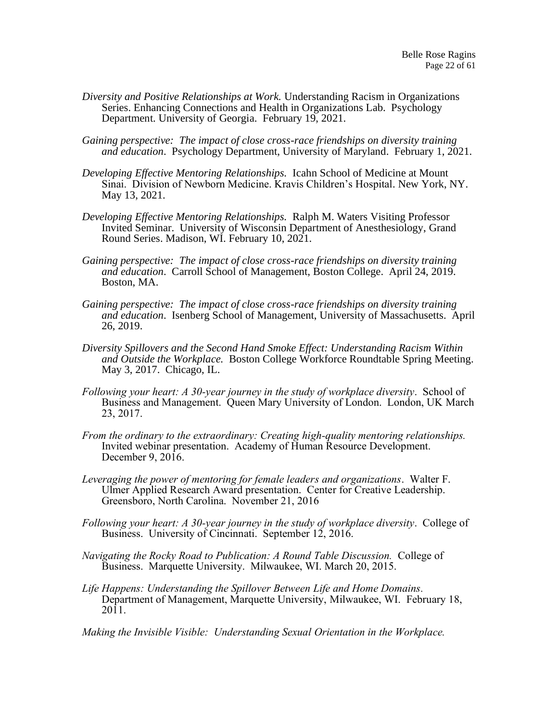- *Diversity and Positive Relationships at Work.* Understanding Racism in Organizations Series. Enhancing Connections and Health in Organizations Lab. Psychology Department. University of Georgia. February 19, 2021.
- *Gaining perspective: The impact of close cross-race friendships on diversity training and education*. Psychology Department, University of Maryland. February 1, 2021.
- *Developing Effective Mentoring Relationships.* Icahn School of Medicine at Mount Sinai. Division of Newborn Medicine. Kravis Children's Hospital. New York, NY. May 13, 2021.
- *Developing Effective Mentoring Relationships.* Ralph M. Waters Visiting Professor Invited Seminar. University of Wisconsin Department of Anesthesiology, Grand Round Series. Madison, WI. February 10, 2021.
- *Gaining perspective: The impact of close cross-race friendships on diversity training and education*. Carroll School of Management, Boston College. April 24, 2019. Boston, MA.
- *Gaining perspective: The impact of close cross-race friendships on diversity training and education*. Isenberg School of Management, University of Massachusetts. April 26, 2019.
- *Diversity Spillovers and the Second Hand Smoke Effect: Understanding Racism Within and Outside the Workplace.* Boston College Workforce Roundtable Spring Meeting. May 3, 2017. Chicago, IL.
- *Following your heart: A 30-year journey in the study of workplace diversity*. School of Business and Management. Queen Mary University of London. London, UK March 23, 2017.
- *From the ordinary to the extraordinary: Creating high-quality mentoring relationships.* Invited webinar presentation. Academy of Human Resource Development. December 9, 2016.
- *Leveraging the power of mentoring for female leaders and organizations*. Walter F. Ulmer Applied Research Award presentation. Center for Creative Leadership. Greensboro, North Carolina. November 21, 2016
- *Following your heart: A 30-year journey in the study of workplace diversity*. College of Business. University of Cincinnati. September 12, 2016.
- *Navigating the Rocky Road to Publication: A Round Table Discussion.* College of Business. Marquette University. Milwaukee, WI. March 20, 2015.
- *Life Happens: Understanding the Spillover Between Life and Home Domains.*  Department of Management, Marquette University, Milwaukee, WI. February 18,  $2011.$

*Making the Invisible Visible: Understanding Sexual Orientation in the Workplace.*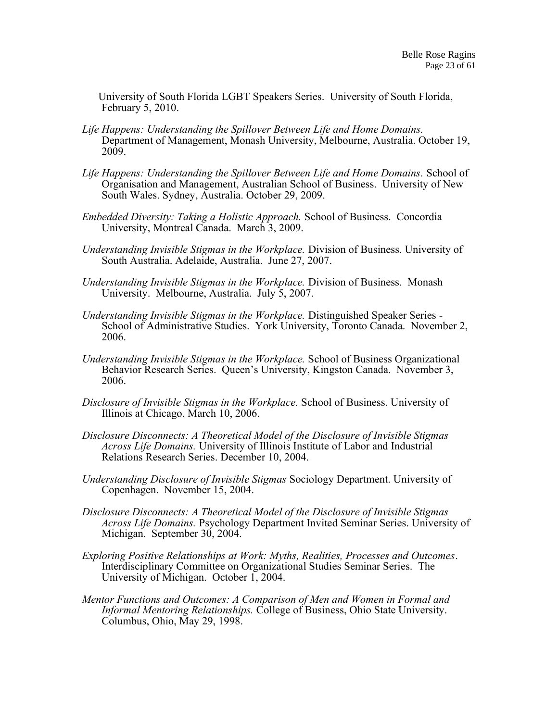University of South Florida LGBT Speakers Series. University of South Florida, February 5, 2010.

- *Life Happens: Understanding the Spillover Between Life and Home Domains.*  Department of Management, Monash University, Melbourne, Australia. October 19, 2009.
- *Life Happens: Understanding the Spillover Between Life and Home Domains.* School of Organisation and Management, Australian School of Business. University of New South Wales. Sydney, Australia. October 29, 2009.
- *Embedded Diversity: Taking a Holistic Approach.* School of Business. Concordia University, Montreal Canada. March 3, 2009.
- *Understanding Invisible Stigmas in the Workplace.* Division of Business. University of South Australia. Adelaide, Australia. June 27, 2007.
- *Understanding Invisible Stigmas in the Workplace.* Division of Business. Monash University. Melbourne, Australia. July 5, 2007.
- *Understanding Invisible Stigmas in the Workplace.* Distinguished Speaker Series School of Administrative Studies. York University, Toronto Canada. November 2, 2006.
- *Understanding Invisible Stigmas in the Workplace.* School of Business Organizational Behavior Research Series. Queen's University, Kingston Canada. November 3, 2006.
- *Disclosure of Invisible Stigmas in the Workplace.* School of Business. University of Illinois at Chicago. March 10, 2006.
- *Disclosure Disconnects: A Theoretical Model of the Disclosure of Invisible Stigmas Across Life Domains.* University of Illinois Institute of Labor and Industrial Relations Research Series. December 10, 2004.
- *Understanding Disclosure of Invisible Stigmas* Sociology Department. University of Copenhagen. November 15, 2004.
- *Disclosure Disconnects: A Theoretical Model of the Disclosure of Invisible Stigmas Across Life Domains.* Psychology Department Invited Seminar Series. University of Michigan. September 30, 2004.
- *Exploring Positive Relationships at Work: Myths, Realities, Processes and Outcomes*. Interdisciplinary Committee on Organizational Studies Seminar Series. The University of Michigan. October 1, 2004.
- *Mentor Functions and Outcomes: A Comparison of Men and Women in Formal and Informal Mentoring Relationships.* College of Business, Ohio State University. Columbus, Ohio, May 29, 1998.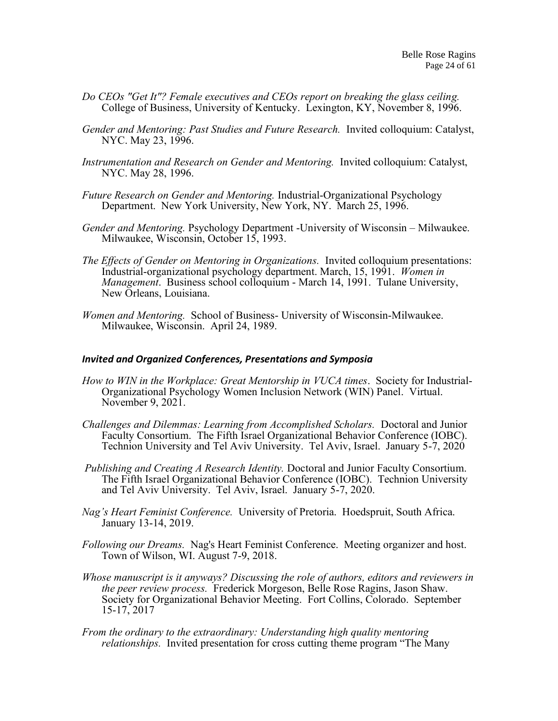- *Do CEOs "Get It"? Female executives and CEOs report on breaking the glass ceiling.* College of Business, University of Kentucky. Lexington, KY, November 8, 1996.
- *Gender and Mentoring: Past Studies and Future Research.* Invited colloquium: Catalyst, NYC. May 23, 1996.
- *Instrumentation and Research on Gender and Mentoring.* Invited colloquium: Catalyst, NYC. May 28, 1996.
- *Future Research on Gender and Mentoring.* Industrial-Organizational Psychology Department. New York University, New York, NY. March 25, 1996.
- *Gender and Mentoring.* Psychology Department -University of Wisconsin Milwaukee. Milwaukee, Wisconsin, October 15, 1993.
- *The Effects of Gender on Mentoring in Organizations.* Invited colloquium presentations: Industrial-organizational psychology department. March, 15, 1991. *Women in Management*. Business school colloquium - March 14, 1991. Tulane University, New Orleans, Louisiana.
- *Women and Mentoring.* School of Business- University of Wisconsin-Milwaukee. Milwaukee, Wisconsin. April 24, 1989.

#### *Invited and Organized Conferences, Presentations and Symposia*

- *How to WIN in the Workplace: Great Mentorship in VUCA times*. Society for Industrial-Organizational Psychology Women Inclusion Network (WIN) Panel. Virtual. November 9, 2021.
- *Challenges and Dilemmas: Learning from Accomplished Scholars.* Doctoral and Junior Faculty Consortium.The Fifth Israel Organizational Behavior Conference (IOBC). Technion University and Tel Aviv University. Tel Aviv, Israel. January 5-7, 2020
- *Publishing and Creating A Research Identity.* Doctoral and Junior Faculty Consortium. The Fifth Israel Organizational Behavior Conference (IOBC). Technion University and Tel Aviv University. Tel Aviv, Israel. January 5-7, 2020.
- *Nag's Heart Feminist Conference.* University of Pretoria. Hoedspruit, South Africa. January 13-14, 2019.
- *Following our Dreams.* Nag's Heart Feminist Conference. Meeting organizer and host. Town of Wilson, WI. August 7-9, 2018.
- *Whose manuscript is it anyways? Discussing the role of authors, editors and reviewers in the peer review process.* Frederick Morgeson, Belle Rose Ragins, Jason Shaw. Society for Organizational Behavior Meeting. Fort Collins, Colorado. September 15-17, 2017
- *From the ordinary to the extraordinary: Understanding high quality mentoring relationships.* Invited presentation for cross cutting theme program "The Many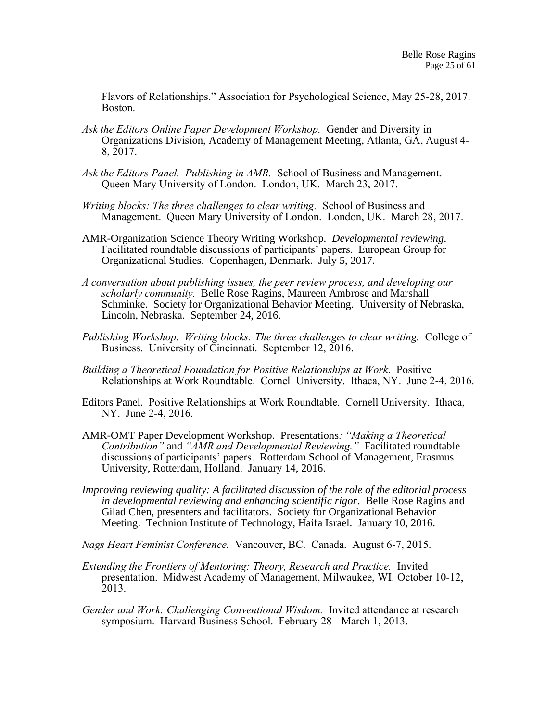Flavors of Relationships." Association for Psychological Science, May 25-28, 2017. Boston.

- *Ask the Editors Online Paper Development Workshop.* Gender and Diversity in Organizations Division, Academy of Management Meeting, Atlanta, GA, August 4- 8, 2017.
- *Ask the Editors Panel. Publishing in AMR.* School of Business and Management. Queen Mary University of London. London, UK. March 23, 2017.
- *Writing blocks: The three challenges to clear writing.* School of Business and Management. Queen Mary University of London. London, UK. March 28, 2017.
- AMR-Organization Science Theory Writing Workshop. *Developmental reviewing*. Facilitated roundtable discussions of participants' papers. European Group for Organizational Studies. Copenhagen, Denmark. July 5, 2017.
- *A conversation about publishing issues, the peer review process, and developing our scholarly community.* Belle Rose Ragins, Maureen Ambrose and Marshall Schminke. Society for Organizational Behavior Meeting. University of Nebraska, Lincoln, Nebraska. September 24, 2016.
- *Publishing Workshop. Writing blocks: The three challenges to clear writing.* College of Business. University of Cincinnati. September 12, 2016.
- *Building a Theoretical Foundation for Positive Relationships at Work*. Positive Relationships at Work Roundtable. Cornell University. Ithaca, NY. June 2-4, 2016.
- Editors Panel. Positive Relationships at Work Roundtable. Cornell University. Ithaca, NY. June 2-4, 2016.
- AMR-OMT Paper Development Workshop*.* Presentations*: "Making a Theoretical Contribution"* and *"AMR and Developmental Reviewing."* Facilitated roundtable discussions of participants' papers. Rotterdam School of Management, Erasmus University, Rotterdam, Holland. January 14, 2016.
- *Improving reviewing quality: A facilitated discussion of the role of the editorial process in developmental reviewing and enhancing scientific rigor*. Belle Rose Ragins and Gilad Chen, presenters and facilitators. Society for Organizational Behavior Meeting. Technion Institute of Technology, Haifa Israel. January 10, 2016.
- *Nags Heart Feminist Conference.* Vancouver, BC. Canada. August 6-7, 2015.
- *Extending the Frontiers of Mentoring: Theory, Research and Practice.* Invited presentation. Midwest Academy of Management, Milwaukee, WI. October 10-12, 2013.
- *Gender and Work: Challenging Conventional Wisdom.* Invited attendance at research symposium. Harvard Business School. February 28 - March 1, 2013.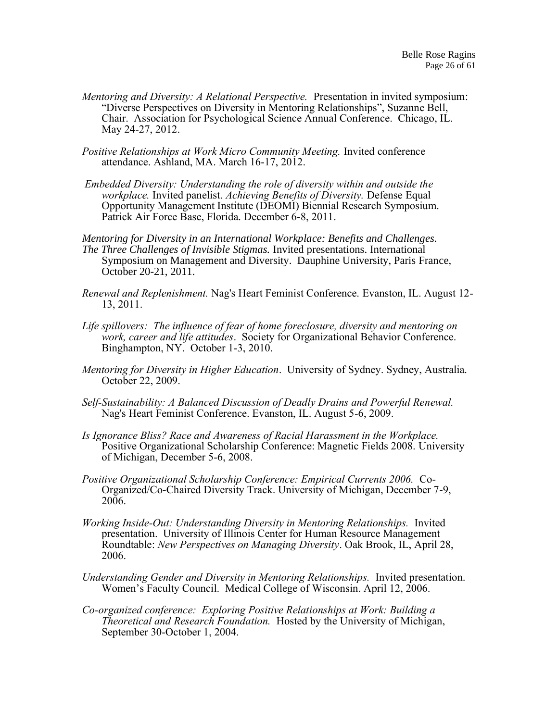- *Mentoring and Diversity: A Relational Perspective.* Presentation in invited symposium: "Diverse Perspectives on Diversity in Mentoring Relationships", Suzanne Bell, Chair. Association for Psychological Science Annual Conference. Chicago, IL. May 24-27, 2012.
- *Positive Relationships at Work Micro Community Meeting.* Invited conference attendance. Ashland, MA. March 16-17, 2012.
- *Embedded Diversity: Understanding the role of diversity within and outside the workplace.* Invited panelist. *Achieving Benefits of Diversity.* Defense Equal Opportunity Management Institute (DEOMI) Biennial Research Symposium. Patrick Air Force Base, Florida. December 6-8, 2011.
- *Mentoring for Diversity in an International Workplace: Benefits and Challenges. The Three Challenges of Invisible Stigmas.* Invited presentations. International Symposium on Management and Diversity. Dauphine University, Paris France, October 20-21, 2011.
- *Renewal and Replenishment.* Nag's Heart Feminist Conference. Evanston, IL. August 12- 13, 2011.
- *Life spillovers: The influence of fear of home foreclosure, diversity and mentoring on work, career and life attitudes*. Society for Organizational Behavior Conference. Binghampton, NY. October 1-3, 2010.
- *Mentoring for Diversity in Higher Education*. University of Sydney. Sydney, Australia. October 22, 2009.
- *Self-Sustainability: A Balanced Discussion of Deadly Drains and Powerful Renewal.* Nag's Heart Feminist Conference. Evanston, IL. August 5-6, 2009.
- Is Ignorance Bliss? Race and Awareness of Racial Harassment in the Workplace. Positive Organizational Scholarship Conference: Magnetic Fields 2008. University of Michigan, December 5-6, 2008.
- *Positive Organizational Scholarship Conference: Empirical Currents 2006.* Co-Organized/Co-Chaired Diversity Track. University of Michigan, December 7-9, 2006.
- *Working Inside-Out: Understanding Diversity in Mentoring Relationships.* Invited presentation. University of Illinois Center for Human Resource Management Roundtable: *New Perspectives on Managing Diversity*. Oak Brook, IL, April 28, 2006.
- *Understanding Gender and Diversity in Mentoring Relationships.* Invited presentation. Women's Faculty Council. Medical College of Wisconsin. April 12, 2006.
- *Co-organized conference: Exploring Positive Relationships at Work: Building a Theoretical and Research Foundation.* Hosted by the University of Michigan, September 30-October 1, 2004.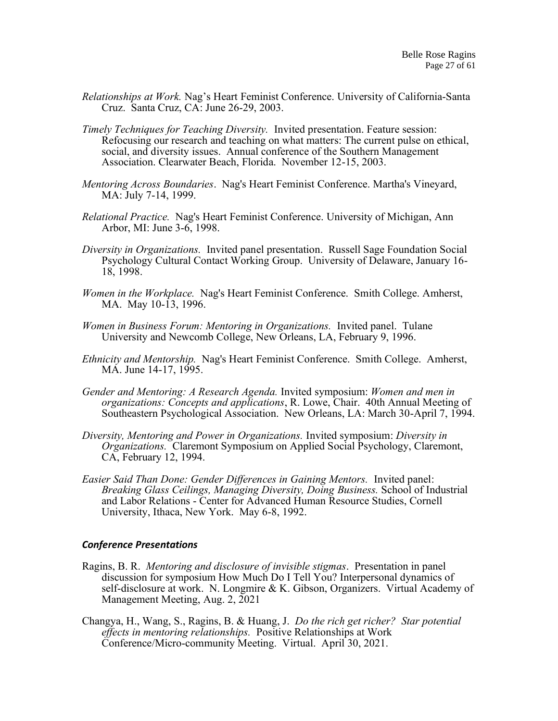- *Relationships at Work.* Nag's Heart Feminist Conference. University of California-Santa Cruz. Santa Cruz, CA: June 26-29, 2003.
- *Timely Techniques for Teaching Diversity.* Invited presentation. Feature session: Refocusing our research and teaching on what matters: The current pulse on ethical, social, and diversity issues. Annual conference of the Southern Management Association. Clearwater Beach, Florida. November 12-15, 2003.
- *Mentoring Across Boundaries*. Nag's Heart Feminist Conference. Martha's Vineyard, MA: July 7-14, 1999.
- *Relational Practice.* Nag's Heart Feminist Conference. University of Michigan, Ann Arbor, MI: June 3-6, 1998.
- *Diversity in Organizations.* Invited panel presentation. Russell Sage Foundation Social Psychology Cultural Contact Working Group. University of Delaware, January 16- 18, 1998.
- *Women in the Workplace.* Nag's Heart Feminist Conference. Smith College. Amherst, MA. May 10-13, 1996.
- *Women in Business Forum: Mentoring in Organizations.* Invited panel. Tulane University and Newcomb College, New Orleans, LA, February 9, 1996.
- *Ethnicity and Mentorship.* Nag's Heart Feminist Conference. Smith College. Amherst, MA. June 14-17, 1995.
- *Gender and Mentoring: A Research Agenda.* Invited symposium: *Women and men in organizations: Concepts and applications*, R. Lowe, Chair. 40th Annual Meeting of Southeastern Psychological Association. New Orleans, LA: March 30-April 7, 1994.
- *Diversity, Mentoring and Power in Organizations.* Invited symposium: *Diversity in Organizations.* Claremont Symposium on Applied Social Psychology, Claremont, CA, February 12, 1994.
- *Easier Said Than Done: Gender Differences in Gaining Mentors.* Invited panel: *Breaking Glass Ceilings, Managing Diversity, Doing Business.* School of Industrial and Labor Relations - Center for Advanced Human Resource Studies, Cornell University, Ithaca, New York. May 6-8, 1992.

#### *Conference Presentations*

- Ragins, B. R. *Mentoring and disclosure of invisible stigmas*. Presentation in panel discussion for symposium How Much Do I Tell You? Interpersonal dynamics of self-disclosure at work. N. Longmire & K. Gibson, Organizers. Virtual Academy of Management Meeting, Aug. 2, 2021
- Changya, H., Wang, S., Ragins, B. & Huang, J. *Do the rich get richer? Star potential effects in mentoring relationships.* Positive Relationships at Work Conference/Micro-community Meeting. Virtual. April 30, 2021.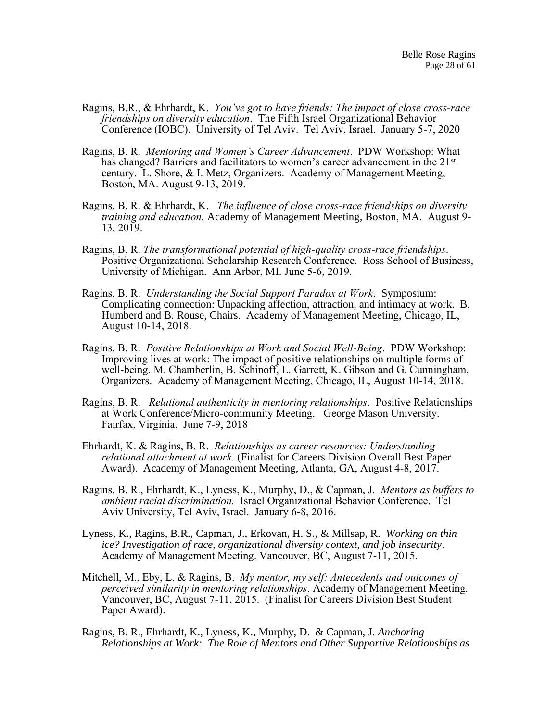- Ragins, B.R., & Ehrhardt, K. *You've got to have friends: The impact of close cross-race friendships on diversity education*. The Fifth Israel Organizational Behavior Conference (IOBC). University of Tel Aviv. Tel Aviv, Israel. January 5-7, 2020
- Ragins, B. R. *Mentoring and Women's Career Advancement*. PDW Workshop: What has changed? Barriers and facilitators to women's career advancement in the 21<sup>st</sup> century. L. Shore, & I. Metz, Organizers. Academy of Management Meeting, Boston, MA. August 9-13, 2019.
- Ragins, B. R. & Ehrhardt, K. *The influence of close cross-race friendships on diversity training and education.* Academy of Management Meeting, Boston, MA. August 9- 13, 2019.
- Ragins, B. R. *The transformational potential of high-quality cross-race friendships*. Positive Organizational Scholarship Research Conference. Ross School of Business, University of Michigan. Ann Arbor, MI. June 5-6, 2019.
- Ragins, B. R. *Understanding the Social Support Paradox at Work*. Symposium: Complicating connection: Unpacking affection, attraction, and intimacy at work. B. Humberd and B. Rouse, Chairs. Academy of Management Meeting, Chicago, IL, August 10-14, 2018.
- Ragins, B. R. *Positive Relationships at Work and Social Well-Being*. PDW Workshop: Improving lives at work: The impact of positive relationships on multiple forms of well-being. M. Chamberlin, B. Schinoff, L. Garrett, K. Gibson and G. Cunningham, Organizers. Academy of Management Meeting, Chicago, IL, August 10-14, 2018.
- Ragins, B. R. *Relational authenticity in mentoring relationships*. Positive Relationships at Work Conference/Micro-community Meeting. George Mason University. Fairfax, Virginia. June 7-9, 2018
- Ehrhardt, K. & Ragins, B. R. *Relationships as career resources: Understanding relational attachment at work.* (Finalist for Careers Division Overall Best Paper Award). Academy of Management Meeting, Atlanta, GA, August 4-8, 2017.
- Ragins, B. R., Ehrhardt, K., Lyness, K., Murphy, D., & Capman, J. *Mentors as buffers to ambient racial discrimination.* Israel Organizational Behavior Conference. Tel Aviv University, Tel Aviv, Israel. January 6-8, 2016.
- Lyness, K., Ragins, B.R., Capman, J., Erkovan, H. S., & Millsap, R. *Working on thin ice? Investigation of race, organizational diversity context, and job insecurity*. Academy of Management Meeting. Vancouver, BC, August 7-11, 2015.
- Mitchell, M., Eby, L. & Ragins, B. *My mentor, my self: Antecedents and outcomes of perceived similarity in mentoring relationships*. Academy of Management Meeting. Vancouver, BC, August 7-11, 2015. (Finalist for Careers Division Best Student Paper Award).
- Ragins, B. R., Ehrhardt, K., Lyness, K., Murphy, D. & Capman, J. *Anchoring Relationships at Work: The Role of Mentors and Other Supportive Relationships as*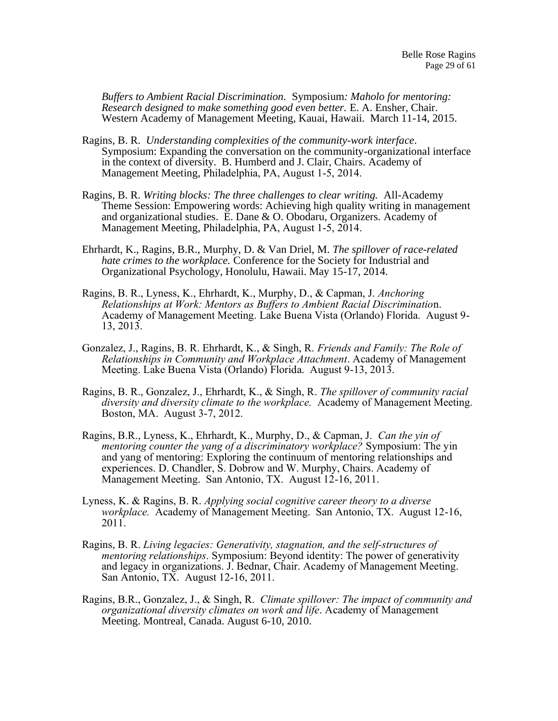*Buffers to Ambient Racial Discrimination.* Symposium*: Maholo for mentoring: Research designed to make something good even better.* E. A. Ensher, Chair. Western Academy of Management Meeting, Kauai, Hawaii. March 11-14, 2015.

- Ragins, B. R. *Understanding complexities of the community-work interface*. Symposium: Expanding the conversation on the community-organizational interface in the context of diversity. B. Humberd and J. Clair, Chairs. Academy of Management Meeting, Philadelphia, PA, August 1-5, 2014.
- Ragins, B. R. *Writing blocks: The three challenges to clear writing.* All-Academy Theme Session: Empowering words: Achieving high quality writing in management and organizational studies. E. Dane & O. Obodaru, Organizers. Academy of Management Meeting, Philadelphia, PA, August 1-5, 2014.
- Ehrhardt, K., Ragins, B.R., Murphy, D. & Van Driel, M. *The spillover of race-related hate crimes to the workplace.* Conference for the Society for Industrial and Organizational Psychology, Honolulu, Hawaii. May 15-17, 2014.
- Ragins, B. R., Lyness, K., Ehrhardt, K., Murphy, D., & Capman, J. *Anchoring Relationships at Work: Mentors as Buffers to Ambient Racial Discriminatio*n. Academy of Management Meeting. Lake Buena Vista (Orlando) Florida. August 9- 13, 2013.
- Gonzalez, J., Ragins, B. R. Ehrhardt, K., & Singh, R. *Friends and Family: The Role of Relationships in Community and Workplace Attachment*. Academy of Management Meeting. Lake Buena Vista (Orlando) Florida. August 9-13, 2013.
- Ragins, B. R., Gonzalez, J., Ehrhardt, K., & Singh, R. *The spillover of community racial diversity and diversity climate to the workplace.* Academy of Management Meeting. Boston, MA. August 3-7, 2012.
- Ragins, B.R., Lyness, K., Ehrhardt, K., Murphy, D., & Capman, J. *Can the yin of mentoring counter the yang of a discriminatory workplace?* Symposium: The yin and yang of mentoring: Exploring the continuum of mentoring relationships and experiences. D. Chandler, S. Dobrow and W. Murphy, Chairs. Academy of Management Meeting. San Antonio, TX. August 12-16, 2011.
- Lyness, K. & Ragins, B. R. *Applying social cognitive career theory to a diverse workplace.* Academy of Management Meeting. San Antonio, TX. August 12-16, 2011.
- Ragins, B. R. *Living legacies: Generativity, stagnation, and the self-structures of mentoring relationships*. Symposium: Beyond identity: The power of generativity and legacy in organizations. J. Bednar, Chair. Academy of Management Meeting. San Antonio, TX. August 12-16, 2011.
- Ragins, B.R., Gonzalez, J., & Singh, R. *Climate spillover: The impact of community and organizational diversity climates on work and life*. Academy of Management Meeting. Montreal, Canada. August 6-10, 2010.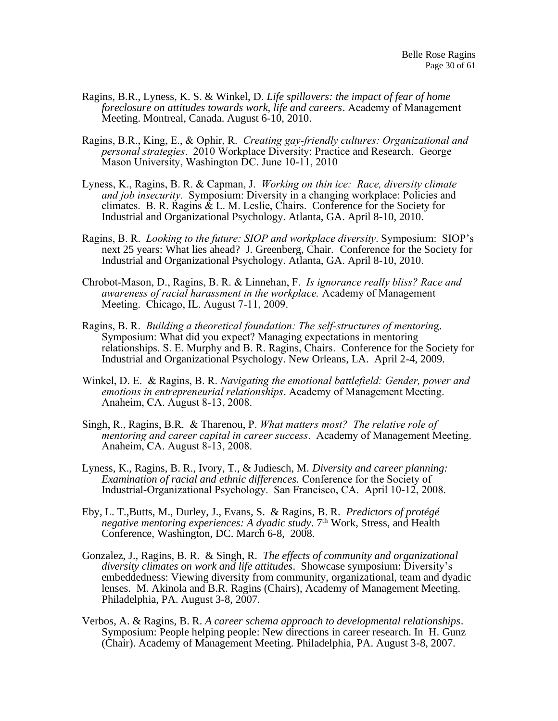- Ragins, B.R., Lyness, K. S. & Winkel, D. *Life spillovers: the impact of fear of home foreclosure on attitudes towards work, life and careers*. Academy of Management Meeting. Montreal, Canada. August 6-10, 2010.
- Ragins, B.R., King, E., & Ophir, R. *Creating gay-friendly cultures: Organizational and personal strategies*. 2010 Workplace Diversity: Practice and Research. George Mason University, Washington DC. June 10-11, 2010
- Lyness, K., Ragins, B. R. & Capman, J. *Working on thin ice: Race, diversity climate and job insecurity.* Symposium: Diversity in a changing workplace: Policies and climates. B. R. Ragins & L. M. Leslie, Chairs. Conference for the Society for Industrial and Organizational Psychology. Atlanta, GA. April 8-10, 2010.
- Ragins, B. R. *Looking to the future: SIOP and workplace diversity*. Symposium: SIOP's next 25 years: What lies ahead? J. Greenberg, Chair. Conference for the Society for Industrial and Organizational Psychology. Atlanta, GA. April 8-10, 2010.
- Chrobot-Mason, D., Ragins, B. R. & Linnehan, F. *Is ignorance really bliss? Race and awareness of racial harassment in the workplace.* Academy of Management Meeting. Chicago, IL. August 7-11, 2009.
- Ragins, B. R. *Building a theoretical foundation: The self-structures of mentorin*g. Symposium: What did you expect? Managing expectations in mentoring relationships. S. E. Murphy and B. R. Ragins, Chairs. Conference for the Society for Industrial and Organizational Psychology. New Orleans, LA. April 2-4, 2009.
- Winkel, D. E. & Ragins, B. R. *Navigating the emotional battlefield: Gender, power and emotions in entrepreneurial relationships*. Academy of Management Meeting. Anaheim, CA. August 8-13, 2008.
- Singh, R., Ragins, B.R. & Tharenou, P. *What matters most? The relative role of mentoring and career capital in career success*. Academy of Management Meeting. Anaheim, CA. August 8-13, 2008.
- Lyness, K., Ragins, B. R., Ivory, T., & Judiesch, M. *Diversity and career planning: Examination of racial and ethnic differences.* Conference for the Society of Industrial-Organizational Psychology. San Francisco, CA. April 10-12, 2008.
- Eby, L. T.,Butts, M., Durley, J., Evans, S. & Ragins, B. R. *Predictors of protégé negative mentoring experiences: A dyadic study.* 7<sup>th</sup> Work, Stress, and Health Conference, Washington, DC. March 6-8, 2008.
- Gonzalez, J., Ragins, B. R. & Singh, R. *The effects of community and organizational diversity climates on work and life attitudes*. Showcase symposium: Diversity's embeddedness: Viewing diversity from community, organizational, team and dyadic lenses. M. Akinola and B.R. Ragins (Chairs), Academy of Management Meeting. Philadelphia, PA. August 3-8, 2007.
- Verbos, A. & Ragins, B. R. *A career schema approach to developmental relationships*. Symposium: People helping people: New directions in career research. In H. Gunz (Chair). Academy of Management Meeting. Philadelphia, PA. August 3-8, 2007.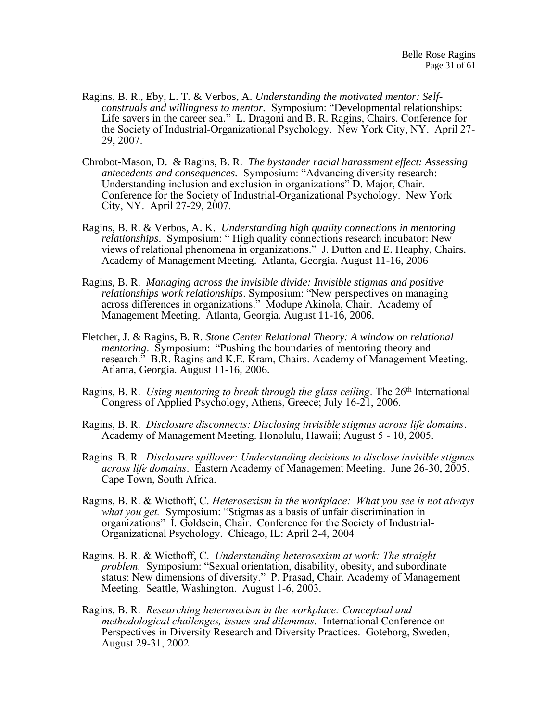- Ragins, B. R., Eby, L. T. & Verbos, A. *Understanding the motivated mentor: Selfconstruals and willingness to mentor.* Symposium: "Developmental relationships: Life savers in the career sea." L. Dragoni and B. R. Ragins, Chairs. Conference for the Society of Industrial-Organizational Psychology. New York City, NY. April 27- 29, 2007.
- Chrobot-Mason, D. & Ragins, B. R. *The bystander racial harassment effect: Assessing antecedents and consequences.* Symposium: "Advancing diversity research: Understanding inclusion and exclusion in organizations" D. Major, Chair. Conference for the Society of Industrial-Organizational Psychology. New York City, NY. April 27-29, 2007.
- Ragins, B. R. & Verbos, A. K. *Understanding high quality connections in mentoring relationships*. Symposium: " High quality connections research incubator: New views of relational phenomena in organizations." J. Dutton and E. Heaphy, Chairs. Academy of Management Meeting. Atlanta, Georgia. August 11-16, 2006
- Ragins, B. R. *Managing across the invisible divide: Invisible stigmas and positive relationships work relationships*. Symposium: "New perspectives on managing across differences in organizations." Modupe Akinola, Chair. Academy of Management Meeting. Atlanta, Georgia. August 11-16, 2006.
- Fletcher, J. & Ragins, B. R. *Stone Center Relational Theory: A window on relational mentoring*. Symposium: "Pushing the boundaries of mentoring theory and research." B.R. Ragins and K.E. Kram, Chairs. Academy of Management Meeting. Atlanta, Georgia. August 11-16, 2006.
- Ragins, B. R. *Using mentoring to break through the glass ceiling*. The 26<sup>th</sup> International Congress of Applied Psychology, Athens, Greece; July 16-21, 2006.
- Ragins, B. R. *Disclosure disconnects: Disclosing invisible stigmas across life domains*. Academy of Management Meeting. Honolulu, Hawaii; August 5 - 10, 2005.
- Ragins. B. R. *Disclosure spillover: Understanding decisions to disclose invisible stigmas across life domains*. Eastern Academy of Management Meeting. June 26-30, 2005. Cape Town, South Africa.
- Ragins, B. R. & Wiethoff, C. *Heterosexism in the workplace: What you see is not always what you get.* Symposium: "Stigmas as a basis of unfair discrimination in organizations" I. Goldsein, Chair. Conference for the Society of Industrial-Organizational Psychology. Chicago, IL: April 2-4, 2004
- Ragins. B. R. & Wiethoff, C. *Understanding heterosexism at work: The straight problem.* Symposium: "Sexual orientation, disability, obesity, and subordinate status: New dimensions of diversity." P. Prasad, Chair. Academy of Management Meeting. Seattle, Washington. August 1-6, 2003.
- Ragins, B. R. *Researching heterosexism in the workplace: Conceptual and methodological challenges, issues and dilemmas.* International Conference on Perspectives in Diversity Research and Diversity Practices. Goteborg, Sweden, August 29-31, 2002.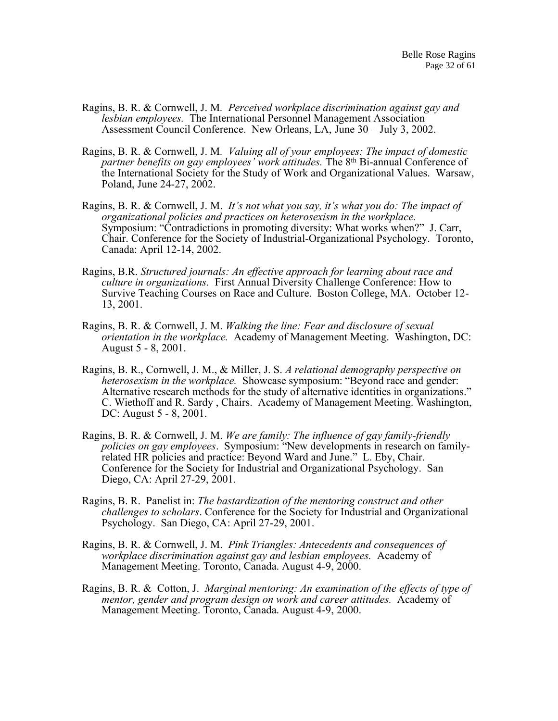- Ragins, B. R. & Cornwell, J. M*. Perceived workplace discrimination against gay and lesbian employees.* The International Personnel Management Association Assessment Council Conference. New Orleans, LA, June 30 – July 3, 2002.
- Ragins, B. R. & Cornwell, J. M*. Valuing all of your employees: The impact of domestic partner benefits on gay employees' work attitudes.* The 8th Bi-annual Conference of the International Society for the Study of Work and Organizational Values. Warsaw, Poland, June 24-27, 2002.
- Ragins, B. R. & Cornwell, J. M. *It's not what you say, it's what you do: The impact of organizational policies and practices on heterosexism in the workplace.* Symposium: "Contradictions in promoting diversity: What works when?" J. Carr, Chair. Conference for the Society of Industrial-Organizational Psychology. Toronto, Canada: April 12-14, 2002.
- Ragins, B.R. *Structured journals: An effective approach for learning about race and culture in organizations.* First Annual Diversity Challenge Conference: How to Survive Teaching Courses on Race and Culture. Boston College, MA. October 12- 13, 2001.
- Ragins, B. R. & Cornwell, J. M. *Walking the line: Fear and disclosure of sexual orientation in the workplace.* Academy of Management Meeting. Washington, DC: August 5 - 8, 2001.
- Ragins, B. R., Cornwell, J. M., & Miller, J. S. *A relational demography perspective on heterosexism in the workplace.* Showcase symposium: "Beyond race and gender: Alternative research methods for the study of alternative identities in organizations." C. Wiethoff and R. Sardy , Chairs. Academy of Management Meeting. Washington, DC: August 5 - 8, 2001.
- Ragins, B. R. & Cornwell, J. M. *We are family: The influence of gay family-friendly policies on gay employees*. Symposium: "New developments in research on familyrelated HR policies and practice: Beyond Ward and June." L. Eby, Chair. Conference for the Society for Industrial and Organizational Psychology. San Diego, CA: April 27-29, 2001.
- Ragins, B. R. Panelist in: *The bastardization of the mentoring construct and other challenges to scholars*. Conference for the Society for Industrial and Organizational Psychology. San Diego, CA: April 27-29, 2001.
- Ragins, B. R. & Cornwell, J. M. *Pink Triangles: Antecedents and consequences of workplace discrimination against gay and lesbian employees.* Academy of Management Meeting. Toronto, Canada. August 4-9, 2000.
- Ragins, B. R. & Cotton, J. *Marginal mentoring: An examination of the effects of type of mentor, gender and program design on work and career attitudes.* Academy of Management Meeting. Toronto, Canada. August 4-9, 2000.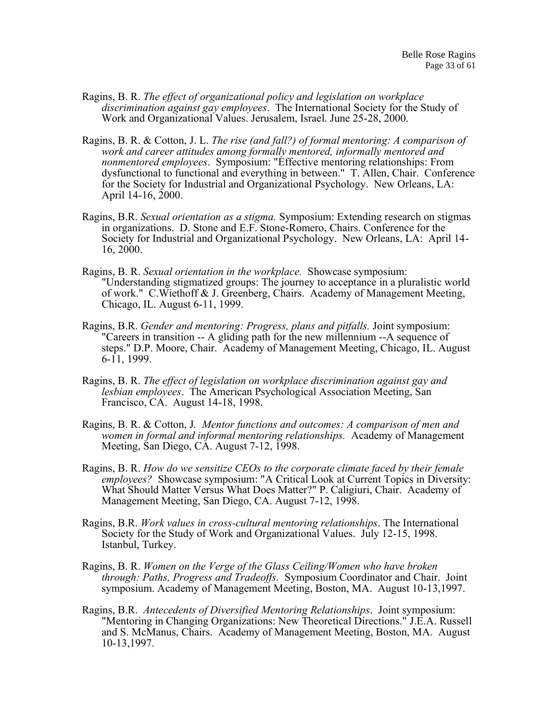- Ragins, B. R. *The effect of organizational policy and legislation on workplace discrimination against gay employees*. The International Society for the Study of Work and Organizational Values. Jerusalem, Israel. June 25-28, 2000.
- Ragins, B. R. & Cotton, J. L. *The rise (and fall?) of formal mentoring: A comparison of work and career attitudes among formally mentored, informally mentored and nonmentored employees*. Symposium: "Effective mentoring relationships: From dysfunctional to functional and everything in between." T. Allen, Chair. Conference for the Society for Industrial and Organizational Psychology. New Orleans, LA: April 14-16, 2000.
- Ragins, B.R. *Sexual orientation as a stigma.* Symposium: Extending research on stigmas in organizations. D. Stone and E.F. Stone-Romero, Chairs. Conference for the Society for Industrial and Organizational Psychology. New Orleans, LA: April 14- 16, 2000.
- Ragins, B. R. *Sexual orientation in the workplace.* Showcase symposium: "Understanding stigmatized groups: The journey to acceptance in a pluralistic world of work." C.Wiethoff & J. Greenberg, Chairs. Academy of Management Meeting, Chicago, IL. August 6-11, 1999.
- Ragins, B.R. *Gender and mentoring: Progress, plans and pitfalls.* Joint symposium: "Careers in transition -- A gliding path for the new millennium --A sequence of steps." D.P. Moore, Chair. Academy of Management Meeting, Chicago, IL. August 6-11, 1999.
- Ragins, B. R. *The effect of legislation on workplace discrimination against gay and lesbian employees*. The American Psychological Association Meeting, San Francisco, CA. August 14-18, 1998.
- Ragins, B. R. & Cotton, J*. Mentor functions and outcomes: A comparison of men and women in formal and informal mentoring relationships.* Academy of Management Meeting, San Diego, CA. August 7-12, 1998.
- Ragins, B. R. *How do we sensitize CEOs to the corporate climate faced by their female employees?* Showcase symposium: "A Critical Look at Current Topics in Diversity: What Should Matter Versus What Does Matter?" P. Caligiuri, Chair. Academy of Management Meeting, San Diego, CA. August 7-12, 1998.
- Ragins, B.R. *Work values in cross-cultural mentoring relationships*. The International Society for the Study of Work and Organizational Values. July 12-15, 1998. Istanbul, Turkey.
- Ragins, B. R. *Women on the Verge of the Glass Ceiling/Women who have broken through: Paths, Progress and Tradeoffs.* Symposium Coordinator and Chair. Joint symposium. Academy of Management Meeting, Boston, MA. August 10-13,1997.
- Ragins, B.R. *Antecedents of Diversified Mentoring Relationships*. Joint symposium: "Mentoring in Changing Organizations: New Theoretical Directions." J.E.A. Russell and S. McManus, Chairs. Academy of Management Meeting, Boston, MA. August 10-13,1997.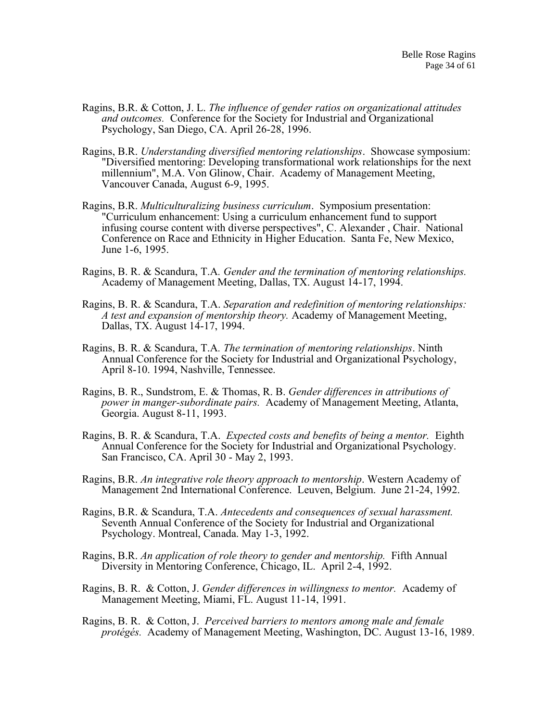- Ragins, B.R. & Cotton, J. L. *The influence of gender ratios on organizational attitudes and outcomes.* Conference for the Society for Industrial and Organizational Psychology, San Diego, CA. April 26-28, 1996.
- Ragins, B.R. *Understanding diversified mentoring relationships*. Showcase symposium: "Diversified mentoring: Developing transformational work relationships for the next millennium", M.A. Von Glinow, Chair. Academy of Management Meeting, Vancouver Canada, August 6-9, 1995.
- Ragins, B.R. *Multiculturalizing business curriculum*. Symposium presentation: "Curriculum enhancement: Using a curriculum enhancement fund to support infusing course content with diverse perspectives", C. Alexander , Chair. National Conference on Race and Ethnicity in Higher Education. Santa Fe, New Mexico, June 1-6, 1995.
- Ragins, B. R. & Scandura, T.A*. Gender and the termination of mentoring relationships.* Academy of Management Meeting, Dallas, TX. August 14-17, 1994.
- Ragins, B. R. & Scandura, T.A. *Separation and redefinition of mentoring relationships: A test and expansion of mentorship theory.* Academy of Management Meeting, Dallas, TX. August 14-17, 1994.
- Ragins, B. R. & Scandura, T.A*. The termination of mentoring relationships*. Ninth Annual Conference for the Society for Industrial and Organizational Psychology, April 8-10. 1994, Nashville, Tennessee.
- Ragins, B. R., Sundstrom, E. & Thomas, R. B. *Gender differences in attributions of power in manger-subordinate pairs.* Academy of Management Meeting, Atlanta, Georgia. August 8-11, 1993.
- Ragins, B. R. & Scandura, T.A. *Expected costs and benefits of being a mentor.* Eighth Annual Conference for the Society for Industrial and Organizational Psychology. San Francisco, CA. April 30 - May 2, 1993.
- Ragins, B.R. *An integrative role theory approach to mentorship*. Western Academy of Management 2nd International Conference. Leuven, Belgium. June 21-24, 1992.
- Ragins, B.R. & Scandura, T.A. *Antecedents and consequences of sexual harassment.* Seventh Annual Conference of the Society for Industrial and Organizational Psychology. Montreal, Canada. May 1-3, 1992.
- Ragins, B.R. *An application of role theory to gender and mentorship.* Fifth Annual Diversity in Mentoring Conference, Chicago, IL. April 2-4, 1992.
- Ragins, B. R. & Cotton, J. *Gender differences in willingness to mentor.* Academy of Management Meeting, Miami, FL. August 11-14, 1991.
- Ragins, B. R. & Cotton, J. *Perceived barriers to mentors among male and female protégés.* Academy of Management Meeting, Washington, DC. August 13-16, 1989.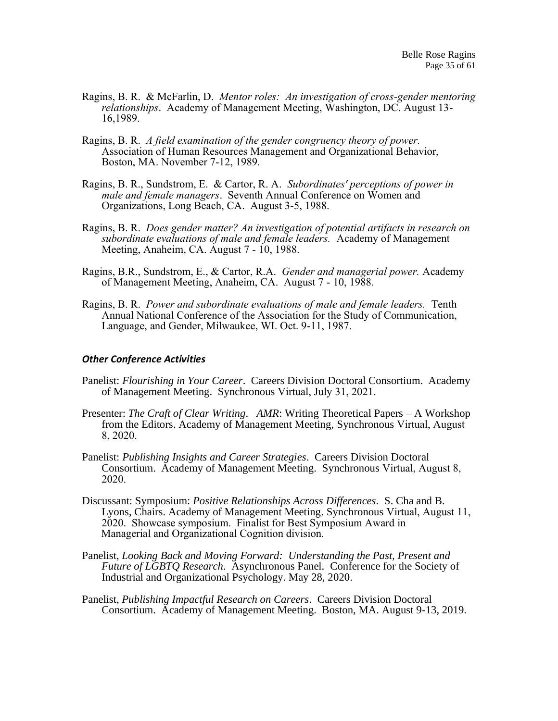- Ragins, B. R. & McFarlin, D. *Mentor roles: An investigation of cross-gender mentoring relationships*. Academy of Management Meeting, Washington, DC. August 13- 16,1989.
- Ragins, B. R. *A field examination of the gender congruency theory of power.* Association of Human Resources Management and Organizational Behavior, Boston, MA. November 7-12, 1989.
- Ragins, B. R., Sundstrom, E. & Cartor, R. A. *Subordinates' perceptions of power in male and female managers*. Seventh Annual Conference on Women and Organizations, Long Beach, CA. August 3-5, 1988.
- Ragins, B. R. *Does gender matter? An investigation of potential artifacts in research on subordinate evaluations of male and female leaders.* Academy of Management Meeting, Anaheim, CA. August 7 - 10, 1988.
- Ragins, B.R., Sundstrom, E., & Cartor, R.A. *Gender and managerial power.* Academy of Management Meeting, Anaheim, CA. August 7 - 10, 1988.
- Ragins, B. R. *Power and subordinate evaluations of male and female leaders.* Tenth Annual National Conference of the Association for the Study of Communication, Language, and Gender, Milwaukee, WI. Oct. 9-11, 1987.

#### *Other Conference Activities*

- Panelist: *Flourishing in Your Career*. Careers Division Doctoral Consortium. Academy of Management Meeting. Synchronous Virtual, July 31, 2021.
- Presenter: *The Craft of Clear Writing*. *AMR*: Writing Theoretical Papers A Workshop from the Editors. Academy of Management Meeting, Synchronous Virtual, August 8, 2020.
- Panelist: *Publishing Insights and Career Strategies*. Careers Division Doctoral Consortium. Academy of Management Meeting. Synchronous Virtual, August 8, 2020.
- Discussant: Symposium: *Positive Relationships Across Differences.* S. Cha and B. Lyons, Chairs. Academy of Management Meeting. Synchronous Virtual, August 11, 2020. Showcase symposium. Finalist for Best Symposium Award in Managerial and Organizational Cognition division.
- Panelist, *Looking Back and Moving Forward: Understanding the Past, Present and Future of LGBTQ Research*. Asynchronous Panel. Conference for the Society of Industrial and Organizational Psychology. May 28, 2020.
- Panelist, *Publishing Impactful Research on Careers*. Careers Division Doctoral Consortium. Academy of Management Meeting. Boston, MA. August 9-13, 2019.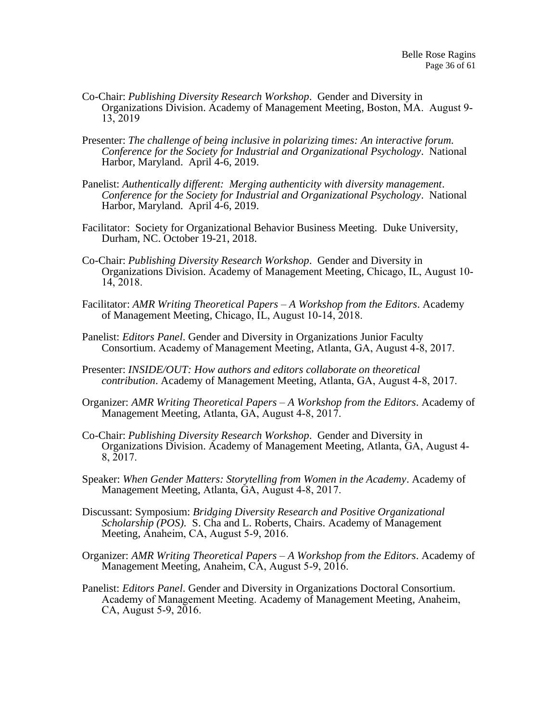- Co-Chair: *Publishing Diversity Research Workshop*. Gender and Diversity in Organizations Division. Academy of Management Meeting, Boston, MA. August 9- 13, 2019
- Presenter: *The challenge of being inclusive in polarizing times: An interactive forum. Conference for the Society for Industrial and Organizational Psychology*. National Harbor, Maryland. April 4-6, 2019.
- Panelist: *Authentically different: Merging authenticity with diversity management*. *Conference for the Society for Industrial and Organizational Psychology*. National Harbor, Maryland. April 4-6, 2019.
- Facilitator: Society for Organizational Behavior Business Meeting. Duke University, Durham, NC. October 19-21, 2018.
- Co-Chair: *Publishing Diversity Research Workshop*. Gender and Diversity in Organizations Division. Academy of Management Meeting, Chicago, IL, August 10- 14, 2018.
- Facilitator: *AMR Writing Theoretical Papers – A Workshop from the Editors*. Academy of Management Meeting, Chicago, IL, August 10-14, 2018.
- Panelist: *Editors Panel*. Gender and Diversity in Organizations Junior Faculty Consortium. Academy of Management Meeting, Atlanta, GA, August 4-8, 2017.
- Presenter: *INSIDE/OUT: How authors and editors collaborate on theoretical contribution*. Academy of Management Meeting, Atlanta, GA, August 4-8, 2017.
- Organizer: *AMR Writing Theoretical Papers – A Workshop from the Editors*. Academy of Management Meeting, Atlanta, GA, August 4-8, 2017.
- Co-Chair: *Publishing Diversity Research Workshop*. Gender and Diversity in Organizations Division. Academy of Management Meeting, Atlanta, GA, August 4- 8, 2017.
- Speaker: *When Gender Matters: Storytelling from Women in the Academy*. Academy of Management Meeting, Atlanta, GA, August 4-8, 2017.
- Discussant: Symposium: *Bridging Diversity Research and Positive Organizational Scholarship (POS).* S. Cha and L. Roberts, Chairs. Academy of Management Meeting, Anaheim, CA, August 5-9, 2016.
- Organizer: *AMR Writing Theoretical Papers – A Workshop from the Editors*. Academy of Management Meeting, Anaheim, CA, August 5-9, 2016.
- Panelist: *Editors Panel*. Gender and Diversity in Organizations Doctoral Consortium. Academy of Management Meeting. Academy of Management Meeting, Anaheim, CA, August 5-9, 2016.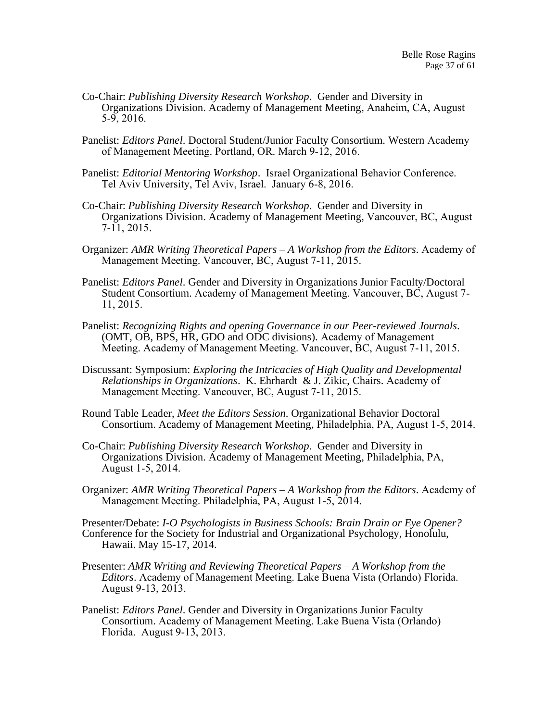- Co-Chair: *Publishing Diversity Research Workshop*. Gender and Diversity in Organizations Division. Academy of Management Meeting, Anaheim, CA, August 5-9, 2016.
- Panelist: *Editors Panel*. Doctoral Student/Junior Faculty Consortium. Western Academy of Management Meeting. Portland, OR. March 9-12, 2016.
- Panelist: *Editorial Mentoring Workshop*. Israel Organizational Behavior Conference. Tel Aviv University, Tel Aviv, Israel. January 6-8, 2016.
- Co-Chair: *Publishing Diversity Research Workshop*. Gender and Diversity in Organizations Division. Academy of Management Meeting, Vancouver, BC, August  $7 - 11, 2015.$
- Organizer: *AMR Writing Theoretical Papers – A Workshop from the Editors*. Academy of Management Meeting. Vancouver, BC, August 7-11, 2015.
- Panelist: *Editors Panel*. Gender and Diversity in Organizations Junior Faculty/Doctoral Student Consortium. Academy of Management Meeting. Vancouver, BC, August 7- 11, 2015.
- Panelist: *Recognizing Rights and opening Governance in our Peer-reviewed Journals*. (OMT, OB, BPS, HR, GDO and ODC divisions). Academy of Management Meeting. Academy of Management Meeting. Vancouver, BC, August 7-11, 2015.
- Discussant: Symposium: *Exploring the Intricacies of High Quality and Developmental Relationships in Organizations*. K. Ehrhardt & J. Zikic, Chairs. Academy of Management Meeting. Vancouver, BC, August 7-11, 2015.
- Round Table Leader, *Meet the Editors Session*. Organizational Behavior Doctoral Consortium. Academy of Management Meeting, Philadelphia, PA, August 1-5, 2014.
- Co-Chair: *Publishing Diversity Research Workshop*. Gender and Diversity in Organizations Division. Academy of Management Meeting, Philadelphia, PA, August 1-5, 2014.
- Organizer: *AMR Writing Theoretical Papers – A Workshop from the Editors*. Academy of Management Meeting. Philadelphia, PA, August 1-5, 2014.

Presenter/Debate: *I-O Psychologists in Business Schools: Brain Drain or Eye Opener?* Conference for the Society for Industrial and Organizational Psychology, Honolulu, Hawaii. May 15-17, 2014.

- Presenter: *AMR Writing and Reviewing Theoretical Papers – A Workshop from the Editors*. Academy of Management Meeting. Lake Buena Vista (Orlando) Florida. August 9-13, 2013.
- Panelist: *Editors Panel*. Gender and Diversity in Organizations Junior Faculty Consortium. Academy of Management Meeting. Lake Buena Vista (Orlando) Florida. August 9-13, 2013.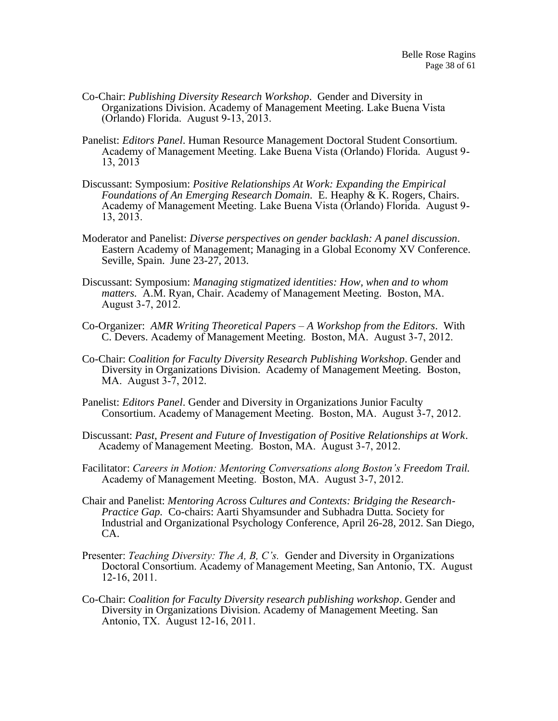- Co-Chair: *Publishing Diversity Research Workshop*. Gender and Diversity in Organizations Division. Academy of Management Meeting. Lake Buena Vista (Orlando) Florida. August 9-13, 2013.
- Panelist: *Editors Panel*. Human Resource Management Doctoral Student Consortium. Academy of Management Meeting. Lake Buena Vista (Orlando) Florida. August 9- 13, 2013
- Discussant: Symposium: *Positive Relationships At Work: Expanding the Empirical Foundations of An Emerging Research Domain.* E. Heaphy & K. Rogers, Chairs. Academy of Management Meeting. Lake Buena Vista (Orlando) Florida. August 9- 13, 2013.
- Moderator and Panelist: *Diverse perspectives on gender backlash: A panel discussion*. Eastern Academy of Management; Managing in a Global Economy XV Conference. Seville, Spain. June 23-27, 2013.
- Discussant: Symposium: *Managing stigmatized identities: How, when and to whom matters.* A.M. Ryan, Chair. Academy of Management Meeting. Boston, MA. August 3-7, 2012.
- Co-Organizer: *AMR Writing Theoretical Papers – A Workshop from the Editors*. With C. Devers. Academy of Management Meeting. Boston, MA. August 3-7, 2012.
- Co-Chair: *Coalition for Faculty Diversity Research Publishing Workshop*. Gender and Diversity in Organizations Division. Academy of Management Meeting. Boston, MA. August 3-7, 2012.
- Panelist: *Editors Panel*. Gender and Diversity in Organizations Junior Faculty Consortium. Academy of Management Meeting. Boston, MA. August 3-7, 2012.
- Discussant: *Past, Present and Future of Investigation of Positive Relationships at Work*. Academy of Management Meeting. Boston, MA. August 3-7, 2012.
- Facilitator: *Careers in Motion: Mentoring Conversations along Boston's Freedom Trail.* Academy of Management Meeting. Boston, MA. August 3-7, 2012.
- Chair and Panelist: *Mentoring Across Cultures and Contexts: Bridging the Research-Practice Gap.* Co-chairs: Aarti Shyamsunder and Subhadra Dutta. Society for Industrial and Organizational Psychology Conference, April 26-28, 2012. San Diego, CA.
- Presenter: *Teaching Diversity: The A, B, C's.* Gender and Diversity in Organizations Doctoral Consortium. Academy of Management Meeting, San Antonio, TX. August 12-16, 2011.
- Co-Chair: *Coalition for Faculty Diversity research publishing workshop*. Gender and Diversity in Organizations Division. Academy of Management Meeting. San Antonio, TX. August 12-16, 2011.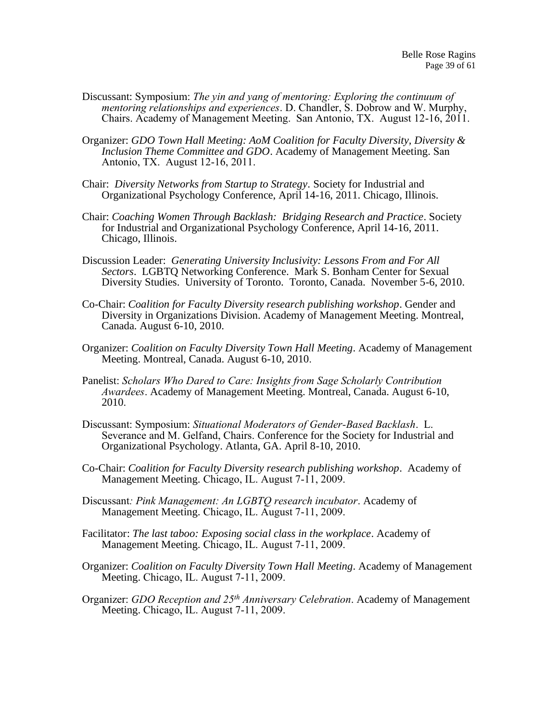- Discussant: Symposium: *The yin and yang of mentoring: Exploring the continuum of mentoring relationships and experiences*. D. Chandler, S. Dobrow and W. Murphy, Chairs. Academy of Management Meeting. San Antonio, TX. August 12-16, 2011.
- Organizer: *GDO Town Hall Meeting: AoM Coalition for Faculty Diversity, Diversity & Inclusion Theme Committee and GDO*. Academy of Management Meeting. San Antonio, TX. August 12-16, 2011.
- Chair: *Diversity Networks from Startup to Strategy*. Society for Industrial and Organizational Psychology Conference, April 14-16, 2011. Chicago, Illinois.
- Chair: *Coaching Women Through Backlash: Bridging Research and Practice*. Society for Industrial and Organizational Psychology Conference, April 14-16, 2011. Chicago, Illinois.
- Discussion Leader: *Generating University Inclusivity: Lessons From and For All Sectors*. LGBTQ Networking Conference. Mark S. Bonham Center for Sexual Diversity Studies. University of Toronto. Toronto, Canada. November 5-6, 2010.
- Co-Chair: *Coalition for Faculty Diversity research publishing workshop*. Gender and Diversity in Organizations Division. Academy of Management Meeting. Montreal, Canada. August 6-10, 2010.
- Organizer: *Coalition on Faculty Diversity Town Hall Meeting*. Academy of Management Meeting. Montreal, Canada. August 6-10, 2010.
- Panelist: *Scholars Who Dared to Care: Insights from Sage Scholarly Contribution Awardees*. Academy of Management Meeting. Montreal, Canada. August 6-10, 2010.
- Discussant: Symposium: *Situational Moderators of Gender-Based Backlash*. L. Severance and M. Gelfand, Chairs. Conference for the Society for Industrial and Organizational Psychology. Atlanta, GA. April 8-10, 2010.
- Co-Chair: *Coalition for Faculty Diversity research publishing workshop*. Academy of Management Meeting. Chicago, IL. August 7-11, 2009.
- Discussant*: Pink Management: An LGBTQ research incubator*. Academy of Management Meeting. Chicago, IL. August 7-11, 2009.
- Facilitator: *The last taboo: Exposing social class in the workplace*. Academy of Management Meeting. Chicago, IL. August 7-11, 2009.
- Organizer: *Coalition on Faculty Diversity Town Hall Meeting*. Academy of Management Meeting. Chicago, IL. August 7-11, 2009.
- Organizer: *GDO Reception and 25th Anniversary Celebration*. Academy of Management Meeting. Chicago, IL. August 7-11, 2009.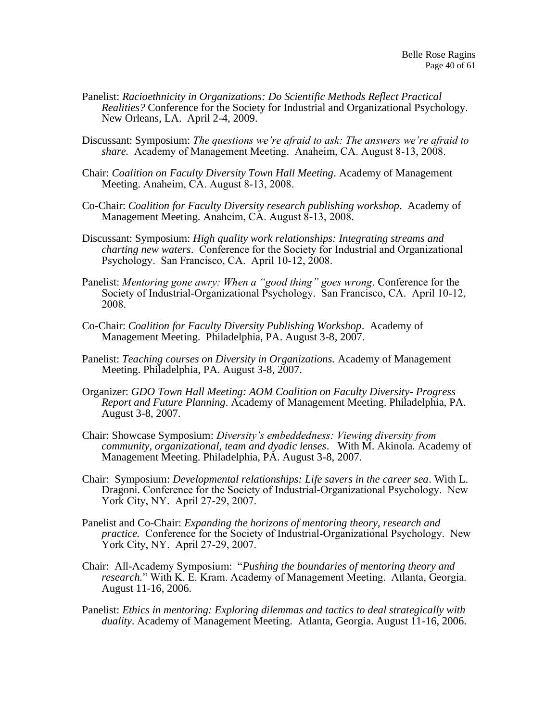- Panelist: *Racioethnicity in Organizations: Do Scientific Methods Reflect Practical Realities?* Conference for the Society for Industrial and Organizational Psychology. New Orleans, LA. April 2-4, 2009.
- Discussant: Symposium: *The questions we're afraid to ask: The answers we're afraid to share.* Academy of Management Meeting. Anaheim, CA. August 8-13, 2008.
- Chair: *Coalition on Faculty Diversity Town Hall Meeting*. Academy of Management Meeting. Anaheim, CA. August 8-13, 2008.
- Co-Chair: *Coalition for Faculty Diversity research publishing workshop*. Academy of Management Meeting. Anaheim, CA. August 8-13, 2008.
- Discussant: Symposium: *High quality work relationships: Integrating streams and charting new waters*. Conference for the Society for Industrial and Organizational Psychology. San Francisco, CA. April 10-12, 2008.
- Panelist: *Mentoring gone awry: When a "good thing" goes wrong*. Conference for the Society of Industrial-Organizational Psychology. San Francisco, CA. April 10-12, 2008.
- Co-Chair: *Coalition for Faculty Diversity Publishing Workshop*. Academy of Management Meeting. Philadelphia, PA. August 3-8, 2007.
- Panelist: *Teaching courses on Diversity in Organizations.* Academy of Management Meeting. Philadelphia, PA. August 3-8, 2007.
- Organizer: *GDO Town Hall Meeting: AOM Coalition on Faculty Diversity- Progress Report and Future Planning*. Academy of Management Meeting. Philadelphia, PA. August 3-8, 2007.
- Chair: Showcase Symposium: *Diversity's embeddedness: Viewing diversity from community, organizational, team and dyadic lenses*. With M. Akinola. Academy of Management Meeting. Philadelphia, PA. August 3-8, 2007.
- Chair: Symposium: *Developmental relationships: Life savers in the career sea*. With L. Dragoni. Conference for the Society of Industrial-Organizational Psychology. New York City, NY. April 27-29, 2007.
- Panelist and Co-Chair: *Expanding the horizons of mentoring theory, research and practice.* Conference for the Society of Industrial-Organizational Psychology. New York City, NY. April 27-29, 2007.
- Chair: All-Academy Symposium: "*Pushing the boundaries of mentoring theory and research.*" With K. E. Kram. Academy of Management Meeting. Atlanta, Georgia. August 11-16, 2006.
- Panelist: *Ethics in mentoring: Exploring dilemmas and tactics to deal strategically with duality*. Academy of Management Meeting. Atlanta, Georgia. August 11-16, 2006.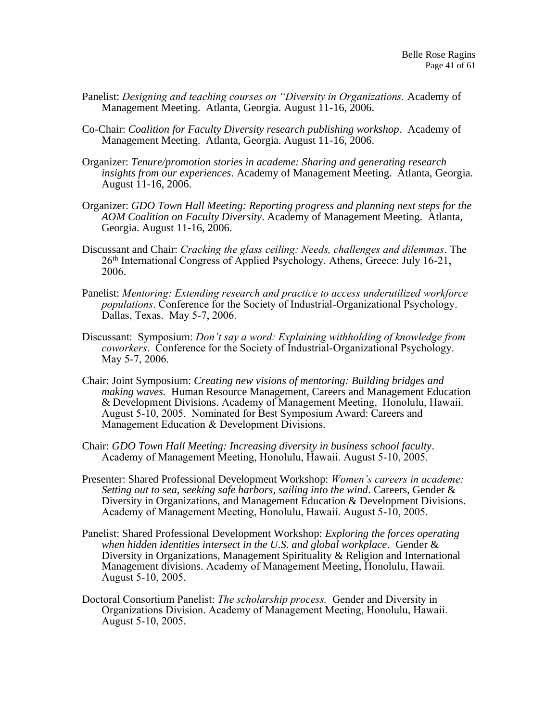- Panelist: *Designing and teaching courses on "Diversity in Organizations.* Academy of Management Meeting. Atlanta, Georgia. August 11-16, 2006.
- Co-Chair: *Coalition for Faculty Diversity research publishing workshop*. Academy of Management Meeting. Atlanta, Georgia. August 11-16, 2006.
- Organizer: *Tenure/promotion stories in academe: Sharing and generating research insights from our experiences*. Academy of Management Meeting. Atlanta, Georgia. August 11-16, 2006.
- Organizer: *GDO Town Hall Meeting: Reporting progress and planning next steps for the AOM Coalition on Faculty Diversity*. Academy of Management Meeting. Atlanta, Georgia. August 11-16, 2006.
- Discussant and Chair: *Cracking the glass ceiling: Needs, challenges and dilemmas*. The 26th International Congress of Applied Psychology. Athens, Greece: July 16-21, 2006.
- Panelist: *Mentoring: Extending research and practice to access underutilized workforce populations*. Conference for the Society of Industrial-Organizational Psychology. Dallas, Texas. May 5-7, 2006.
- Discussant: Symposium: *Don't say a word: Explaining withholding of knowledge from coworkers*. Conference for the Society of Industrial-Organizational Psychology. May 5-7, 2006.
- Chair: Joint Symposium: *Creating new visions of mentoring: Building bridges and making waves.* Human Resource Management, Careers and Management Education & Development Divisions. Academy of Management Meeting, Honolulu, Hawaii. August 5-10, 2005. Nominated for Best Symposium Award: Careers and Management Education & Development Divisions.
- Chair: *GDO Town Hall Meeting: Increasing diversity in business school faculty*. Academy of Management Meeting, Honolulu, Hawaii. August 5-10, 2005.
- Presenter: Shared Professional Development Workshop: *Women's careers in academe: Setting out to sea, seeking safe harbors, sailing into the wind*. Careers, Gender & Diversity in Organizations, and Management Education & Development Divisions. Academy of Management Meeting, Honolulu, Hawaii. August 5-10, 2005.
- Panelist: Shared Professional Development Workshop: *Exploring the forces operating when hidden identities intersect in the U.S. and global workplace*. Gender & Diversity in Organizations, Management Spirituality & Religion and International Management divisions. Academy of Management Meeting, Honolulu, Hawaii. August 5-10, 2005.
- Doctoral Consortium Panelist: *The scholarship process.* Gender and Diversity in Organizations Division. Academy of Management Meeting, Honolulu, Hawaii. August 5-10, 2005.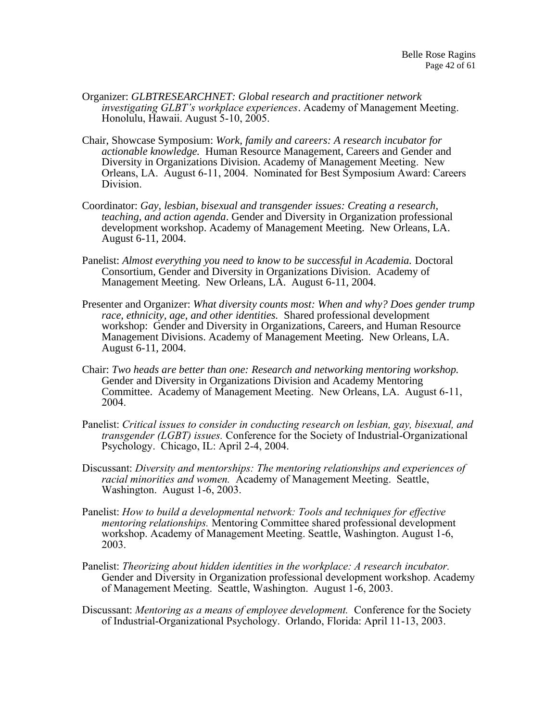- Organizer: *GLBTRESEARCHNET: Global research and practitioner network investigating GLBT's workplace experiences*. Academy of Management Meeting. Honolulu, Hawaii. August 5-10, 2005.
- Chair, Showcase Symposium: *Work, family and careers: A research incubator for actionable knowledge.* Human Resource Management, Careers and Gender and Diversity in Organizations Division. Academy of Management Meeting. New Orleans, LA. August 6-11, 2004. Nominated for Best Symposium Award: Careers Division.
- Coordinator: *Gay, lesbian, bisexual and transgender issues: Creating a research, teaching, and action agenda*. Gender and Diversity in Organization professional development workshop. Academy of Management Meeting. New Orleans, LA. August 6-11, 2004.
- Panelist: *Almost everything you need to know to be successful in Academia.* Doctoral Consortium, Gender and Diversity in Organizations Division. Academy of Management Meeting. New Orleans, LA. August 6-11, 2004.
- Presenter and Organizer: *What diversity counts most: When and why? Does gender trump race, ethnicity, age, and other identities.* Shared professional development workshop: Gender and Diversity in Organizations, Careers, and Human Resource Management Divisions. Academy of Management Meeting. New Orleans, LA. August 6-11, 2004.
- Chair: *Two heads are better than one: Research and networking mentoring workshop.* Gender and Diversity in Organizations Division and Academy Mentoring Committee. Academy of Management Meeting. New Orleans, LA. August 6-11, 2004.
- Panelist: *Critical issues to consider in conducting research on lesbian, gay, bisexual, and transgender (LGBT) issues.* Conference for the Society of Industrial-Organizational Psychology. Chicago, IL: April 2-4, 2004.
- Discussant: *Diversity and mentorships: The mentoring relationships and experiences of racial minorities and women.* Academy of Management Meeting. Seattle, Washington. August 1-6, 2003.
- Panelist: *How to build a developmental network: Tools and techniques for effective mentoring relationships.* Mentoring Committee shared professional development workshop. Academy of Management Meeting. Seattle, Washington. August 1-6, 2003.
- Panelist: *Theorizing about hidden identities in the workplace: A research incubator.* Gender and Diversity in Organization professional development workshop. Academy of Management Meeting. Seattle, Washington. August 1-6, 2003.
- Discussant: *Mentoring as a means of employee development.* Conference for the Society of Industrial-Organizational Psychology. Orlando, Florida: April 11-13, 2003.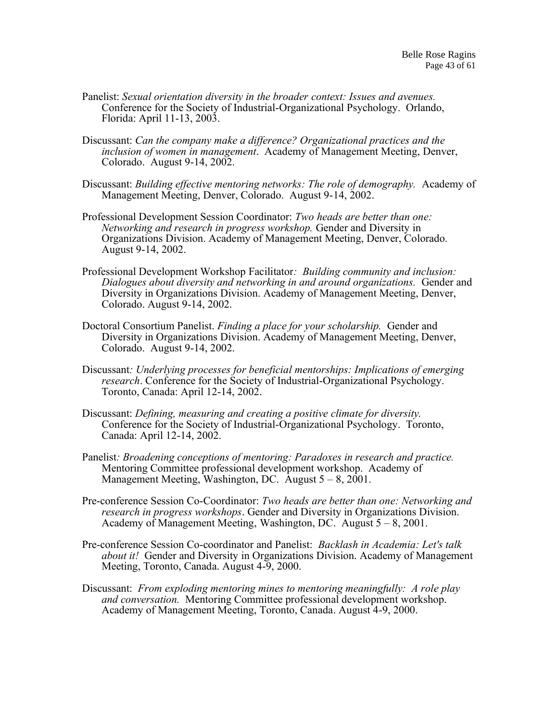- Panelist: *Sexual orientation diversity in the broader context: Issues and avenues.* Conference for the Society of Industrial-Organizational Psychology. Orlando, Florida: April 11-13, 2003.
- Discussant: *Can the company make a difference? Organizational practices and the inclusion of women in management*. Academy of Management Meeting, Denver, Colorado. August 9-14, 2002.
- Discussant: *Building effective mentoring networks: The role of demography.* Academy of Management Meeting, Denver, Colorado. August 9-14, 2002.
- Professional Development Session Coordinator: *Two heads are better than one: Networking and research in progress workshop.* Gender and Diversity in Organizations Division. Academy of Management Meeting, Denver, Colorado. August 9-14, 2002.
- Professional Development Workshop Facilitator*: Building community and inclusion: Dialogues about diversity and networking in and around organizations.* Gender and Diversity in Organizations Division. Academy of Management Meeting, Denver, Colorado. August 9-14, 2002.
- Doctoral Consortium Panelist. *Finding a place for your scholarship.* Gender and Diversity in Organizations Division. Academy of Management Meeting, Denver, Colorado. August 9-14, 2002.
- Discussant*: Underlying processes for beneficial mentorships: Implications of emerging research*. Conference for the Society of Industrial-Organizational Psychology. Toronto, Canada: April 12-14, 2002.
- Discussant: *Defining, measuring and creating a positive climate for diversity.* Conference for the Society of Industrial-Organizational Psychology. Toronto, Canada: April 12-14, 2002.
- Panelist*: Broadening conceptions of mentoring: Paradoxes in research and practice.* Mentoring Committee professional development workshop. Academy of Management Meeting, Washington, DC. August  $5 - 8$ , 2001.
- Pre-conference Session Co-Coordinator: *Two heads are better than one: Networking and research in progress workshops*. Gender and Diversity in Organizations Division. Academy of Management Meeting, Washington, DC. August  $5 - 8$ , 2001.
- Pre-conference Session Co-coordinator and Panelist: *Backlash in Academia: Let's talk about it!* Gender and Diversity in Organizations Division. Academy of Management Meeting, Toronto, Canada. August 4-9, 2000.
- Discussant: *From exploding mentoring mines to mentoring meaningfully: A role play and conversation.* Mentoring Committee professional development workshop. Academy of Management Meeting, Toronto, Canada. August 4-9, 2000.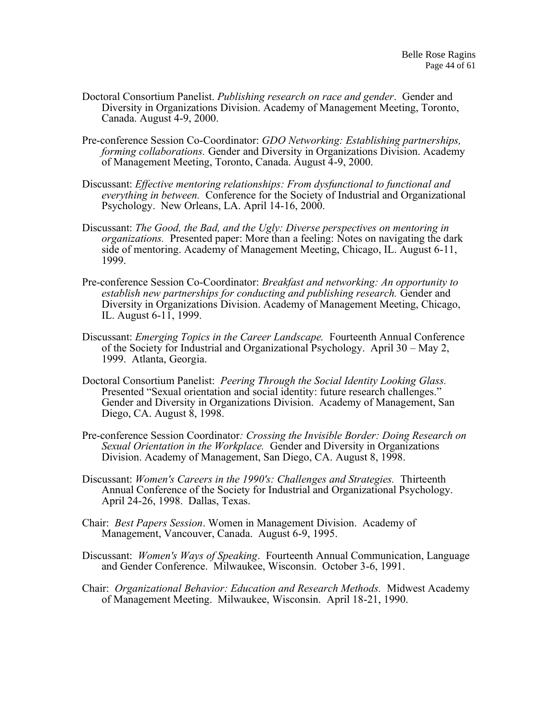- Doctoral Consortium Panelist. *Publishing research on race and gender*. Gender and Diversity in Organizations Division. Academy of Management Meeting, Toronto, Canada. August 4-9, 2000.
- Pre-conference Session Co-Coordinator: *GDO Networking: Establishing partnerships, forming collaborations.* Gender and Diversity in Organizations Division. Academy of Management Meeting, Toronto, Canada. August 4-9, 2000.
- Discussant: *Effective mentoring relationships: From dysfunctional to functional and everything in between.* Conference for the Society of Industrial and Organizational Psychology. New Orleans, LA. April 14-16, 2000.
- Discussant: *The Good, the Bad, and the Ugly: Diverse perspectives on mentoring in organizations.* Presented paper: More than a feeling: Notes on navigating the dark side of mentoring. Academy of Management Meeting, Chicago, IL. August 6-11, 1999.
- Pre-conference Session Co-Coordinator: *Breakfast and networking: An opportunity to establish new partnerships for conducting and publishing research.* Gender and Diversity in Organizations Division. Academy of Management Meeting, Chicago, IL. August 6-11, 1999.
- Discussant: *Emerging Topics in the Career Landscape.* Fourteenth Annual Conference of the Society for Industrial and Organizational Psychology. April 30 – May 2, 1999. Atlanta, Georgia.
- Doctoral Consortium Panelist: *Peering Through the Social Identity Looking Glass.* Presented "Sexual orientation and social identity: future research challenges." Gender and Diversity in Organizations Division. Academy of Management, San Diego, CA. August 8, 1998.
- Pre-conference Session Coordinator*: Crossing the Invisible Border: Doing Research on Sexual Orientation in the Workplace.* Gender and Diversity in Organizations Division. Academy of Management, San Diego, CA. August 8, 1998.
- Discussant: *Women's Careers in the 1990's: Challenges and Strategies.* Thirteenth Annual Conference of the Society for Industrial and Organizational Psychology. April 24-26, 1998. Dallas, Texas.
- Chair: *Best Papers Session*. Women in Management Division. Academy of Management, Vancouver, Canada. August 6-9, 1995.
- Discussant: *Women's Ways of Speaking*. Fourteenth Annual Communication, Language and Gender Conference. Milwaukee, Wisconsin. October 3-6, 1991.
- Chair: *Organizational Behavior: Education and Research Methods.* Midwest Academy of Management Meeting. Milwaukee, Wisconsin. April 18-21, 1990.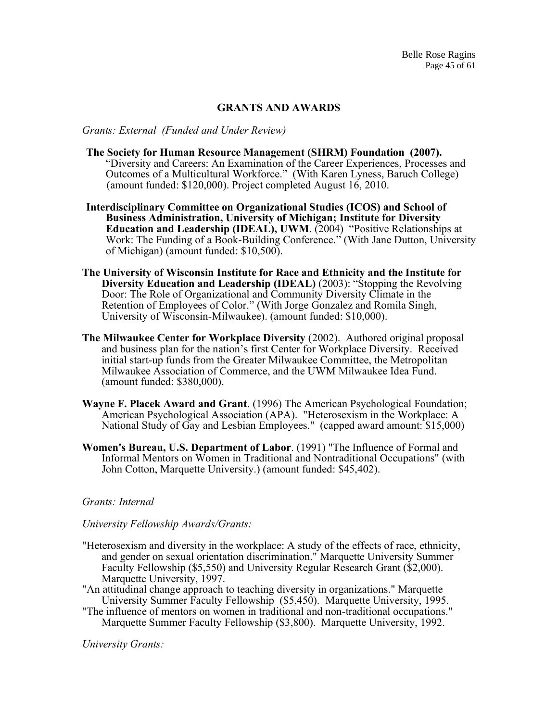## **GRANTS AND AWARDS**

*Grants: External (Funded and Under Review)*

- **The Society for Human Resource Management (SHRM) Foundation (2007).**  "Diversity and Careers: An Examination of the Career Experiences, Processes and Outcomes of a Multicultural Workforce." (With Karen Lyness, Baruch College) (amount funded: \$120,000). Project completed August 16, 2010.
- **Interdisciplinary Committee on Organizational Studies (ICOS) and School of Business Administration, University of Michigan; Institute for Diversity Education and Leadership (IDEAL), UWM**. (2004) "Positive Relationships at Work: The Funding of a Book-Building Conference." (With Jane Dutton, University of Michigan) (amount funded: \$10,500).
- **The University of Wisconsin Institute for Race and Ethnicity and the Institute for Diversity Education and Leadership (IDEAL)** (2003): "Stopping the Revolving Door: The Role of Organizational and Community Diversity Climate in the Retention of Employees of Color." (With Jorge Gonzalez and Romila Singh, University of Wisconsin-Milwaukee). (amount funded: \$10,000).
- **The Milwaukee Center for Workplace Diversity** (2002). Authored original proposal and business plan for the nation's first Center for Workplace Diversity. Received initial start-up funds from the Greater Milwaukee Committee, the Metropolitan Milwaukee Association of Commerce, and the UWM Milwaukee Idea Fund. (amount funded: \$380,000).
- **Wayne F. Placek Award and Grant**. (1996) The American Psychological Foundation; American Psychological Association (APA). "Heterosexism in the Workplace: A National Study of Gay and Lesbian Employees." (capped award amount: \$15,000)
- **Women's Bureau, U.S. Department of Labor**. (1991) "The Influence of Formal and Informal Mentors on Women in Traditional and Nontraditional Occupations" (with John Cotton, Marquette University.) (amount funded: \$45,402).

## *Grants: Internal*

#### *University Fellowship Awards/Grants:*

- "Heterosexism and diversity in the workplace: A study of the effects of race, ethnicity, and gender on sexual orientation discrimination." Marquette University Summer Faculty Fellowship (\$5,550) and University Regular Research Grant (\$2,000). Marquette University, 1997.
- "An attitudinal change approach to teaching diversity in organizations." Marquette University Summer Faculty Fellowship (\$5,450). Marquette University, 1995.
- "The influence of mentors on women in traditional and non-traditional occupations." Marquette Summer Faculty Fellowship (\$3,800). Marquette University, 1992.

*University Grants:*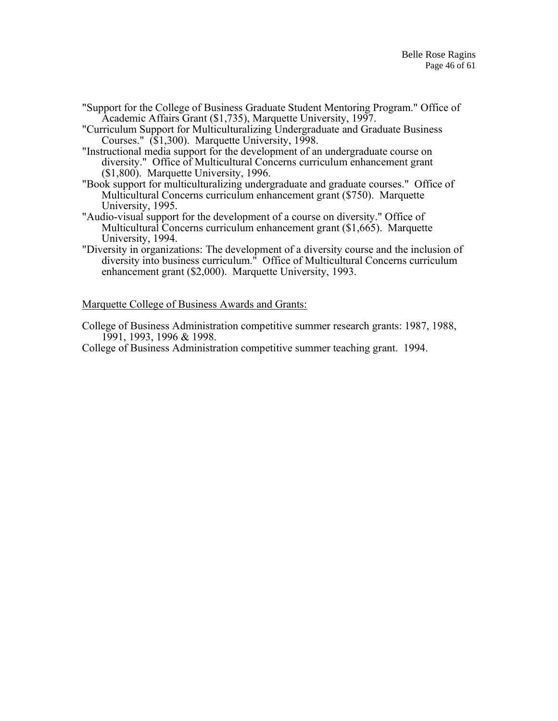"Support for the College of Business Graduate Student Mentoring Program." Office of Academic Affairs Grant (\$1,735), Marquette University, 1997.

"Curriculum Support for Multiculturalizing Undergraduate and Graduate Business Courses." (\$1,300). Marquette University, 1998.

"Instructional media support for the development of an undergraduate course on diversity." Office of Multicultural Concerns curriculum enhancement grant (\$1,800). Marquette University, 1996.

- "Book support for multiculturalizing undergraduate and graduate courses." Office of Multicultural Concerns curriculum enhancement grant (\$750). Marquette University, 1995.
- "Audio-visual support for the development of a course on diversity." Office of Multicultural Concerns curriculum enhancement grant (\$1,665). Marquette University, 1994.
- "Diversity in organizations: The development of a diversity course and the inclusion of diversity into business curriculum." Office of Multicultural Concerns curriculum enhancement grant (\$2,000). Marquette University, 1993.

Marquette College of Business Awards and Grants:

College of Business Administration competitive summer research grants: 1987, 1988, 1991, 1993, 1996 & 1998.

College of Business Administration competitive summer teaching grant. 1994.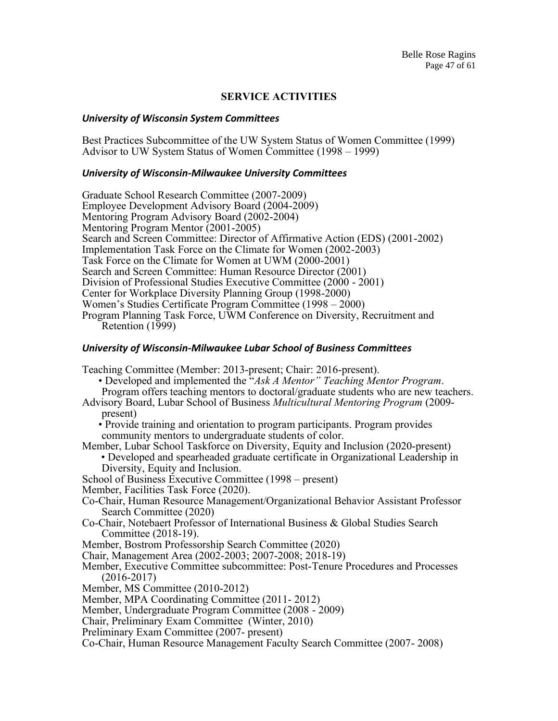## **SERVICE ACTIVITIES**

#### *University of Wisconsin System Committees*

Best Practices Subcommittee of the UW System Status of Women Committee (1999) Advisor to UW System Status of Women Committee (1998 – 1999)

#### *University of Wisconsin-Milwaukee University Committees*

Graduate School Research Committee (2007-2009) Employee Development Advisory Board (2004-2009) Mentoring Program Advisory Board (2002-2004) Mentoring Program Mentor (2001-2005) Search and Screen Committee: Director of Affirmative Action (EDS) (2001-2002) Implementation Task Force on the Climate for Women (2002-2003) Task Force on the Climate for Women at UWM (2000-2001) Search and Screen Committee: Human Resource Director (2001) Division of Professional Studies Executive Committee (2000 - 2001) Center for Workplace Diversity Planning Group (1998-2000) Women's Studies Certificate Program Committee (1998 – 2000) Program Planning Task Force, UWM Conference on Diversity, Recruitment and Retention (1999)

#### *University of Wisconsin-Milwaukee Lubar School of Business Committees*

Teaching Committee (Member: 2013-present; Chair: 2016-present).

- Developed and implemented the "*Ask A Mentor" Teaching Mentor Program*.
- Program offers teaching mentors to doctoral/graduate students who are new teachers.
- Advisory Board, Lubar School of Business *Multicultural Mentoring Program* (2009 present)
	- Provide training and orientation to program participants. Program provides community mentors to undergraduate students of color.
- Member, Lubar School Taskforce on Diversity, Equity and Inclusion (2020-present)
	- Developed and spearheaded graduate certificate in Organizational Leadership in Diversity, Equity and Inclusion.
- School of Business Executive Committee (1998 present)
- Member, Facilities Task Force (2020).
- Co-Chair, Human Resource Management/Organizational Behavior Assistant Professor Search Committee (2020)
- Co-Chair, Notebaert Professor of International Business & Global Studies Search Committee (2018-19).
- Member, Bostrom Professorship Search Committee (2020)
- Chair, Management Area (2002-2003; 2007-2008; 2018-19)
- Member, Executive Committee subcommittee: Post-Tenure Procedures and Processes (2016-2017)
- Member, MS Committee (2010-2012)
- Member, MPA Coordinating Committee (2011- 2012)
- Member, Undergraduate Program Committee (2008 2009)
- Chair, Preliminary Exam Committee (Winter, 2010)
- Preliminary Exam Committee (2007- present)
- Co-Chair, Human Resource Management Faculty Search Committee (2007- 2008)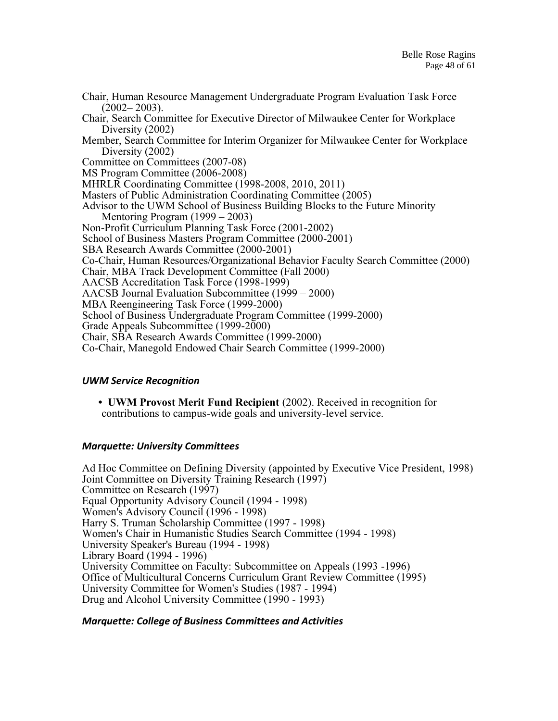Chair, Human Resource Management Undergraduate Program Evaluation Task Force  $(2002 - 2003)$ . Chair, Search Committee for Executive Director of Milwaukee Center for Workplace Diversity (2002) Member, Search Committee for Interim Organizer for Milwaukee Center for Workplace Diversity (2002) Committee on Committees (2007-08) MS Program Committee (2006-2008) MHRLR Coordinating Committee (1998-2008, 2010, 2011) Masters of Public Administration Coordinating Committee (2005) Advisor to the UWM School of Business Building Blocks to the Future Minority Mentoring Program (1999 – 2003) Non-Profit Curriculum Planning Task Force (2001-2002) School of Business Masters Program Committee (2000-2001) SBA Research Awards Committee (2000-2001) Co-Chair, Human Resources/Organizational Behavior Faculty Search Committee (2000) Chair, MBA Track Development Committee (Fall 2000) AACSB Accreditation Task Force (1998-1999) AACSB Journal Evaluation Subcommittee (1999 – 2000) MBA Reengineering Task Force (1999-2000) School of Business Undergraduate Program Committee (1999-2000) Grade Appeals Subcommittee (1999-2000) Chair, SBA Research Awards Committee (1999-2000) Co-Chair, Manegold Endowed Chair Search Committee (1999-2000)

# *UWM Service Recognition*

**• UWM Provost Merit Fund Recipient** (2002). Received in recognition for contributions to campus-wide goals and university-level service.

# *Marquette: University Committees*

Ad Hoc Committee on Defining Diversity (appointed by Executive Vice President, 1998) Joint Committee on Diversity Training Research (1997) Committee on Research (1997) Equal Opportunity Advisory Council (1994 - 1998) Women's Advisory Council (1996 - 1998) Harry S. Truman Scholarship Committee (1997 - 1998) Women's Chair in Humanistic Studies Search Committee (1994 - 1998) University Speaker's Bureau (1994 - 1998) Library Board (1994 - 1996) University Committee on Faculty: Subcommittee on Appeals (1993 -1996) Office of Multicultural Concerns Curriculum Grant Review Committee (1995) University Committee for Women's Studies (1987 - 1994) Drug and Alcohol University Committee (1990 - 1993)

# *Marquette: College of Business Committees and Activities*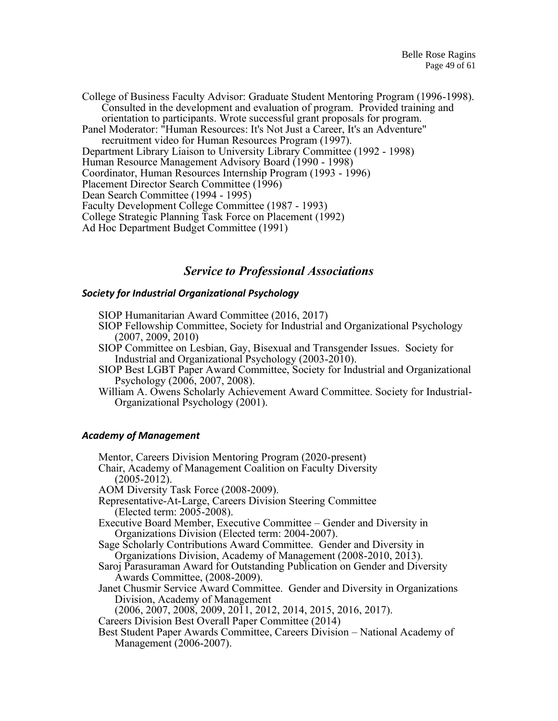College of Business Faculty Advisor: Graduate Student Mentoring Program (1996-1998). Consulted in the development and evaluation of program. Provided training and orientation to participants. Wrote successful grant proposals for program. Panel Moderator: "Human Resources: It's Not Just a Career, It's an Adventure" recruitment video for Human Resources Program (1997). Department Library Liaison to University Library Committee (1992 - 1998) Human Resource Management Advisory Board (1990 - 1998) Coordinator, Human Resources Internship Program (1993 - 1996) Placement Director Search Committee (1996) Dean Search Committee (1994 - 1995) Faculty Development College Committee (1987 - 1993) College Strategic Planning Task Force on Placement (1992) Ad Hoc Department Budget Committee (1991)

# *Service to Professional Associations*

#### *Society for Industrial Organizational Psychology*

- SIOP Humanitarian Award Committee (2016, 2017)
- SIOP Fellowship Committee, Society for Industrial and Organizational Psychology (2007, 2009, 2010)
- SIOP Committee on Lesbian, Gay, Bisexual and Transgender Issues. Society for Industrial and Organizational Psychology (2003-2010).
- SIOP Best LGBT Paper Award Committee, Society for Industrial and Organizational Psychology (2006, 2007, 2008).
- William A. Owens Scholarly Achievement Award Committee. Society for Industrial-Organizational Psychology (2001).

## *Academy of Management*

Mentor, Careers Division Mentoring Program (2020-present) Chair, Academy of Management Coalition on Faculty Diversity  $(2005 - 2012)$ . AOM Diversity Task Force (2008-2009). Representative-At-Large, Careers Division Steering Committee (Elected term: 2005-2008). Executive Board Member, Executive Committee – Gender and Diversity in Organizations Division (Elected term: 2004-2007). Sage Scholarly Contributions Award Committee. Gender and Diversity in Organizations Division, Academy of Management (2008-2010, 2013). Saroj Parasuraman Award for Outstanding Publication on Gender and Diversity Awards Committee, (2008-2009). Janet Chusmir Service Award Committee. Gender and Diversity in Organizations Division, Academy of Management (2006, 2007, 2008, 2009, 2011, 2012, 2014, 2015, 2016, 2017). Careers Division Best Overall Paper Committee (2014) Best Student Paper Awards Committee, Careers Division – National Academy of Management (2006-2007).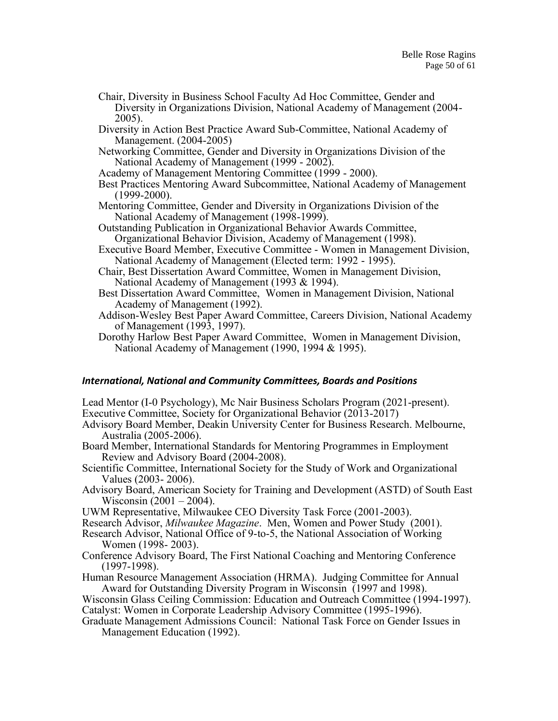- Chair, Diversity in Business School Faculty Ad Hoc Committee, Gender and Diversity in Organizations Division, National Academy of Management (2004- 2005).
- Diversity in Action Best Practice Award Sub-Committee, National Academy of Management. (2004-2005)
- Networking Committee, Gender and Diversity in Organizations Division of the National Academy of Management (1999 - 2002).
- Academy of Management Mentoring Committee (1999 2000).
- Best Practices Mentoring Award Subcommittee, National Academy of Management (1999-2000).
- Mentoring Committee, Gender and Diversity in Organizations Division of the National Academy of Management (1998-1999).
- Outstanding Publication in Organizational Behavior Awards Committee, Organizational Behavior Division, Academy of Management (1998).
- Executive Board Member, Executive Committee Women in Management Division, National Academy of Management (Elected term: 1992 - 1995).
- Chair, Best Dissertation Award Committee, Women in Management Division, National Academy of Management (1993 & 1994).
- Best Dissertation Award Committee, Women in Management Division, National Academy of Management (1992).
- Addison-Wesley Best Paper Award Committee, Careers Division, National Academy of Management (1993, 1997).
- Dorothy Harlow Best Paper Award Committee, Women in Management Division, National Academy of Management (1990, 1994 & 1995).

## *International, National and Community Committees, Boards and Positions*

Lead Mentor (I-0 Psychology), Mc Nair Business Scholars Program (2021-present). Executive Committee, Society for Organizational Behavior (2013-2017)

- Advisory Board Member, Deakin University Center for Business Research. Melbourne, Australia (2005-2006).
- Board Member, International Standards for Mentoring Programmes in Employment Review and Advisory Board (2004-2008).
- Scientific Committee, International Society for the Study of Work and Organizational Values (2003- 2006).
- Advisory Board, American Society for Training and Development (ASTD) of South East Wisconsin (2001 – 2004).
- UWM Representative, Milwaukee CEO Diversity Task Force (2001-2003).
- Research Advisor, *Milwaukee Magazine*. Men, Women and Power Study (2001).
- Research Advisor, National Office of 9-to-5, the National Association of Working Women (1998- 2003).
- Conference Advisory Board, The First National Coaching and Mentoring Conference (1997-1998).

Human Resource Management Association (HRMA). Judging Committee for Annual Award for Outstanding Diversity Program in Wisconsin (1997 and 1998).

Wisconsin Glass Ceiling Commission: Education and Outreach Committee (1994-1997). Catalyst: Women in Corporate Leadership Advisory Committee (1995-1996).

Graduate Management Admissions Council: National Task Force on Gender Issues in Management Education (1992).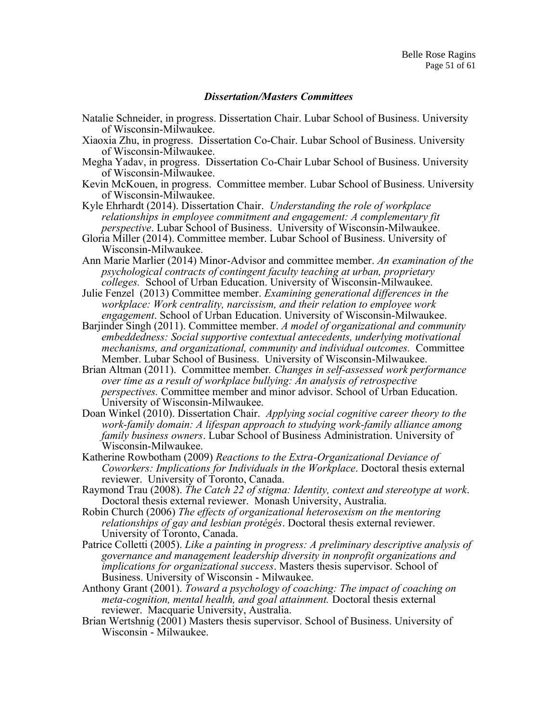#### *Dissertation/Masters Committees*

- Natalie Schneider, in progress. Dissertation Chair. Lubar School of Business. University of Wisconsin-Milwaukee.
- Xiaoxia Zhu, in progress. Dissertation Co-Chair. Lubar School of Business. University of Wisconsin-Milwaukee.
- Megha Yadav, in progress. Dissertation Co-Chair Lubar School of Business. University of Wisconsin-Milwaukee.
- Kevin McKouen, in progress. Committee member. Lubar School of Business. University of Wisconsin-Milwaukee.

Kyle Ehrhardt (2014). Dissertation Chair. *Understanding the role of workplace relationships in employee commitment and engagement: A complementary fit perspective*. Lubar School of Business. University of Wisconsin-Milwaukee.

- Gloria Miller (2014). Committee member. Lubar School of Business. University of Wisconsin-Milwaukee.
- Ann Marie Marlier (2014) Minor-Advisor and committee member. *An examination of the psychological contracts of contingent faculty teaching at urban, proprietary colleges.* School of Urban Education. University of Wisconsin-Milwaukee.
- Julie Fenzel (2013) Committee member. *Examining generational differences in the workplace: Work centrality, narcissism, and their relation to employee work engagement*. School of Urban Education. University of Wisconsin-Milwaukee.
- Barjinder Singh (2011). Committee member. *A model of organizational and community embeddedness: Social supportive contextual antecedents, underlying motivational mechanisms, and organizational, community and individual outcomes.* Committee Member. Lubar School of Business. University of Wisconsin-Milwaukee.
- Brian Altman (2011). Committee member*. Changes in self-assessed work performance over time as a result of workplace bullying: An analysis of retrospective perspectives.* Committee member and minor advisor. School of Urban Education. University of Wisconsin-Milwaukee.
- Doan Winkel (2010). Dissertation Chair. *Applying social cognitive career theory to the work-family domain: A lifespan approach to studying work-family alliance among family business owners*. Lubar School of Business Administration. University of Wisconsin-Milwaukee.
- Katherine Rowbotham (2009) *Reactions to the Extra-Organizational Deviance of Coworkers: Implications for Individuals in the Workplace*. Doctoral thesis external reviewer. University of Toronto, Canada.
- Raymond Trau (2008). *The Catch 22 of stigma: Identity, context and stereotype at work*. Doctoral thesis external reviewer. Monash University, Australia.
- Robin Church (2006) *The effects of organizational heterosexism on the mentoring relationships of gay and lesbian protégés*. Doctoral thesis external reviewer. University of Toronto, Canada.
- Patrice Colletti (2005). *Like a painting in progress: A preliminary descriptive analysis of governance and management leadership diversity in nonprofit organizations and implications for organizational success*. Masters thesis supervisor. School of Business. University of Wisconsin - Milwaukee.
- Anthony Grant (2001). *Toward a psychology of coaching: The impact of coaching on meta-cognition, mental health, and goal attainment.* Doctoral thesis external reviewer. Macquarie University, Australia.
- Brian Wertshnig (2001) Masters thesis supervisor. School of Business. University of Wisconsin - Milwaukee.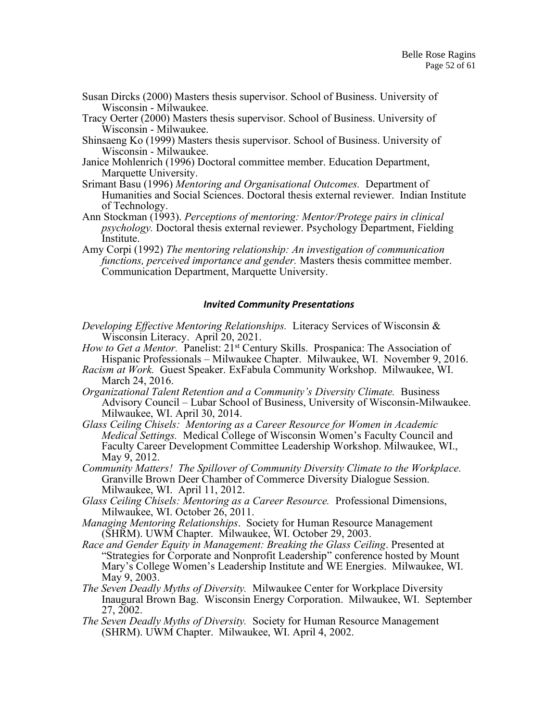- Susan Dircks (2000) Masters thesis supervisor. School of Business. University of Wisconsin - Milwaukee.
- Tracy Oerter (2000) Masters thesis supervisor. School of Business. University of Wisconsin - Milwaukee.
- Shinsaeng Ko (1999) Masters thesis supervisor. School of Business. University of Wisconsin - Milwaukee.
- Janice Mohlenrich (1996) Doctoral committee member. Education Department, Marquette University.
- Srimant Basu (1996) *Mentoring and Organisational Outcomes.* Department of Humanities and Social Sciences. Doctoral thesis external reviewer. Indian Institute of Technology.
- Ann Stockman (1993). *Perceptions of mentoring: Mentor/Protege pairs in clinical psychology.* Doctoral thesis external reviewer. Psychology Department, Fielding Institute.
- Amy Corpi (1992) *The mentoring relationship: An investigation of communication functions, perceived importance and gender.* Masters thesis committee member. Communication Department, Marquette University.

#### *Invited Community Presentations*

- *Developing Effective Mentoring Relationships.* Literacy Services of Wisconsin & Wisconsin Literacy. April 20, 2021.
- *How to Get a Mentor.* Panelist: 21<sup>st</sup> Century Skills. Prospanica: The Association of Hispanic Professionals – Milwaukee Chapter. Milwaukee, WI. November 9, 2016.
- *Racism at Work.* Guest Speaker. ExFabula Community Workshop. Milwaukee, WI. March 24, 2016.
- *Organizational Talent Retention and a Community's Diversity Climate.* Business Advisory Council – Lubar School of Business, University of Wisconsin-Milwaukee. Milwaukee, WI. April 30, 2014.
- *Glass Ceiling Chisels: Mentoring as a Career Resource for Women in Academic Medical Settings.* Medical College of Wisconsin Women's Faculty Council and Faculty Career Development Committee Leadership Workshop. Milwaukee, WI., May 9, 2012.
- *Community Matters! The Spillover of Community Diversity Climate to the Workplace.*  Granville Brown Deer Chamber of Commerce Diversity Dialogue Session. Milwaukee, WI. April 11, 2012.
- *Glass Ceiling Chisels: Mentoring as a Career Resource.* Professional Dimensions, Milwaukee, WI. October 26, 2011.
- *Managing Mentoring Relationships*. Society for Human Resource Management (SHRM). UWM Chapter. Milwaukee, WI. October 29, 2003.
- *Race and Gender Equity in Management: Breaking the Glass Ceiling*. Presented at "Strategies for Corporate and Nonprofit Leadership" conference hosted by Mount Mary's College Women's Leadership Institute and WE Energies. Milwaukee, WI. May 9, 2003.
- *The Seven Deadly Myths of Diversity.* Milwaukee Center for Workplace Diversity Inaugural Brown Bag. Wisconsin Energy Corporation. Milwaukee, WI. September 27, 2002.
- *The Seven Deadly Myths of Diversity.* Society for Human Resource Management (SHRM). UWM Chapter. Milwaukee, WI. April 4, 2002.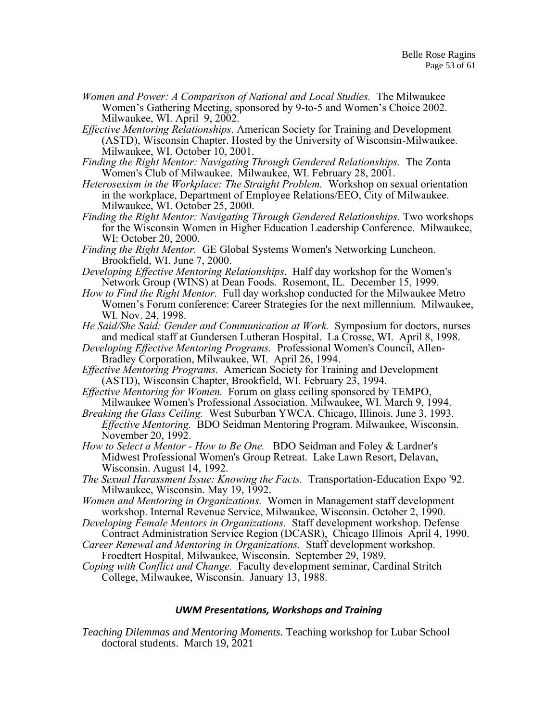- *Women and Power: A Comparison of National and Local Studies.* The Milwaukee Women's Gathering Meeting, sponsored by 9-to-5 and Women's Choice 2002. Milwaukee, WI. April 9, 2002.
- *Effective Mentoring Relationships*. American Society for Training and Development (ASTD), Wisconsin Chapter. Hosted by the University of Wisconsin-Milwaukee. Milwaukee, WI. October 10, 2001.
- *Finding the Right Mentor: Navigating Through Gendered Relationships.* The Zonta Women's Club of Milwaukee. Milwaukee, WI. February 28, 2001.
- *Heterosexism in the Workplace: The Straight Problem.* Workshop on sexual orientation in the workplace, Department of Employee Relations/EEO, City of Milwaukee. Milwaukee, WI. October 25, 2000.
- *Finding the Right Mentor: Navigating Through Gendered Relationships.* Two workshops for the Wisconsin Women in Higher Education Leadership Conference. Milwaukee, WI: October 20, 2000.
- *Finding the Right Mentor.* GE Global Systems Women's Networking Luncheon. Brookfield, WI. June 7, 2000.
- *Developing Effective Mentoring Relationships*. Half day workshop for the Women's Network Group (WINS) at Dean Foods. Rosemont, IL. December 15, 1999.
- *How to Find the Right Mentor.* Full day workshop conducted for the Milwaukee Metro Women's Forum conference: Career Strategies for the next millennium. Milwaukee, WI. Nov. 24, 1998.
- *He Said/She Said: Gender and Communication at Work.* Symposium for doctors, nurses and medical staff at Gundersen Lutheran Hospital. La Crosse, WI. April 8, 1998.
- *Developing Effective Mentoring Programs.* Professional Women's Council, Allen-Bradley Corporation, Milwaukee, WI. April 26, 1994.
- *Effective Mentoring Programs.* American Society for Training and Development (ASTD), Wisconsin Chapter, Brookfield, WI. February 23, 1994.
- *Effective Mentoring for Women.* Forum on glass ceiling sponsored by TEMPO, Milwaukee Women's Professional Association. Milwaukee, WI. March 9, 1994.
- *Breaking the Glass Ceiling.* West Suburban YWCA. Chicago, Illinois. June 3, 1993. *Effective Mentoring.* BDO Seidman Mentoring Program. Milwaukee, Wisconsin. November 20, 1992.
- *How to Select a Mentor - How to Be One.* BDO Seidman and Foley & Lardner's Midwest Professional Women's Group Retreat. Lake Lawn Resort, Delavan, Wisconsin. August 14, 1992.
- *The Sexual Harassment Issue: Knowing the Facts.* Transportation-Education Expo '92. Milwaukee, Wisconsin. May 19, 1992.
- *Women and Mentoring in Organizations.* Women in Management staff development workshop. Internal Revenue Service, Milwaukee, Wisconsin. October 2, 1990.
- *Developing Female Mentors in Organizations.* Staff development workshop. Defense Contract Administration Service Region (DCASR), Chicago Illinois April 4, 1990.
- *Career Renewal and Mentoring in Organizations.* Staff development workshop. Froedtert Hospital, Milwaukee, Wisconsin. September 29, 1989.
- *Coping with Conflict and Change.* Faculty development seminar, Cardinal Stritch College, Milwaukee, Wisconsin. January 13, 1988.

#### *UWM Presentations, Workshops and Training*

*Teaching Dilemmas and Mentoring Moments.* Teaching workshop for Lubar School doctoral students. March 19, 2021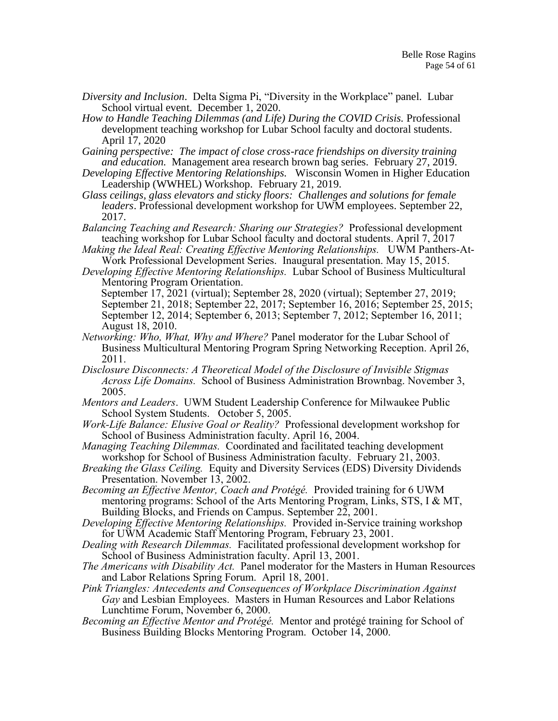- *Diversity and Inclusion*. Delta Sigma Pi, "Diversity in the Workplace" panel. Lubar School virtual event. December 1, 2020.
- *How to Handle Teaching Dilemmas (and Life) During the COVID Crisis.* Professional development teaching workshop for Lubar School faculty and doctoral students. April 17, 2020

*Gaining perspective: The impact of close cross-race friendships on diversity training and education.* Management area research brown bag series. February 27, 2019.

- *Developing Effective Mentoring Relationships.* Wisconsin Women in Higher Education Leadership (WWHEL) Workshop. February 21, 2019.
- *Glass ceilings, glass elevators and sticky floors: Challenges and solutions for female leaders*. Professional development workshop for UWM employees. September 22, 2017.
- *Balancing Teaching and Research: Sharing our Strategies?* Professional development teaching workshop for Lubar School faculty and doctoral students. April 7, 2017
- *Making the Ideal Real: Creating Effective Mentoring Relationships.* UWM Panthers-At-Work Professional Development Series. Inaugural presentation. May 15, 2015.
- *Developing Effective Mentoring Relationships.* Lubar School of Business Multicultural Mentoring Program Orientation.
	- September 17, 2021 (virtual); September 28, 2020 (virtual); September 27, 2019; September 21, 2018; September 22, 2017; September 16, 2016; September 25, 2015; September 12, 2014; September 6, 2013; September 7, 2012; September 16, 2011; August 18, 2010.
- *Networking: Who, What, Why and Where?* Panel moderator for the Lubar School of Business Multicultural Mentoring Program Spring Networking Reception. April 26, 2011.
- *Disclosure Disconnects: A Theoretical Model of the Disclosure of Invisible Stigmas Across Life Domains.* School of Business Administration Brownbag. November 3, 2005.
- *Mentors and Leaders*. UWM Student Leadership Conference for Milwaukee Public School System Students. October 5, 2005.
- *Work-Life Balance: Elusive Goal or Reality?* Professional development workshop for School of Business Administration faculty. April 16, 2004.
- *Managing Teaching Dilemmas.* Coordinated and facilitated teaching development workshop for School of Business Administration faculty. February 21, 2003.
- *Breaking the Glass Ceiling.* Equity and Diversity Services (EDS) Diversity Dividends Presentation. November 13, 2002.

*Becoming an Effective Mentor, Coach and Protégé.* Provided training for 6 UWM mentoring programs: School of the Arts Mentoring Program, Links, STS, I & MT, Building Blocks, and Friends on Campus. September 22, 2001.

*Developing Effective Mentoring Relationships.* Provided in-Service training workshop for UWM Academic Staff Mentoring Program, February 23, 2001.

- *Dealing with Research Dilemmas.* Facilitated professional development workshop for School of Business Administration faculty. April 13, 2001.
- *The Americans with Disability Act.* Panel moderator for the Masters in Human Resources and Labor Relations Spring Forum. April 18, 2001.
- *Pink Triangles: Antecedents and Consequences of Workplace Discrimination Against Gay* and Lesbian Employees.Masters in Human Resources and Labor Relations Lunchtime Forum, November 6, 2000.
- *Becoming an Effective Mentor and Protégé.* Mentor and protégé training for School of Business Building Blocks Mentoring Program. October 14, 2000.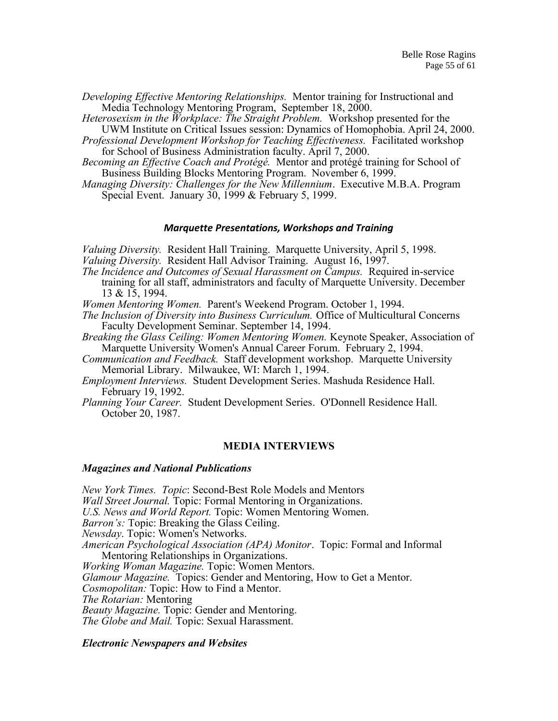*Developing Effective Mentoring Relationships.* Mentor training for Instructional and Media Technology Mentoring Program, September 18, 2000.

*Heterosexism in the Workplace: The Straight Problem.* Workshop presented for the UWM Institute on Critical Issues session: Dynamics of Homophobia. April 24, 2000.

*Professional Development Workshop for Teaching Effectiveness.* Facilitated workshop for School of Business Administration faculty. April 7, 2000.

*Becoming an Effective Coach and Protégé.* Mentor and protégé training for School of Business Building Blocks Mentoring Program. November 6, 1999.

*Managing Diversity: Challenges for the New Millennium*. Executive M.B.A. Program Special Event. January 30, 1999 & February 5, 1999.

#### *Marquette Presentations, Workshops and Training*

*Valuing Diversity.* Resident Hall Training. Marquette University, April 5, 1998.

- *Valuing Diversity.* Resident Hall Advisor Training. August 16, 1997.
- *The Incidence and Outcomes of Sexual Harassment on Campus.* Required in-service training for all staff, administrators and faculty of Marquette University. December 13 & 15, 1994.

*Women Mentoring Women.* Parent's Weekend Program. October 1, 1994.

*The Inclusion of Diversity into Business Curriculum.* Office of Multicultural Concerns Faculty Development Seminar. September 14, 1994.

- *Breaking the Glass Ceiling: Women Mentoring Women.* Keynote Speaker, Association of Marquette University Women's Annual Career Forum. February 2, 1994.
- *Communication and Feedback.* Staff development workshop. Marquette University Memorial Library. Milwaukee, WI: March 1, 1994.

*Employment Interviews.* Student Development Series. Mashuda Residence Hall. February 19, 1992.

*Planning Your Career.* Student Development Series. O'Donnell Residence Hall. October 20, 1987.

#### **MEDIA INTERVIEWS**

#### *Magazines and National Publications*

*New York Times. Topic*: Second-Best Role Models and Mentors *Wall Street Journal.* Topic: Formal Mentoring in Organizations. *U.S. News and World Report.* Topic: Women Mentoring Women. *Barron's:* Topic: Breaking the Glass Ceiling. *Newsday*. Topic: Women's Networks. *American Psychological Association (APA) Monitor*. Topic: Formal and Informal Mentoring Relationships in Organizations. *Working Woman Magazine.* Topic: Women Mentors. *Glamour Magazine.* Topics: Gender and Mentoring, How to Get a Mentor. *Cosmopolitan:* Topic: How to Find a Mentor. *The Rotarian:* Mentoring *Beauty Magazine.* Topic: Gender and Mentoring. *The Globe and Mail.* Topic: Sexual Harassment.

#### *Electronic Newspapers and Websites*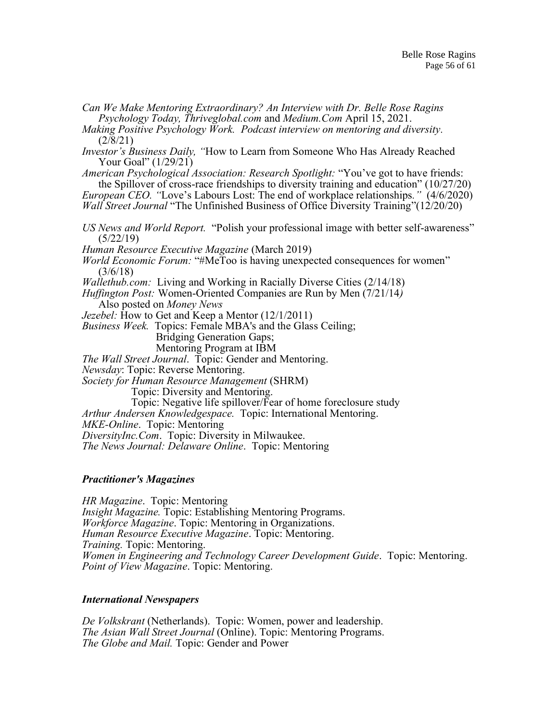*Can We Make Mentoring Extraordinary? An Interview with Dr. Belle Rose Ragins Psychology Today, Thriveglobal.com* and *Medium.Com* April 15, 2021.

*Making Positive Psychology Work. Podcast interview on mentoring and diversity.* (2/8/21)

*Investor's Business Daily, "*How to Learn from Someone Who Has Already Reached Your Goal" (1/29/21)

*American Psychological Association: Research Spotlight:* "You've got to have friends: the Spillover of cross-race friendships to diversity training and education" (10/27/20) *European CEO. "*Love's Labours Lost: The end of workplace relationships*."* (4/6/2020)

*Wall Street Journal* "The Unfinished Business of Office Diversity Training" (12/20/20)

*US News and World Report.* "Polish your professional image with better self-awareness"  $(5/22/19)$ 

*Human Resource Executive Magazine* (March 2019)

*World Economic Forum:* "#MeToo is having unexpected consequences for women" (3/6/18)

*Wallethub.com:* Living and Working in Racially Diverse Cities (2/14/18)

*Huffington Post:* Women-Oriented Companies are Run by Men (7/21/14*)*

Also posted on *Money News*

*Jezebel:* How to Get and Keep a Mentor (12/1/2011)

*Business Week.* Topics: Female MBA's and the Glass Ceiling;

Bridging Generation Gaps;

Mentoring Program at IBM

*The Wall Street Journal*. Topic: Gender and Mentoring.

*Newsday*: Topic: Reverse Mentoring.

*Society for Human Resource Management* (SHRM)

Topic: Diversity and Mentoring.

Topic: Negative life spillover/Fear of home foreclosure study

*Arthur Andersen Knowledgespace.* Topic: International Mentoring.

*MKE-Online*. Topic: Mentoring

*DiversityInc.Com*. Topic: Diversity in Milwaukee.

*The News Journal: Delaware Online*. Topic: Mentoring

## *Practitioner's Magazines*

*HR Magazine*. Topic: Mentoring *Insight Magazine.* Topic: Establishing Mentoring Programs. *Workforce Magazine*. Topic: Mentoring in Organizations. *Human Resource Executive Magazine*. Topic: Mentoring. *Training.* Topic: Mentoring. *Women in Engineering and Technology Career Development Guide*. Topic: Mentoring. *Point of View Magazine*. Topic: Mentoring.

## *International Newspapers*

*De Volkskrant* (Netherlands). Topic: Women, power and leadership. *The Asian Wall Street Journal* (Online). Topic: Mentoring Programs. *The Globe and Mail.* Topic: Gender and Power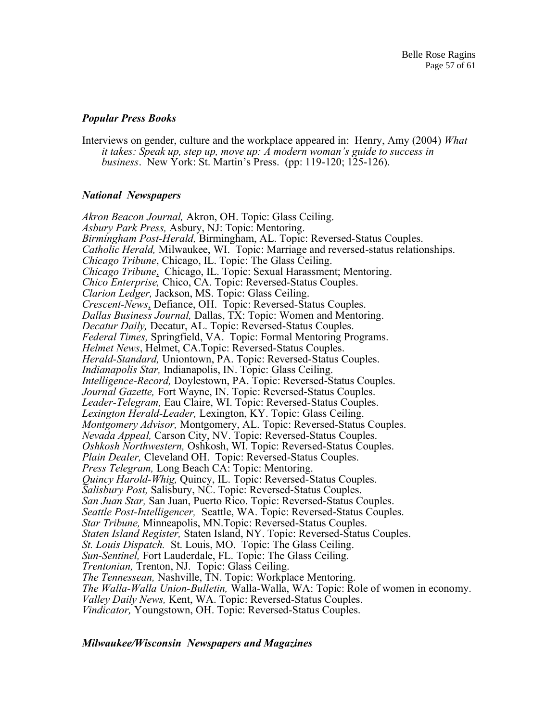## *Popular Press Books*

Interviews on gender, culture and the workplace appeared in: Henry, Amy (2004) *What it takes: Speak up, step up, move up: A modern woman's guide to success in business*. New York: St. Martin's Press. (pp: 119-120; 125-126).

## *National Newspapers*

*Akron Beacon Journal,* Akron, OH. Topic: Glass Ceiling. *Asbury Park Press,* Asbury, NJ: Topic: Mentoring. *Birmingham Post-Herald,* Birmingham, AL. Topic: Reversed-Status Couples. *Catholic Herald,* Milwaukee, WI. Topic: Marriage and reversed-status relationships. *Chicago Tribune*, Chicago, IL. Topic: The Glass Ceiling. *Chicago Tribune*, Chicago, IL. Topic: Sexual Harassment; Mentoring. *Chico Enterprise,* Chico, CA. Topic: Reversed-Status Couples. *Clarion Ledger,* Jackson, MS. Topic: Glass Ceiling. *Crescent-News*, Defiance, OH. Topic: Reversed-Status Couples. *Dallas Business Journal,* Dallas, TX: Topic: Women and Mentoring. *Decatur Daily,* Decatur, AL. Topic: Reversed-Status Couples. *Federal Times,* Springfield, VA. Topic: Formal Mentoring Programs. *Helmet News*, Helmet, CA.Topic: Reversed-Status Couples. *Herald-Standard,* Uniontown, PA. Topic: Reversed-Status Couples. *Indianapolis Star,* Indianapolis, IN. Topic: Glass Ceiling. *Intelligence-Record,* Doylestown, PA. Topic: Reversed-Status Couples. *Journal Gazette,* Fort Wayne, IN. Topic: Reversed-Status Couples. *Leader-Telegram,* Eau Claire, WI. Topic: Reversed-Status Couples. *Lexington Herald-Leader,* Lexington, KY. Topic: Glass Ceiling. *Montgomery Advisor,* Montgomery, AL. Topic: Reversed-Status Couples. *Nevada Appeal,* Carson City, NV. Topic: Reversed-Status Couples. *Oshkosh Northwestern,* Oshkosh, WI. Topic: Reversed-Status Couples. *Plain Dealer,* Cleveland OH. Topic: Reversed-Status Couples. *Press Telegram,* Long Beach CA: Topic: Mentoring. *Quincy Harold-Whig,* Quincy, IL. Topic: Reversed-Status Couples. *Salisbury Post,* Salisbury, NC. Topic: Reversed-Status Couples. *San Juan Star,* San Juan, Puerto Rico. Topic: Reversed-Status Couples. *Seattle Post-Intelligencer,* Seattle, WA. Topic: Reversed-Status Couples. *Star Tribune,* Minneapolis, MN.Topic: Reversed-Status Couples. *Staten Island Register,* Staten Island, NY. Topic: Reversed-Status Couples. *St. Louis Dispatch.* St. Louis, MO. Topic: The Glass Ceiling. *Sun-Sentinel,* Fort Lauderdale, FL. Topic: The Glass Ceiling. *Trentonian,* Trenton, NJ. Topic: Glass Ceiling. *The Tennessean,* Nashville, TN. Topic: Workplace Mentoring. *The Walla-Walla Union-Bulletin,* Walla-Walla, WA: Topic: Role of women in economy. *Valley Daily News,* Kent, WA. Topic: Reversed-Status Couples. *Vindicator,* Youngstown, OH. Topic: Reversed-Status Couples.

## *Milwaukee/Wisconsin Newspapers and Magazines*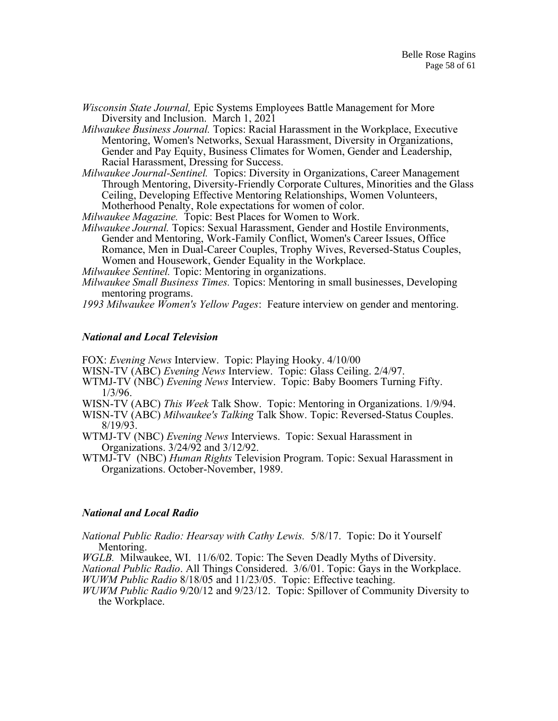*Wisconsin State Journal,* Epic Systems Employees Battle Management for More Diversity and Inclusion. March 1, 2021

*Milwaukee Business Journal.* Topics: Racial Harassment in the Workplace, Executive Mentoring, Women's Networks, Sexual Harassment, Diversity in Organizations, Gender and Pay Equity, Business Climates for Women, Gender and Leadership, Racial Harassment, Dressing for Success.

*Milwaukee Journal-Sentinel.* Topics: Diversity in Organizations, Career Management Through Mentoring, Diversity-Friendly Corporate Cultures, Minorities and the Glass Ceiling, Developing Effective Mentoring Relationships, Women Volunteers, Motherhood Penalty, Role expectations for women of color.

*Milwaukee Magazine.* Topic: Best Places for Women to Work.

*Milwaukee Journal.* Topics: Sexual Harassment, Gender and Hostile Environments, Gender and Mentoring, Work-Family Conflict, Women's Career Issues, Office Romance, Men in Dual-Career Couples, Trophy Wives, Reversed-Status Couples, Women and Housework, Gender Equality in the Workplace.

*Milwaukee Sentinel.* Topic: Mentoring in organizations.

*Milwaukee Small Business Times.* Topics: Mentoring in small businesses, Developing mentoring programs.

*1993 Milwaukee Women's Yellow Pages*: Feature interview on gender and mentoring.

#### *National and Local Television*

FOX: *Evening News* Interview. Topic: Playing Hooky. 4/10/00

WISN-TV (ABC) *Evening News* Interview. Topic: Glass Ceiling. 2/4/97.

- WTMJ-TV (NBC) *Evening News* Interview. Topic: Baby Boomers Turning Fifty. 1/3/96.
- WISN-TV (ABC) *This Week* Talk Show. Topic: Mentoring in Organizations. 1/9/94.

WISN-TV (ABC) *Milwaukee's Talking* Talk Show. Topic: Reversed-Status Couples. 8/19/93.

WTMJ-TV (NBC) *Evening News* Interviews. Topic: Sexual Harassment in Organizations. 3/24/92 and 3/12/92.

WTMJ-TV (NBC) *Human Rights* Television Program. Topic: Sexual Harassment in Organizations. October-November, 1989.

#### *National and Local Radio*

*National Public Radio: Hearsay with Cathy Lewis.* 5/8/17. Topic: Do it Yourself Mentoring.

*WGLB.* Milwaukee, WI. 11/6/02. Topic: The Seven Deadly Myths of Diversity.

*National Public Radio*. All Things Considered. 3/6/01. Topic: Gays in the Workplace. *WUWM Public Radio* 8/18/05 and 11/23/05. Topic: Effective teaching.

*WUWM Public Radio* 9/20/12 and 9/23/12. Topic: Spillover of Community Diversity to the Workplace.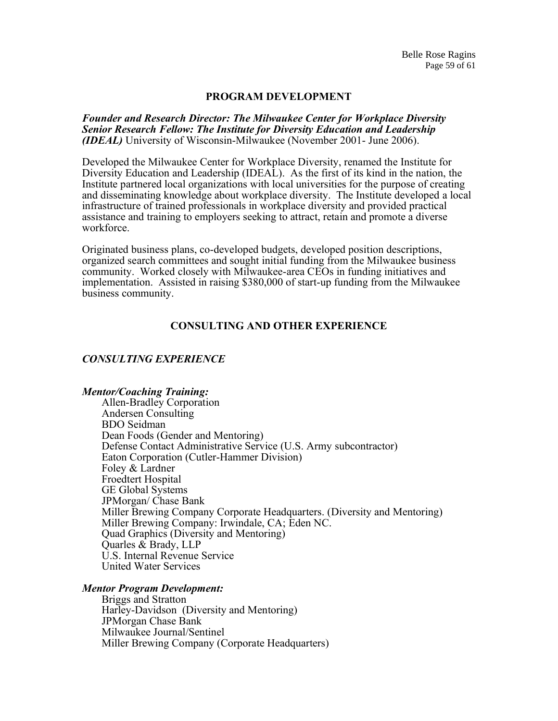#### **PROGRAM DEVELOPMENT**

*Founder and Research Director: The Milwaukee Center for Workplace Diversity Senior Research Fellow: The Institute for Diversity Education and Leadership (IDEAL)* University of Wisconsin-Milwaukee (November 2001- June 2006).

Developed the Milwaukee Center for Workplace Diversity, renamed the Institute for Diversity Education and Leadership (IDEAL). As the first of its kind in the nation, the Institute partnered local organizations with local universities for the purpose of creating and disseminating knowledge about workplace diversity. The Institute developed a local infrastructure of trained professionals in workplace diversity and provided practical assistance and training to employers seeking to attract, retain and promote a diverse workforce.

Originated business plans, co-developed budgets, developed position descriptions, organized search committees and sought initial funding from the Milwaukee business community. Worked closely with Milwaukee-area CEOs in funding initiatives and implementation. Assisted in raising \$380,000 of start-up funding from the Milwaukee business community.

# **CONSULTING AND OTHER EXPERIENCE**

## *CONSULTING EXPERIENCE*

#### *Mentor/Coaching Training:*

Allen-Bradley Corporation Andersen Consulting BDO Seidman Dean Foods (Gender and Mentoring) Defense Contact Administrative Service (U.S. Army subcontractor) Eaton Corporation (Cutler-Hammer Division) Foley & Lardner Froedtert Hospital GE Global Systems JPMorgan/ Chase Bank Miller Brewing Company Corporate Headquarters. (Diversity and Mentoring) Miller Brewing Company: Irwindale, CA; Eden NC. Quad Graphics (Diversity and Mentoring) Quarles & Brady, LLP U.S. Internal Revenue Service United Water Services

#### *Mentor Program Development:*

Briggs and Stratton Harley-Davidson (Diversity and Mentoring) JPMorgan Chase Bank Milwaukee Journal/Sentinel Miller Brewing Company (Corporate Headquarters)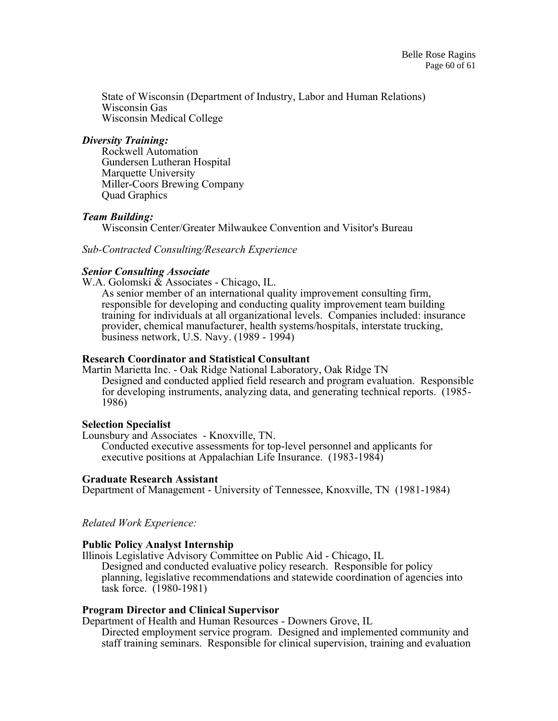State of Wisconsin (Department of Industry, Labor and Human Relations) Wisconsin Gas Wisconsin Medical College

## *Diversity Training:*

Rockwell Automation Gundersen Lutheran Hospital Marquette University Miller-Coors Brewing Company Quad Graphics

# *Team Building:*

Wisconsin Center/Greater Milwaukee Convention and Visitor's Bureau

*Sub-Contracted Consulting/Research Experience* 

## *Senior Consulting Associate*

W.A. Golomski & Associates - Chicago, IL.

As senior member of an international quality improvement consulting firm, responsible for developing and conducting quality improvement team building training for individuals at all organizational levels. Companies included: insurance provider, chemical manufacturer, health systems/hospitals, interstate trucking, business network, U.S. Navy. (1989 - 1994)

## **Research Coordinator and Statistical Consultant**

Martin Marietta Inc. - Oak Ridge National Laboratory, Oak Ridge TN Designed and conducted applied field research and program evaluation. Responsible for developing instruments, analyzing data, and generating technical reports. (1985- 1986)

## **Selection Specialist**

Lounsbury and Associates - Knoxville, TN. Conducted executive assessments for top-level personnel and applicants for executive positions at Appalachian Life Insurance. (1983-1984)

## **Graduate Research Assistant**

Department of Management - University of Tennessee, Knoxville, TN (1981-1984)

*Related Work Experience:*

# **Public Policy Analyst Internship**

Illinois Legislative Advisory Committee on Public Aid - Chicago, IL

Designed and conducted evaluative policy research. Responsible for policy planning, legislative recommendations and statewide coordination of agencies into task force. (1980-1981)

## **Program Director and Clinical Supervisor**

Department of Health and Human Resources - Downers Grove, IL Directed employment service program. Designed and implemented community and staff training seminars. Responsible for clinical supervision, training and evaluation